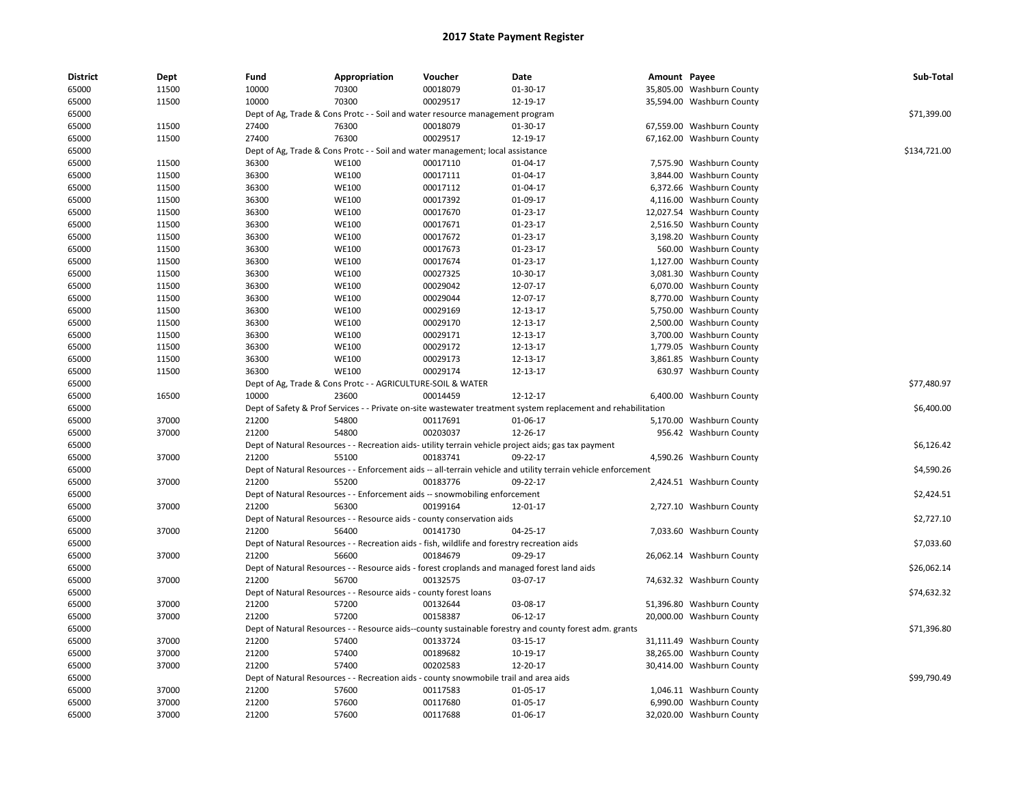| <b>District</b> | <b>Dept</b> | Fund  | Appropriation                                                     | Voucher                                                                                           | Date                                                                                                               | Amount Payee |                           | Sub-Total    |
|-----------------|-------------|-------|-------------------------------------------------------------------|---------------------------------------------------------------------------------------------------|--------------------------------------------------------------------------------------------------------------------|--------------|---------------------------|--------------|
| 65000           | 11500       | 10000 | 70300                                                             | 00018079                                                                                          | 01-30-17                                                                                                           |              | 35,805.00 Washburn County |              |
| 65000           | 11500       | 10000 | 70300                                                             | 00029517                                                                                          | 12-19-17                                                                                                           |              | 35,594.00 Washburn County |              |
| 65000           |             |       |                                                                   | Dept of Ag, Trade & Cons Protc - - Soil and water resource management program                     |                                                                                                                    |              |                           | \$71,399.00  |
| 65000           | 11500       | 27400 | 76300                                                             | 00018079                                                                                          | 01-30-17                                                                                                           |              | 67,559.00 Washburn County |              |
| 65000           | 11500       | 27400 | 76300                                                             | 00029517                                                                                          | 12-19-17                                                                                                           |              | 67,162.00 Washburn County |              |
| 65000           |             |       |                                                                   | Dept of Ag, Trade & Cons Protc - - Soil and water management; local assistance                    |                                                                                                                    |              |                           | \$134,721.00 |
| 65000           | 11500       | 36300 | <b>WE100</b>                                                      | 00017110                                                                                          | 01-04-17                                                                                                           |              | 7,575.90 Washburn County  |              |
| 65000           | 11500       | 36300 | <b>WE100</b>                                                      | 00017111                                                                                          | 01-04-17                                                                                                           |              | 3,844.00 Washburn County  |              |
| 65000           | 11500       | 36300 | <b>WE100</b>                                                      | 00017112                                                                                          | 01-04-17                                                                                                           |              | 6,372.66 Washburn County  |              |
| 65000           | 11500       | 36300 | <b>WE100</b>                                                      | 00017392                                                                                          | 01-09-17                                                                                                           |              | 4,116.00 Washburn County  |              |
| 65000           | 11500       | 36300 | <b>WE100</b>                                                      | 00017670                                                                                          | 01-23-17                                                                                                           |              | 12,027.54 Washburn County |              |
| 65000           | 11500       | 36300 | <b>WE100</b>                                                      | 00017671                                                                                          | 01-23-17                                                                                                           |              | 2,516.50 Washburn County  |              |
| 65000           | 11500       | 36300 | <b>WE100</b>                                                      | 00017672                                                                                          | $01 - 23 - 17$                                                                                                     |              | 3,198.20 Washburn County  |              |
| 65000           | 11500       | 36300 | <b>WE100</b>                                                      | 00017673                                                                                          | 01-23-17                                                                                                           |              | 560.00 Washburn County    |              |
| 65000           | 11500       | 36300 | <b>WE100</b>                                                      | 00017674                                                                                          | 01-23-17                                                                                                           |              | 1,127.00 Washburn County  |              |
| 65000           | 11500       | 36300 | <b>WE100</b>                                                      | 00027325                                                                                          | 10-30-17                                                                                                           |              | 3,081.30 Washburn County  |              |
| 65000           | 11500       | 36300 | <b>WE100</b>                                                      | 00029042                                                                                          | 12-07-17                                                                                                           |              | 6,070.00 Washburn County  |              |
| 65000           | 11500       | 36300 | <b>WE100</b>                                                      | 00029044                                                                                          | 12-07-17                                                                                                           |              | 8,770.00 Washburn County  |              |
| 65000           | 11500       | 36300 | <b>WE100</b>                                                      | 00029169                                                                                          | 12-13-17                                                                                                           |              | 5,750.00 Washburn County  |              |
| 65000           | 11500       | 36300 | <b>WE100</b>                                                      | 00029170                                                                                          | 12-13-17                                                                                                           |              | 2,500.00 Washburn County  |              |
| 65000           | 11500       | 36300 | <b>WE100</b>                                                      | 00029171                                                                                          | 12-13-17                                                                                                           |              | 3,700.00 Washburn County  |              |
| 65000           | 11500       | 36300 | <b>WE100</b>                                                      | 00029172                                                                                          | 12-13-17                                                                                                           |              | 1,779.05 Washburn County  |              |
| 65000           | 11500       | 36300 | <b>WE100</b>                                                      | 00029173                                                                                          | 12-13-17                                                                                                           |              | 3,861.85 Washburn County  |              |
| 65000           | 11500       | 36300 | <b>WE100</b>                                                      | 00029174                                                                                          | 12-13-17                                                                                                           |              | 630.97 Washburn County    |              |
| 65000           |             |       | Dept of Ag, Trade & Cons Protc - - AGRICULTURE-SOIL & WATER       |                                                                                                   |                                                                                                                    |              |                           | \$77,480.97  |
| 65000           | 16500       | 10000 | 23600                                                             | 00014459                                                                                          | 12-12-17                                                                                                           |              | 6,400.00 Washburn County  |              |
| 65000           |             |       |                                                                   |                                                                                                   | Dept of Safety & Prof Services - - Private on-site wastewater treatment system replacement and rehabilitation      |              |                           | \$6,400.00   |
| 65000           | 37000       | 21200 | 54800                                                             | 00117691                                                                                          | 01-06-17                                                                                                           |              | 5,170.00 Washburn County  |              |
| 65000           | 37000       | 21200 | 54800                                                             | 00203037                                                                                          | 12-26-17                                                                                                           |              | 956.42 Washburn County    |              |
| 65000           |             |       |                                                                   |                                                                                                   | Dept of Natural Resources - - Recreation aids- utility terrain vehicle project aids; gas tax payment               |              |                           | \$6,126.42   |
| 65000           | 37000       | 21200 | 55100                                                             | 00183741                                                                                          | 09-22-17                                                                                                           |              | 4,590.26 Washburn County  |              |
| 65000           |             |       |                                                                   |                                                                                                   | Dept of Natural Resources - - Enforcement aids -- all-terrain vehicle and utility terrain vehicle enforcement      |              |                           | \$4,590.26   |
| 65000           | 37000       | 21200 | 55200                                                             | 00183776                                                                                          | 09-22-17                                                                                                           |              | 2,424.51 Washburn County  |              |
| 65000           |             |       |                                                                   | Dept of Natural Resources - - Enforcement aids -- snowmobiling enforcement                        |                                                                                                                    |              |                           | \$2,424.51   |
| 65000           | 37000       | 21200 | 56300                                                             | 00199164                                                                                          | 12-01-17                                                                                                           |              | 2,727.10 Washburn County  |              |
| 65000           |             |       |                                                                   | Dept of Natural Resources - - Resource aids - county conservation aids                            |                                                                                                                    |              |                           | \$2,727.10   |
| 65000           | 37000       | 21200 | 56400                                                             | 00141730                                                                                          | 04-25-17                                                                                                           |              | 7,033.60 Washburn County  |              |
| 65000           |             |       |                                                                   | Dept of Natural Resources - - Recreation aids - fish, wildlife and forestry recreation aids       |                                                                                                                    |              |                           | \$7,033.60   |
| 65000           | 37000       | 21200 | 56600                                                             | 00184679                                                                                          | 09-29-17                                                                                                           |              | 26,062.14 Washburn County |              |
| 65000           |             |       |                                                                   |                                                                                                   | Dept of Natural Resources - - Resource aids - forest croplands and managed forest land aids                        |              |                           | \$26,062.14  |
| 65000           | 37000       | 21200 | 56700                                                             | 00132575                                                                                          | 03-07-17                                                                                                           |              | 74,632.32 Washburn County |              |
| 65000           |             |       | Dept of Natural Resources - - Resource aids - county forest loans |                                                                                                   |                                                                                                                    |              |                           | \$74,632.32  |
| 65000           | 37000       | 21200 | 57200                                                             | 00132644                                                                                          | 03-08-17                                                                                                           |              | 51,396.80 Washburn County |              |
| 65000           | 37000       | 21200 | 57200                                                             | 00158387                                                                                          | 06-12-17                                                                                                           |              | 20,000.00 Washburn County |              |
|                 |             |       |                                                                   |                                                                                                   |                                                                                                                    |              |                           | \$71,396.80  |
| 65000<br>65000  | 37000       | 21200 | 57400                                                             | 00133724                                                                                          | Dept of Natural Resources - - Resource aids--county sustainable forestry and county forest adm. grants<br>03-15-17 |              | 31,111.49 Washburn County |              |
| 65000           | 37000       | 21200 | 57400                                                             | 00189682                                                                                          | 10-19-17                                                                                                           |              | 38,265.00 Washburn County |              |
|                 |             | 21200 | 57400                                                             | 00202583                                                                                          |                                                                                                                    |              |                           |              |
| 65000<br>65000  | 37000       |       |                                                                   |                                                                                                   | 12-20-17                                                                                                           |              | 30,414.00 Washburn County | \$99,790.49  |
| 65000           | 37000       | 21200 | 57600                                                             | Dept of Natural Resources - - Recreation aids - county snowmobile trail and area aids<br>00117583 | 01-05-17                                                                                                           |              | 1,046.11 Washburn County  |              |
|                 | 37000       | 21200 | 57600                                                             | 00117680                                                                                          | 01-05-17                                                                                                           |              | 6,990.00 Washburn County  |              |
| 65000           |             |       |                                                                   |                                                                                                   |                                                                                                                    |              |                           |              |
| 65000           | 37000       | 21200 | 57600                                                             | 00117688                                                                                          | 01-06-17                                                                                                           |              | 32,020.00 Washburn County |              |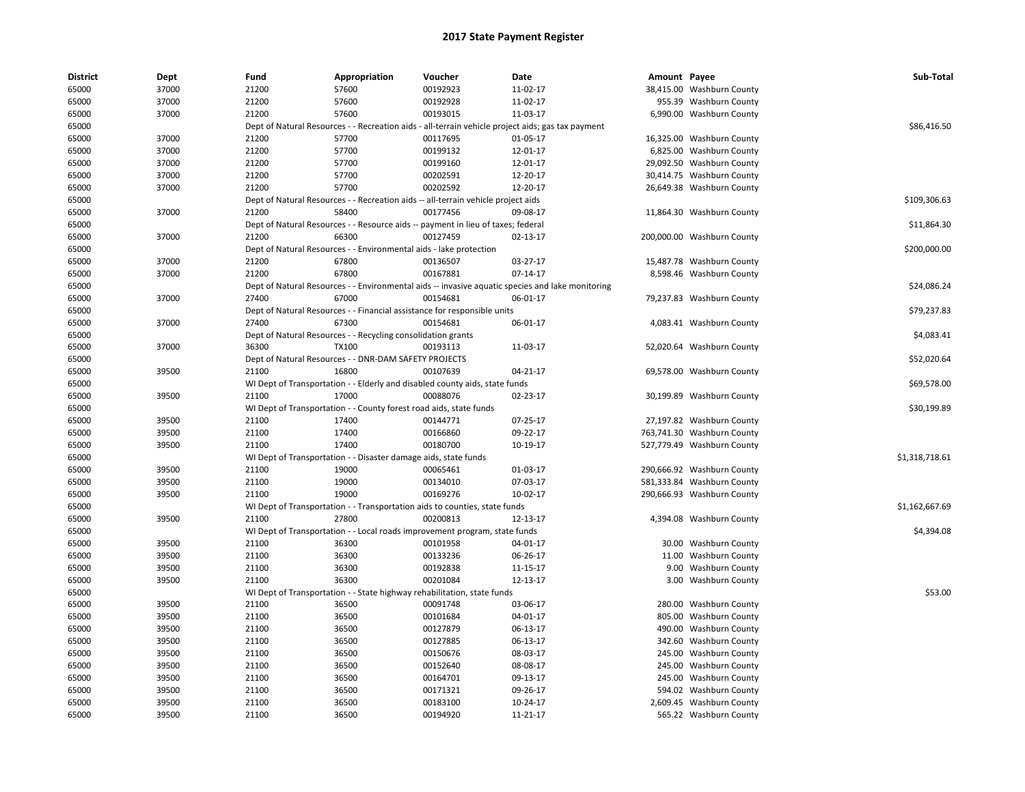| <b>District</b> | Dept  | Fund  | Appropriation                                                                     | Voucher  | Date                                                                                              | Amount Payee |                                                  | Sub-Total      |
|-----------------|-------|-------|-----------------------------------------------------------------------------------|----------|---------------------------------------------------------------------------------------------------|--------------|--------------------------------------------------|----------------|
| 65000           | 37000 | 21200 | 57600                                                                             | 00192923 | 11-02-17                                                                                          |              | 38,415.00 Washburn County                        |                |
| 65000           | 37000 | 21200 | 57600                                                                             | 00192928 | 11-02-17                                                                                          |              | 955.39 Washburn County                           |                |
| 65000           | 37000 | 21200 | 57600                                                                             | 00193015 | 11-03-17                                                                                          |              | 6,990.00 Washburn County                         |                |
| 65000           |       |       |                                                                                   |          | Dept of Natural Resources - - Recreation aids - all-terrain vehicle project aids; gas tax payment |              |                                                  | \$86,416.50    |
| 65000           | 37000 | 21200 | 57700                                                                             | 00117695 | 01-05-17                                                                                          |              | 16,325.00 Washburn County                        |                |
| 65000           | 37000 | 21200 | 57700                                                                             | 00199132 | 12-01-17                                                                                          |              | 6,825.00 Washburn County                         |                |
| 65000           | 37000 | 21200 | 57700                                                                             | 00199160 | 12-01-17                                                                                          |              | 29,092.50 Washburn County                        |                |
| 65000           | 37000 | 21200 | 57700                                                                             | 00202591 | 12-20-17                                                                                          |              | 30,414.75 Washburn County                        |                |
| 65000           | 37000 | 21200 | 57700                                                                             | 00202592 | 12-20-17                                                                                          |              | 26,649.38 Washburn County                        |                |
| 65000           |       |       | Dept of Natural Resources - - Recreation aids -- all-terrain vehicle project aids |          |                                                                                                   |              |                                                  | \$109,306.63   |
| 65000           | 37000 | 21200 | 58400                                                                             | 00177456 | 09-08-17                                                                                          |              | 11,864.30 Washburn County                        |                |
| 65000           |       |       | Dept of Natural Resources - - Resource aids -- payment in lieu of taxes; federal  |          |                                                                                                   |              |                                                  | \$11,864.30    |
| 65000           | 37000 | 21200 | 66300                                                                             | 00127459 | 02-13-17                                                                                          |              | 200,000.00 Washburn County                       |                |
| 65000           |       |       | Dept of Natural Resources - - Environmental aids - lake protection                |          |                                                                                                   |              |                                                  | \$200,000.00   |
| 65000           | 37000 | 21200 | 67800                                                                             | 00136507 | 03-27-17                                                                                          |              | 15,487.78 Washburn County                        |                |
| 65000           | 37000 | 21200 | 67800                                                                             | 00167881 | $07-14-17$                                                                                        |              | 8,598.46 Washburn County                         |                |
| 65000           |       |       |                                                                                   |          | Dept of Natural Resources - - Environmental aids -- invasive aquatic species and lake monitoring  |              |                                                  | \$24,086.24    |
| 65000           | 37000 | 27400 | 67000                                                                             | 00154681 | 06-01-17                                                                                          |              | 79,237.83 Washburn County                        |                |
| 65000           |       |       | Dept of Natural Resources - - Financial assistance for responsible units          |          |                                                                                                   |              |                                                  | \$79,237.83    |
| 65000           | 37000 | 27400 | 67300                                                                             | 00154681 | 06-01-17                                                                                          |              | 4,083.41 Washburn County                         |                |
| 65000           |       |       | Dept of Natural Resources - - Recycling consolidation grants                      |          |                                                                                                   |              |                                                  | \$4,083.41     |
| 65000           | 37000 | 36300 | <b>TX100</b>                                                                      | 00193113 | 11-03-17                                                                                          |              | 52,020.64 Washburn County                        |                |
| 65000           |       |       | Dept of Natural Resources - - DNR-DAM SAFETY PROJECTS                             |          |                                                                                                   |              |                                                  | \$52,020.64    |
| 65000           | 39500 | 21100 | 16800                                                                             | 00107639 | 04-21-17                                                                                          |              | 69,578.00 Washburn County                        |                |
| 65000           |       |       | WI Dept of Transportation - - Elderly and disabled county aids, state funds       |          |                                                                                                   |              |                                                  | \$69,578.00    |
| 65000           | 39500 | 21100 | 17000                                                                             | 00088076 | 02-23-17                                                                                          |              | 30,199.89 Washburn County                        |                |
| 65000           |       |       | WI Dept of Transportation - - County forest road aids, state funds                |          |                                                                                                   |              |                                                  | \$30,199.89    |
| 65000           | 39500 | 21100 | 17400                                                                             | 00144771 | 07-25-17                                                                                          |              | 27,197.82 Washburn County                        |                |
| 65000           | 39500 | 21100 | 17400                                                                             | 00166860 | 09-22-17                                                                                          |              | 763,741.30 Washburn County                       |                |
| 65000           | 39500 | 21100 | 17400                                                                             | 00180700 | 10-19-17                                                                                          |              | 527,779.49 Washburn County                       |                |
| 65000           |       |       | WI Dept of Transportation - - Disaster damage aids, state funds                   |          |                                                                                                   |              |                                                  | \$1,318,718.61 |
| 65000           | 39500 | 21100 | 19000                                                                             | 00065461 | 01-03-17                                                                                          |              | 290,666.92 Washburn County                       |                |
| 65000           | 39500 | 21100 | 19000                                                                             | 00134010 | 07-03-17                                                                                          |              | 581,333.84 Washburn County                       |                |
| 65000           | 39500 | 21100 | 19000                                                                             | 00169276 | 10-02-17                                                                                          |              | 290,666.93 Washburn County                       |                |
| 65000           |       |       | WI Dept of Transportation - - Transportation aids to counties, state funds        |          |                                                                                                   |              |                                                  | \$1,162,667.69 |
| 65000           | 39500 | 21100 | 27800                                                                             | 00200813 | 12-13-17                                                                                          |              | 4,394.08 Washburn County                         |                |
| 65000           |       |       | WI Dept of Transportation - - Local roads improvement program, state funds        |          |                                                                                                   |              |                                                  | \$4,394.08     |
| 65000           | 39500 | 21100 | 36300                                                                             | 00101958 | 04-01-17                                                                                          |              | 30.00 Washburn County                            |                |
| 65000           | 39500 | 21100 | 36300                                                                             | 00133236 | 06-26-17                                                                                          |              | 11.00 Washburn County                            |                |
| 65000           | 39500 | 21100 | 36300                                                                             | 00192838 | 11-15-17                                                                                          |              | 9.00 Washburn County                             |                |
| 65000           | 39500 | 21100 | 36300                                                                             | 00201084 | 12-13-17                                                                                          |              | 3.00 Washburn County                             |                |
| 65000           |       |       | WI Dept of Transportation - - State highway rehabilitation, state funds           |          |                                                                                                   |              |                                                  | \$53.00        |
| 65000           | 39500 | 21100 | 36500                                                                             | 00091748 | 03-06-17                                                                                          |              | 280.00 Washburn County                           |                |
| 65000           | 39500 | 21100 | 36500                                                                             | 00101684 | 04-01-17                                                                                          |              | 805.00 Washburn County                           |                |
| 65000           | 39500 | 21100 | 36500                                                                             | 00127879 | 06-13-17                                                                                          |              | 490.00 Washburn County                           |                |
| 65000           | 39500 | 21100 | 36500                                                                             | 00127885 | 06-13-17                                                                                          |              | 342.60 Washburn County                           |                |
| 65000           | 39500 | 21100 | 36500                                                                             | 00150676 | 08-03-17                                                                                          |              | 245.00 Washburn County                           |                |
| 65000           | 39500 | 21100 | 36500                                                                             | 00152640 | 08-08-17                                                                                          |              | 245.00 Washburn County                           |                |
| 65000           | 39500 | 21100 | 36500                                                                             | 00164701 | 09-13-17                                                                                          |              |                                                  |                |
| 65000           | 39500 | 21100 | 36500                                                                             | 00171321 | 09-26-17                                                                                          |              | 245.00 Washburn County<br>594.02 Washburn County |                |
| 65000           | 39500 | 21100 | 36500                                                                             | 00183100 | 10-24-17                                                                                          |              | 2,609.45 Washburn County                         |                |
|                 |       |       |                                                                                   |          |                                                                                                   |              |                                                  |                |
| 65000           | 39500 | 21100 | 36500                                                                             | 00194920 | 11-21-17                                                                                          |              | 565.22 Washburn County                           |                |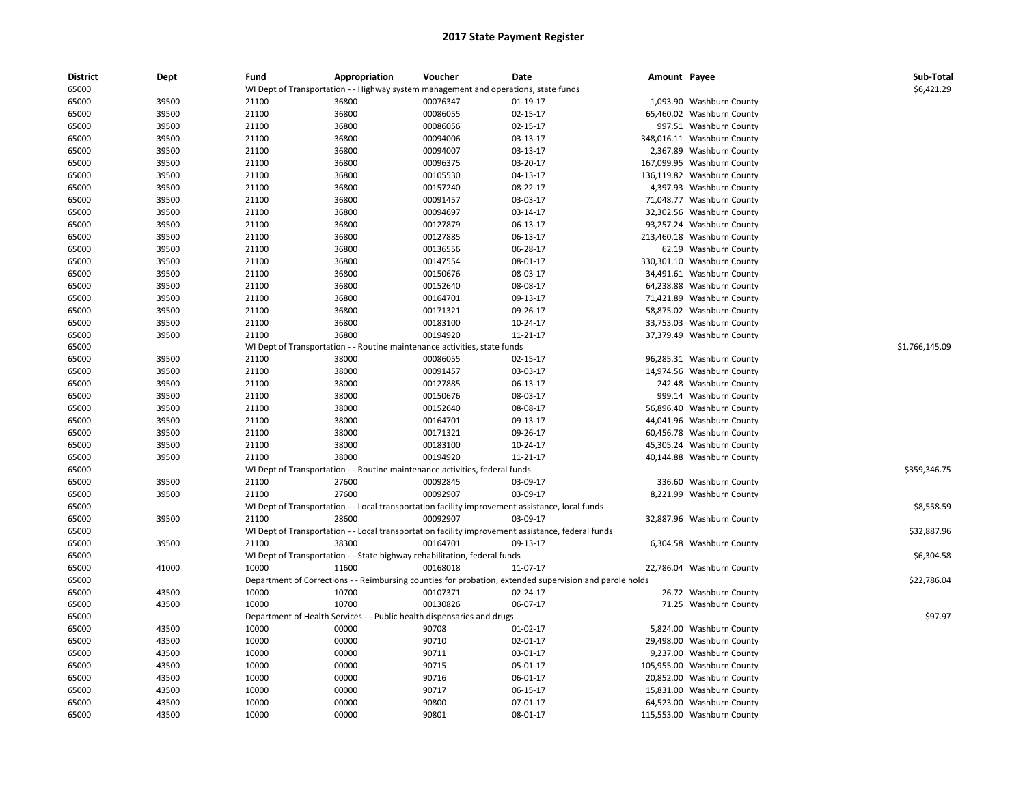| <b>District</b> | Dept  | Fund  | Appropriation | Voucher                                                                             | Date                                                                                                    | Amount Payee |                            | Sub-Total      |
|-----------------|-------|-------|---------------|-------------------------------------------------------------------------------------|---------------------------------------------------------------------------------------------------------|--------------|----------------------------|----------------|
| 65000           |       |       |               | WI Dept of Transportation - - Highway system management and operations, state funds |                                                                                                         |              |                            | \$6,421.29     |
| 65000           | 39500 | 21100 | 36800         | 00076347                                                                            | 01-19-17                                                                                                |              | 1,093.90 Washburn County   |                |
| 65000           | 39500 | 21100 | 36800         | 00086055                                                                            | 02-15-17                                                                                                |              | 65,460.02 Washburn County  |                |
| 65000           | 39500 | 21100 | 36800         | 00086056                                                                            | 02-15-17                                                                                                |              | 997.51 Washburn County     |                |
| 65000           | 39500 | 21100 | 36800         | 00094006                                                                            | 03-13-17                                                                                                |              | 348,016.11 Washburn County |                |
| 65000           | 39500 | 21100 | 36800         | 00094007                                                                            | 03-13-17                                                                                                |              | 2,367.89 Washburn County   |                |
| 65000           | 39500 | 21100 | 36800         | 00096375                                                                            | 03-20-17                                                                                                |              | 167,099.95 Washburn County |                |
| 65000           | 39500 | 21100 | 36800         | 00105530                                                                            | 04-13-17                                                                                                |              | 136,119.82 Washburn County |                |
| 65000           | 39500 | 21100 | 36800         | 00157240                                                                            | 08-22-17                                                                                                |              | 4,397.93 Washburn County   |                |
| 65000           | 39500 | 21100 | 36800         | 00091457                                                                            | 03-03-17                                                                                                |              | 71,048.77 Washburn County  |                |
| 65000           | 39500 | 21100 | 36800         | 00094697                                                                            | 03-14-17                                                                                                |              | 32,302.56 Washburn County  |                |
| 65000           | 39500 | 21100 | 36800         | 00127879                                                                            | 06-13-17                                                                                                |              | 93,257.24 Washburn County  |                |
| 65000           | 39500 | 21100 | 36800         | 00127885                                                                            | 06-13-17                                                                                                |              | 213,460.18 Washburn County |                |
| 65000           | 39500 | 21100 | 36800         | 00136556                                                                            | 06-28-17                                                                                                |              | 62.19 Washburn County      |                |
| 65000           | 39500 | 21100 | 36800         | 00147554                                                                            | 08-01-17                                                                                                |              | 330,301.10 Washburn County |                |
| 65000           | 39500 | 21100 | 36800         | 00150676                                                                            | 08-03-17                                                                                                |              | 34,491.61 Washburn County  |                |
| 65000           | 39500 | 21100 | 36800         | 00152640                                                                            | 08-08-17                                                                                                |              | 64,238.88 Washburn County  |                |
| 65000           | 39500 | 21100 | 36800         | 00164701                                                                            | 09-13-17                                                                                                |              | 71,421.89 Washburn County  |                |
| 65000           | 39500 | 21100 | 36800         | 00171321                                                                            | 09-26-17                                                                                                |              | 58,875.02 Washburn County  |                |
| 65000           | 39500 | 21100 | 36800         | 00183100                                                                            | 10-24-17                                                                                                |              | 33,753.03 Washburn County  |                |
| 65000           | 39500 | 21100 | 36800         | 00194920                                                                            | 11-21-17                                                                                                |              | 37,379.49 Washburn County  |                |
| 65000           |       |       |               | WI Dept of Transportation - - Routine maintenance activities, state funds           |                                                                                                         |              |                            | \$1,766,145.09 |
| 65000           | 39500 | 21100 | 38000         | 00086055                                                                            | 02-15-17                                                                                                |              | 96,285.31 Washburn County  |                |
| 65000           | 39500 | 21100 | 38000         | 00091457                                                                            | 03-03-17                                                                                                |              | 14,974.56 Washburn County  |                |
| 65000           | 39500 | 21100 | 38000         | 00127885                                                                            | 06-13-17                                                                                                |              | 242.48 Washburn County     |                |
| 65000           | 39500 | 21100 | 38000         | 00150676                                                                            | 08-03-17                                                                                                |              | 999.14 Washburn County     |                |
| 65000           | 39500 | 21100 | 38000         | 00152640                                                                            | 08-08-17                                                                                                |              | 56,896.40 Washburn County  |                |
| 65000           | 39500 | 21100 | 38000         | 00164701                                                                            | 09-13-17                                                                                                |              | 44,041.96 Washburn County  |                |
| 65000           | 39500 | 21100 | 38000         | 00171321                                                                            | 09-26-17                                                                                                |              | 60,456.78 Washburn County  |                |
| 65000           | 39500 | 21100 | 38000         | 00183100                                                                            | 10-24-17                                                                                                |              | 45,305.24 Washburn County  |                |
| 65000           | 39500 | 21100 | 38000         | 00194920                                                                            | 11-21-17                                                                                                |              | 40,144.88 Washburn County  |                |
| 65000           |       |       |               | WI Dept of Transportation - - Routine maintenance activities, federal funds         |                                                                                                         |              |                            | \$359,346.75   |
| 65000           | 39500 | 21100 | 27600         | 00092845                                                                            | 03-09-17                                                                                                |              | 336.60 Washburn County     |                |
| 65000           | 39500 | 21100 | 27600         | 00092907                                                                            | 03-09-17                                                                                                |              | 8,221.99 Washburn County   |                |
| 65000           |       |       |               |                                                                                     | WI Dept of Transportation - - Local transportation facility improvement assistance, local funds         |              |                            | \$8,558.59     |
| 65000           | 39500 | 21100 | 28600         | 00092907                                                                            | 03-09-17                                                                                                |              | 32,887.96 Washburn County  |                |
| 65000           |       |       |               |                                                                                     | WI Dept of Transportation - - Local transportation facility improvement assistance, federal funds       |              |                            | \$32,887.96    |
| 65000           | 39500 | 21100 | 38300         | 00164701                                                                            | 09-13-17                                                                                                |              | 6,304.58 Washburn County   |                |
| 65000           |       |       |               | WI Dept of Transportation - - State highway rehabilitation, federal funds           |                                                                                                         |              |                            | \$6,304.58     |
| 65000           | 41000 | 10000 | 11600         | 00168018                                                                            | 11-07-17                                                                                                |              | 22,786.04 Washburn County  |                |
| 65000           |       |       |               |                                                                                     | Department of Corrections - - Reimbursing counties for probation, extended supervision and parole holds |              |                            | \$22,786.04    |
| 65000           | 43500 | 10000 | 10700         | 00107371                                                                            | 02-24-17                                                                                                |              | 26.72 Washburn County      |                |
| 65000           | 43500 | 10000 | 10700         | 00130826                                                                            | 06-07-17                                                                                                |              | 71.25 Washburn County      |                |
| 65000           |       |       |               | Department of Health Services - - Public health dispensaries and drugs              |                                                                                                         |              |                            | \$97.97        |
| 65000           | 43500 | 10000 | 00000         | 90708                                                                               | 01-02-17                                                                                                |              | 5,824.00 Washburn County   |                |
| 65000           | 43500 | 10000 | 00000         | 90710                                                                               | 02-01-17                                                                                                |              | 29,498.00 Washburn County  |                |
| 65000           | 43500 | 10000 | 00000         | 90711                                                                               | 03-01-17                                                                                                |              | 9,237.00 Washburn County   |                |
| 65000           | 43500 | 10000 | 00000         | 90715                                                                               | 05-01-17                                                                                                |              | 105,955.00 Washburn County |                |
| 65000           | 43500 | 10000 | 00000         | 90716                                                                               | 06-01-17                                                                                                |              | 20,852.00 Washburn County  |                |
| 65000           | 43500 | 10000 | 00000         | 90717                                                                               | 06-15-17                                                                                                |              | 15,831.00 Washburn County  |                |
| 65000           | 43500 | 10000 | 00000         | 90800                                                                               | 07-01-17                                                                                                |              | 64,523.00 Washburn County  |                |
| 65000           | 43500 | 10000 | 00000         | 90801                                                                               | 08-01-17                                                                                                |              | 115,553.00 Washburn County |                |
|                 |       |       |               |                                                                                     |                                                                                                         |              |                            |                |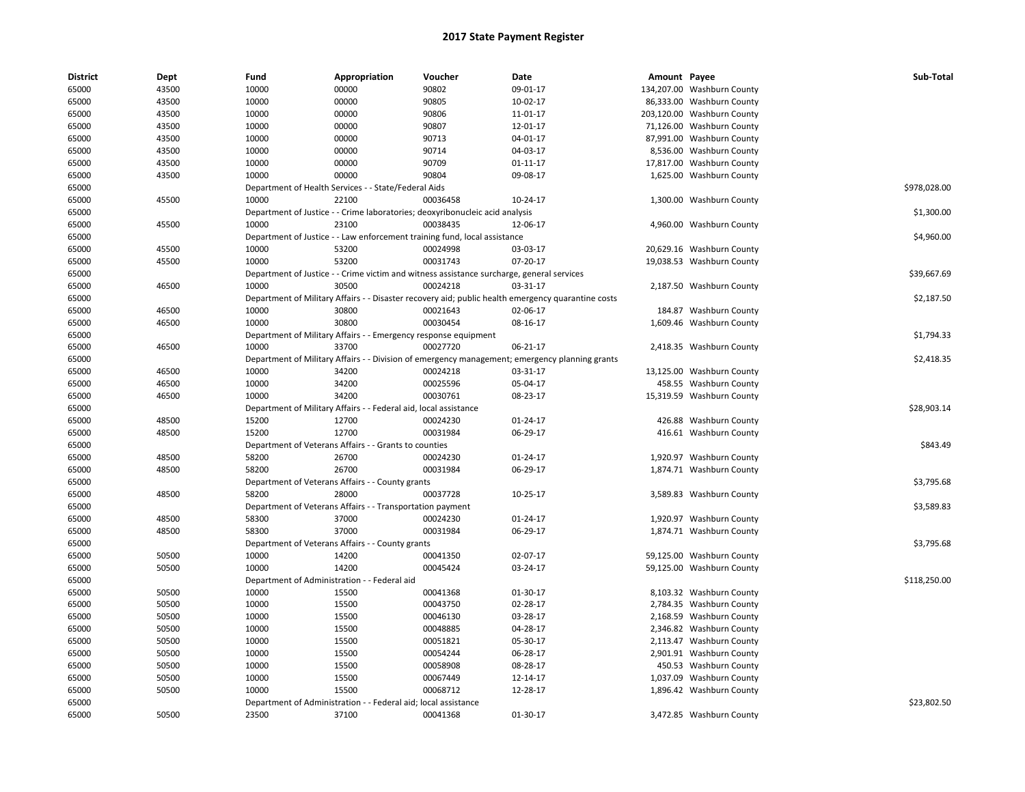| <b>District</b> | Dept  | Fund                                         | Appropriation                                                                             | Voucher  | Date                                                                                               | Amount Payee |                            | Sub-Total    |
|-----------------|-------|----------------------------------------------|-------------------------------------------------------------------------------------------|----------|----------------------------------------------------------------------------------------------------|--------------|----------------------------|--------------|
| 65000           | 43500 | 10000                                        | 00000                                                                                     | 90802    | 09-01-17                                                                                           |              | 134,207.00 Washburn County |              |
| 65000           | 43500 | 10000                                        | 00000                                                                                     | 90805    | 10-02-17                                                                                           |              | 86,333.00 Washburn County  |              |
| 65000           | 43500 | 10000                                        | 00000                                                                                     | 90806    | 11-01-17                                                                                           |              | 203,120.00 Washburn County |              |
| 65000           | 43500 | 10000                                        | 00000                                                                                     | 90807    | 12-01-17                                                                                           |              | 71,126.00 Washburn County  |              |
| 65000           | 43500 | 10000                                        | 00000                                                                                     | 90713    | 04-01-17                                                                                           |              | 87,991.00 Washburn County  |              |
| 65000           | 43500 | 10000                                        | 00000                                                                                     | 90714    | 04-03-17                                                                                           |              | 8,536.00 Washburn County   |              |
| 65000           | 43500 | 10000                                        | 00000                                                                                     | 90709    | $01 - 11 - 17$                                                                                     |              | 17,817.00 Washburn County  |              |
| 65000           | 43500 | 10000                                        | 00000                                                                                     | 90804    | 09-08-17                                                                                           |              | 1,625.00 Washburn County   |              |
| 65000           |       |                                              | Department of Health Services - - State/Federal Aids                                      |          |                                                                                                    |              |                            | \$978,028.00 |
| 65000           | 45500 | 10000                                        | 22100                                                                                     | 00036458 | 10-24-17                                                                                           |              | 1,300.00 Washburn County   |              |
| 65000           |       |                                              | Department of Justice - - Crime laboratories; deoxyribonucleic acid analysis              |          |                                                                                                    |              |                            | \$1,300.00   |
| 65000           | 45500 | 10000                                        | 23100                                                                                     | 00038435 | 12-06-17                                                                                           |              | 4,960.00 Washburn County   |              |
| 65000           |       |                                              | Department of Justice - - Law enforcement training fund, local assistance                 |          |                                                                                                    |              |                            | \$4,960.00   |
| 65000           | 45500 | 10000                                        | 53200                                                                                     | 00024998 | 03-03-17                                                                                           |              | 20,629.16 Washburn County  |              |
| 65000           | 45500 | 10000                                        | 53200                                                                                     | 00031743 | 07-20-17                                                                                           |              | 19,038.53 Washburn County  |              |
| 65000           |       |                                              | Department of Justice - - Crime victim and witness assistance surcharge, general services |          |                                                                                                    |              |                            | \$39,667.69  |
| 65000           | 46500 | 10000                                        | 30500                                                                                     | 00024218 | 03-31-17                                                                                           |              | 2,187.50 Washburn County   |              |
| 65000           |       |                                              |                                                                                           |          | Department of Military Affairs - - Disaster recovery aid; public health emergency quarantine costs |              |                            | \$2,187.50   |
| 65000           | 46500 | 10000                                        | 30800                                                                                     | 00021643 | 02-06-17                                                                                           |              | 184.87 Washburn County     |              |
| 65000           | 46500 | 10000                                        | 30800                                                                                     | 00030454 | 08-16-17                                                                                           |              | 1,609.46 Washburn County   |              |
| 65000           |       |                                              | Department of Military Affairs - - Emergency response equipment                           |          |                                                                                                    |              |                            | \$1,794.33   |
| 65000           | 46500 | 10000                                        | 33700                                                                                     | 00027720 | 06-21-17                                                                                           |              | 2,418.35 Washburn County   |              |
| 65000           |       |                                              |                                                                                           |          | Department of Military Affairs - - Division of emergency management; emergency planning grants     |              |                            | \$2,418.35   |
| 65000           | 46500 | 10000                                        | 34200                                                                                     | 00024218 | 03-31-17                                                                                           |              | 13,125.00 Washburn County  |              |
| 65000           | 46500 | 10000                                        | 34200                                                                                     | 00025596 | 05-04-17                                                                                           |              | 458.55 Washburn County     |              |
| 65000           | 46500 | 10000                                        | 34200                                                                                     | 00030761 | 08-23-17                                                                                           |              | 15,319.59 Washburn County  |              |
| 65000           |       |                                              | Department of Military Affairs - - Federal aid, local assistance                          |          |                                                                                                    |              |                            | \$28,903.14  |
| 65000           | 48500 | 15200                                        | 12700                                                                                     | 00024230 | $01 - 24 - 17$                                                                                     |              | 426.88 Washburn County     |              |
| 65000           | 48500 | 15200                                        | 12700                                                                                     | 00031984 | 06-29-17                                                                                           |              | 416.61 Washburn County     |              |
| 65000           |       |                                              | Department of Veterans Affairs - - Grants to counties                                     |          |                                                                                                    |              |                            | \$843.49     |
| 65000           | 48500 | 58200                                        | 26700                                                                                     | 00024230 | $01 - 24 - 17$                                                                                     |              | 1,920.97 Washburn County   |              |
| 65000           | 48500 | 58200                                        | 26700                                                                                     | 00031984 | 06-29-17                                                                                           |              | 1,874.71 Washburn County   |              |
| 65000           |       |                                              | Department of Veterans Affairs - - County grants                                          |          |                                                                                                    |              |                            | \$3,795.68   |
| 65000           | 48500 | 58200                                        | 28000                                                                                     | 00037728 | 10-25-17                                                                                           |              | 3,589.83 Washburn County   |              |
| 65000           |       |                                              | Department of Veterans Affairs - - Transportation payment                                 |          |                                                                                                    |              |                            | \$3,589.83   |
| 65000           | 48500 | 58300                                        | 37000                                                                                     | 00024230 | 01-24-17                                                                                           |              | 1,920.97 Washburn County   |              |
| 65000           | 48500 | 58300                                        | 37000                                                                                     | 00031984 | 06-29-17                                                                                           |              | 1,874.71 Washburn County   |              |
| 65000           |       |                                              | Department of Veterans Affairs - - County grants                                          |          |                                                                                                    |              |                            | \$3,795.68   |
| 65000           | 50500 | 10000                                        | 14200                                                                                     | 00041350 | 02-07-17                                                                                           |              | 59,125.00 Washburn County  |              |
| 65000           | 50500 | 10000                                        | 14200                                                                                     | 00045424 | 03-24-17                                                                                           |              | 59,125.00 Washburn County  |              |
| 65000           |       | Department of Administration - - Federal aid |                                                                                           |          |                                                                                                    |              |                            | \$118,250.00 |
| 65000           | 50500 | 10000                                        | 15500                                                                                     | 00041368 | 01-30-17                                                                                           |              | 8,103.32 Washburn County   |              |
| 65000           | 50500 | 10000                                        | 15500                                                                                     | 00043750 | 02-28-17                                                                                           |              | 2,784.35 Washburn County   |              |
| 65000           | 50500 | 10000                                        | 15500                                                                                     | 00046130 | 03-28-17                                                                                           |              | 2,168.59 Washburn County   |              |
| 65000           | 50500 | 10000                                        | 15500                                                                                     | 00048885 | 04-28-17                                                                                           |              | 2,346.82 Washburn County   |              |
| 65000           | 50500 | 10000                                        | 15500                                                                                     | 00051821 | 05-30-17                                                                                           |              | 2,113.47 Washburn County   |              |
| 65000           | 50500 | 10000                                        | 15500                                                                                     | 00054244 | 06-28-17                                                                                           |              | 2,901.91 Washburn County   |              |
| 65000           | 50500 | 10000                                        | 15500                                                                                     | 00058908 | 08-28-17                                                                                           |              | 450.53 Washburn County     |              |
| 65000           | 50500 | 10000                                        | 15500                                                                                     | 00067449 | 12-14-17                                                                                           |              | 1,037.09 Washburn County   |              |
| 65000           | 50500 | 10000                                        | 15500                                                                                     | 00068712 | 12-28-17                                                                                           |              | 1,896.42 Washburn County   |              |
| 65000           |       |                                              | Department of Administration - - Federal aid; local assistance                            |          |                                                                                                    |              |                            | \$23,802.50  |
| 65000           | 50500 | 23500                                        | 37100                                                                                     | 00041368 | 01-30-17                                                                                           |              | 3,472.85 Washburn County   |              |
|                 |       |                                              |                                                                                           |          |                                                                                                    |              |                            |              |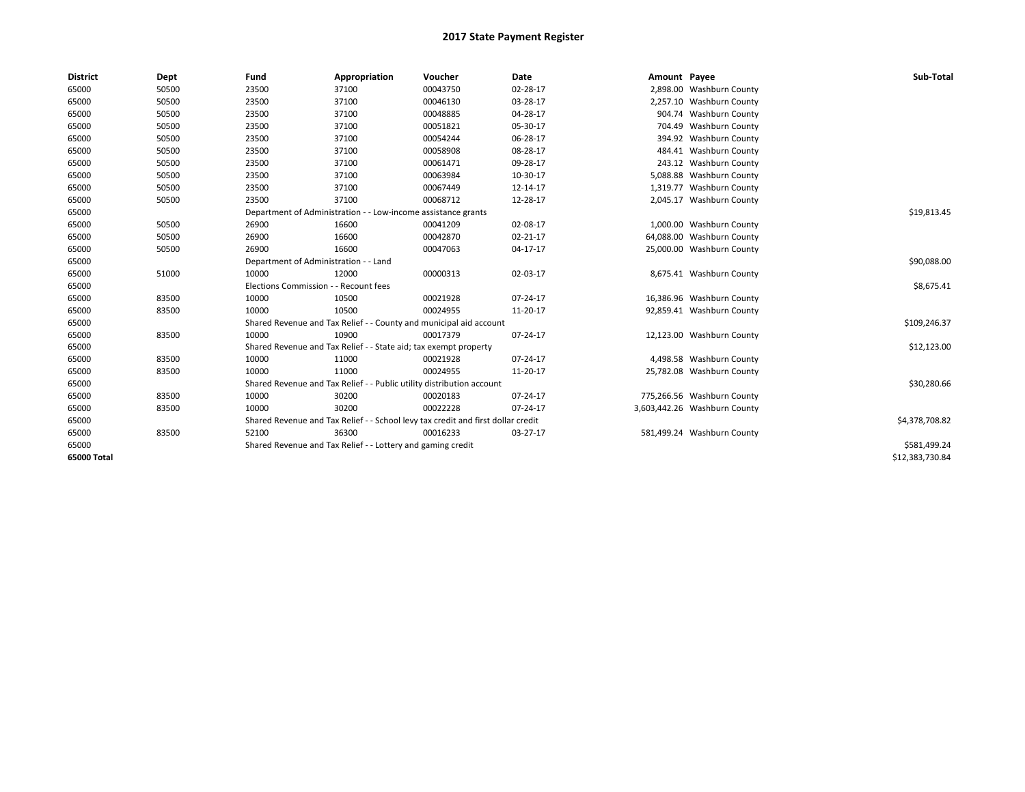| <b>District</b> | <b>Dept</b> | Fund                                  | Appropriation                                                                    | Voucher  | Date           | Amount Payee |                              | Sub-Total       |
|-----------------|-------------|---------------------------------------|----------------------------------------------------------------------------------|----------|----------------|--------------|------------------------------|-----------------|
| 65000           | 50500       | 23500                                 | 37100                                                                            | 00043750 | 02-28-17       |              | 2,898.00 Washburn County     |                 |
| 65000           | 50500       | 23500                                 | 37100                                                                            | 00046130 | 03-28-17       |              | 2,257.10 Washburn County     |                 |
| 65000           | 50500       | 23500                                 | 37100                                                                            | 00048885 | 04-28-17       |              | 904.74 Washburn County       |                 |
| 65000           | 50500       | 23500                                 | 37100                                                                            | 00051821 | 05-30-17       |              | 704.49 Washburn County       |                 |
| 65000           | 50500       | 23500                                 | 37100                                                                            | 00054244 | 06-28-17       |              | 394.92 Washburn County       |                 |
| 65000           | 50500       | 23500                                 | 37100                                                                            | 00058908 | 08-28-17       |              | 484.41 Washburn County       |                 |
| 65000           | 50500       | 23500                                 | 37100                                                                            | 00061471 | 09-28-17       |              | 243.12 Washburn County       |                 |
| 65000           | 50500       | 23500                                 | 37100                                                                            | 00063984 | 10-30-17       |              | 5,088.88 Washburn County     |                 |
| 65000           | 50500       | 23500                                 | 37100                                                                            | 00067449 | 12-14-17       |              | 1,319.77 Washburn County     |                 |
| 65000           | 50500       | 23500                                 | 37100                                                                            | 00068712 | 12-28-17       |              | 2,045.17 Washburn County     |                 |
| 65000           |             |                                       | Department of Administration - - Low-income assistance grants                    |          |                |              |                              | \$19,813.45     |
| 65000           | 50500       | 26900                                 | 16600                                                                            | 00041209 | 02-08-17       |              | 1,000.00 Washburn County     |                 |
| 65000           | 50500       | 26900                                 | 16600                                                                            | 00042870 | 02-21-17       |              | 64,088.00 Washburn County    |                 |
| 65000           | 50500       | 26900                                 | 16600                                                                            | 00047063 | 04-17-17       |              | 25,000.00 Washburn County    |                 |
| 65000           |             | Department of Administration - - Land |                                                                                  |          |                |              |                              | \$90,088.00     |
| 65000           | 51000       | 10000                                 | 12000                                                                            | 00000313 | 02-03-17       |              | 8,675.41 Washburn County     |                 |
| 65000           |             | Elections Commission - - Recount fees |                                                                                  |          |                |              |                              | \$8,675.41      |
| 65000           | 83500       | 10000                                 | 10500                                                                            | 00021928 | 07-24-17       |              | 16,386.96 Washburn County    |                 |
| 65000           | 83500       | 10000                                 | 10500                                                                            | 00024955 | 11-20-17       |              | 92,859.41 Washburn County    |                 |
| 65000           |             |                                       | Shared Revenue and Tax Relief - - County and municipal aid account               |          |                |              |                              | \$109,246.37    |
| 65000           | 83500       | 10000                                 | 10900                                                                            | 00017379 | 07-24-17       |              | 12,123.00 Washburn County    |                 |
| 65000           |             |                                       | Shared Revenue and Tax Relief - - State aid; tax exempt property                 |          |                |              |                              | \$12,123.00     |
| 65000           | 83500       | 10000                                 | 11000                                                                            | 00021928 | $07 - 24 - 17$ |              | 4,498.58 Washburn County     |                 |
| 65000           | 83500       | 10000                                 | 11000                                                                            | 00024955 | 11-20-17       |              | 25,782.08 Washburn County    |                 |
| 65000           |             |                                       | Shared Revenue and Tax Relief - - Public utility distribution account            |          |                |              |                              | \$30,280.66     |
| 65000           | 83500       | 10000                                 | 30200                                                                            | 00020183 | 07-24-17       |              | 775,266.56 Washburn County   |                 |
| 65000           | 83500       | 10000                                 | 30200                                                                            | 00022228 | 07-24-17       |              | 3,603,442.26 Washburn County |                 |
| 65000           |             |                                       | Shared Revenue and Tax Relief - - School levy tax credit and first dollar credit |          |                |              |                              | \$4,378,708.82  |
| 65000           | 83500       | 52100                                 | 36300                                                                            | 00016233 | 03-27-17       |              | 581,499.24 Washburn County   |                 |
| 65000           |             |                                       | Shared Revenue and Tax Relief - - Lottery and gaming credit                      |          |                |              |                              | \$581,499.24    |
| 65000 Total     |             |                                       |                                                                                  |          |                |              |                              | \$12,383,730.84 |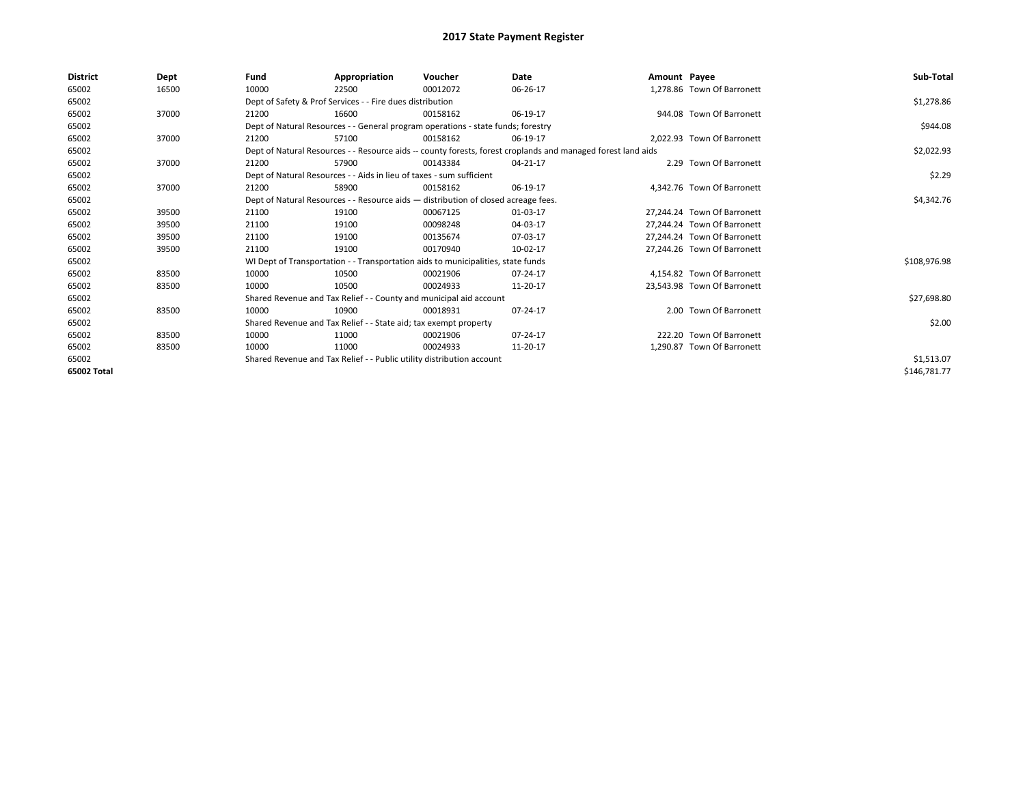| <b>District</b> | Dept  | Fund  | Appropriation                                                                      | Voucher  | Date                                                                                                         | Amount Payee |                             | Sub-Total    |
|-----------------|-------|-------|------------------------------------------------------------------------------------|----------|--------------------------------------------------------------------------------------------------------------|--------------|-----------------------------|--------------|
| 65002           | 16500 | 10000 | 22500                                                                              | 00012072 | 06-26-17                                                                                                     |              | 1,278.86 Town Of Barronett  |              |
| 65002           |       |       | Dept of Safety & Prof Services - - Fire dues distribution                          |          |                                                                                                              |              |                             | \$1,278.86   |
| 65002           | 37000 | 21200 | 16600                                                                              | 00158162 | 06-19-17                                                                                                     |              | 944.08 Town Of Barronett    |              |
| 65002           |       |       | Dept of Natural Resources - - General program operations - state funds; forestry   |          |                                                                                                              |              |                             | \$944.08     |
| 65002           | 37000 | 21200 | 57100                                                                              | 00158162 | 06-19-17                                                                                                     |              | 2.022.93 Town Of Barronett  |              |
| 65002           |       |       |                                                                                    |          | Dept of Natural Resources - - Resource aids -- county forests, forest croplands and managed forest land aids |              |                             | \$2,022.93   |
| 65002           | 37000 | 21200 | 57900                                                                              | 00143384 | 04-21-17                                                                                                     |              | 2.29 Town Of Barronett      |              |
| 65002           |       |       | Dept of Natural Resources - - Aids in lieu of taxes - sum sufficient               |          |                                                                                                              |              |                             | \$2.29       |
| 65002           | 37000 | 21200 | 58900                                                                              | 00158162 | 06-19-17                                                                                                     |              | 4,342.76 Town Of Barronett  |              |
| 65002           |       |       | Dept of Natural Resources - - Resource aids - distribution of closed acreage fees. |          |                                                                                                              |              |                             | \$4,342.76   |
| 65002           | 39500 | 21100 | 19100                                                                              | 00067125 | 01-03-17                                                                                                     |              | 27.244.24 Town Of Barronett |              |
| 65002           | 39500 | 21100 | 19100                                                                              | 00098248 | 04-03-17                                                                                                     |              | 27,244.24 Town Of Barronett |              |
| 65002           | 39500 | 21100 | 19100                                                                              | 00135674 | 07-03-17                                                                                                     |              | 27.244.24 Town Of Barronett |              |
| 65002           | 39500 | 21100 | 19100                                                                              | 00170940 | 10-02-17                                                                                                     |              | 27,244.26 Town Of Barronett |              |
| 65002           |       |       | WI Dept of Transportation - - Transportation aids to municipalities, state funds   |          |                                                                                                              |              |                             | \$108,976.98 |
| 65002           | 83500 | 10000 | 10500                                                                              | 00021906 | 07-24-17                                                                                                     |              | 4,154.82 Town Of Barronett  |              |
| 65002           | 83500 | 10000 | 10500                                                                              | 00024933 | 11-20-17                                                                                                     |              | 23,543.98 Town Of Barronett |              |
| 65002           |       |       | Shared Revenue and Tax Relief - - County and municipal aid account                 |          |                                                                                                              |              |                             | \$27,698.80  |
| 65002           | 83500 | 10000 | 10900                                                                              | 00018931 | 07-24-17                                                                                                     |              | 2.00 Town Of Barronett      |              |
| 65002           |       |       | Shared Revenue and Tax Relief - - State aid; tax exempt property                   |          |                                                                                                              |              |                             | \$2.00       |
| 65002           | 83500 | 10000 | 11000                                                                              | 00021906 | 07-24-17                                                                                                     |              | 222.20 Town Of Barronett    |              |
| 65002           | 83500 | 10000 | 11000                                                                              | 00024933 | 11-20-17                                                                                                     |              | 1,290.87 Town Of Barronett  |              |
| 65002           |       |       | Shared Revenue and Tax Relief - - Public utility distribution account              |          |                                                                                                              |              |                             | \$1,513.07   |
| 65002 Total     |       |       |                                                                                    |          |                                                                                                              |              |                             | \$146,781.77 |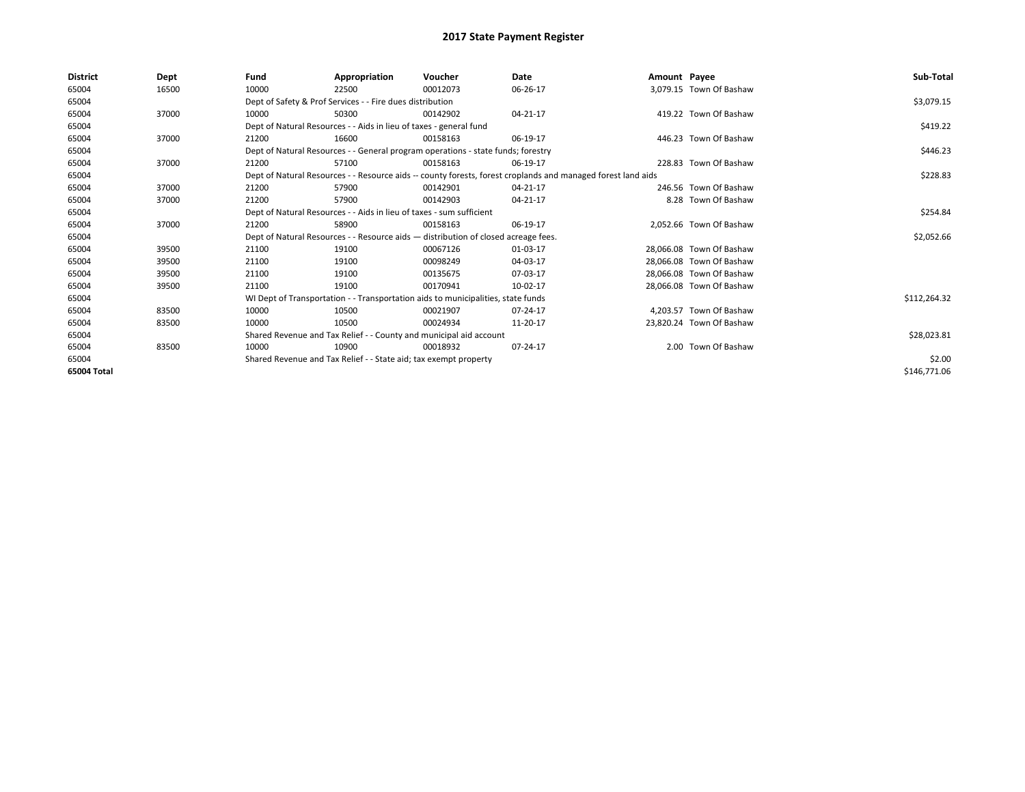| <b>District</b> | Dept  | Fund  | Appropriation                                                        | Voucher                                                                            | Date                                                                                                         | Amount Payee |                          | Sub-Total    |
|-----------------|-------|-------|----------------------------------------------------------------------|------------------------------------------------------------------------------------|--------------------------------------------------------------------------------------------------------------|--------------|--------------------------|--------------|
| 65004           | 16500 | 10000 | 22500                                                                | 00012073                                                                           | 06-26-17                                                                                                     |              | 3,079.15 Town Of Bashaw  |              |
| 65004           |       |       | Dept of Safety & Prof Services - - Fire dues distribution            |                                                                                    |                                                                                                              |              |                          | \$3,079.15   |
| 65004           | 37000 | 10000 | 50300                                                                | 00142902                                                                           | 04-21-17                                                                                                     |              | 419.22 Town Of Bashaw    |              |
| 65004           |       |       | Dept of Natural Resources - - Aids in lieu of taxes - general fund   |                                                                                    |                                                                                                              |              |                          | \$419.22     |
| 65004           | 37000 | 21200 | 16600                                                                | 00158163                                                                           | 06-19-17                                                                                                     |              | 446.23 Town Of Bashaw    |              |
| 65004           |       |       |                                                                      | Dept of Natural Resources - - General program operations - state funds; forestry   |                                                                                                              |              |                          | \$446.23     |
| 65004           | 37000 | 21200 | 57100                                                                | 00158163                                                                           | 06-19-17                                                                                                     |              | 228.83 Town Of Bashaw    |              |
| 65004           |       |       |                                                                      |                                                                                    | Dept of Natural Resources - - Resource aids -- county forests, forest croplands and managed forest land aids |              |                          | \$228.83     |
| 65004           | 37000 | 21200 | 57900                                                                | 00142901                                                                           | 04-21-17                                                                                                     |              | 246.56 Town Of Bashaw    |              |
| 65004           | 37000 | 21200 | 57900                                                                | 00142903                                                                           | 04-21-17                                                                                                     |              | 8.28 Town Of Bashaw      |              |
| 65004           |       |       | Dept of Natural Resources - - Aids in lieu of taxes - sum sufficient |                                                                                    |                                                                                                              |              |                          | \$254.84     |
| 65004           | 37000 | 21200 | 58900                                                                | 00158163                                                                           | 06-19-17                                                                                                     |              | 2.052.66 Town Of Bashaw  |              |
| 65004           |       |       |                                                                      | Dept of Natural Resources - - Resource aids - distribution of closed acreage fees. |                                                                                                              |              |                          | \$2,052.66   |
| 65004           | 39500 | 21100 | 19100                                                                | 00067126                                                                           | 01-03-17                                                                                                     |              | 28.066.08 Town Of Bashaw |              |
| 65004           | 39500 | 21100 | 19100                                                                | 00098249                                                                           | 04-03-17                                                                                                     |              | 28,066.08 Town Of Bashaw |              |
| 65004           | 39500 | 21100 | 19100                                                                | 00135675                                                                           | 07-03-17                                                                                                     |              | 28,066.08 Town Of Bashaw |              |
| 65004           | 39500 | 21100 | 19100                                                                | 00170941                                                                           | 10-02-17                                                                                                     |              | 28,066.08 Town Of Bashaw |              |
| 65004           |       |       |                                                                      | WI Dept of Transportation - - Transportation aids to municipalities, state funds   |                                                                                                              |              |                          | \$112,264.32 |
| 65004           | 83500 | 10000 | 10500                                                                | 00021907                                                                           | 07-24-17                                                                                                     |              | 4.203.57 Town Of Bashaw  |              |
| 65004           | 83500 | 10000 | 10500                                                                | 00024934                                                                           | 11-20-17                                                                                                     |              | 23,820.24 Town Of Bashaw |              |
| 65004           |       |       | Shared Revenue and Tax Relief - - County and municipal aid account   |                                                                                    |                                                                                                              |              |                          | \$28,023.81  |
| 65004           | 83500 | 10000 | 10900                                                                | 00018932                                                                           | 07-24-17                                                                                                     |              | 2.00 Town Of Bashaw      |              |
| 65004           |       |       | Shared Revenue and Tax Relief - - State aid; tax exempt property     |                                                                                    |                                                                                                              |              |                          | \$2.00       |
| 65004 Total     |       |       |                                                                      |                                                                                    |                                                                                                              |              |                          | \$146,771.06 |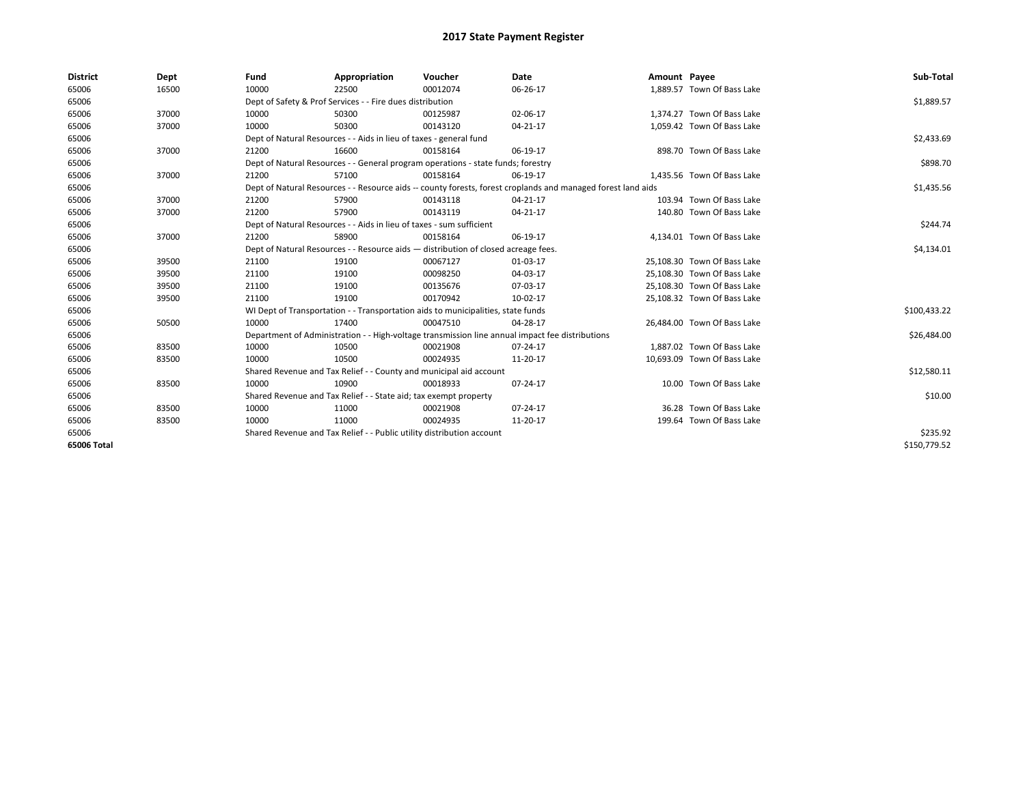| <b>District</b> | Dept  | Fund  | Appropriation                                                                      | Voucher  | Date                                                                                                         | Amount Payee |                             | Sub-Total    |
|-----------------|-------|-------|------------------------------------------------------------------------------------|----------|--------------------------------------------------------------------------------------------------------------|--------------|-----------------------------|--------------|
| 65006           | 16500 | 10000 | 22500                                                                              | 00012074 | 06-26-17                                                                                                     |              | 1,889.57 Town Of Bass Lake  |              |
| 65006           |       |       | Dept of Safety & Prof Services - - Fire dues distribution                          |          |                                                                                                              |              |                             | \$1,889.57   |
| 65006           | 37000 | 10000 | 50300                                                                              | 00125987 | 02-06-17                                                                                                     |              | 1,374.27 Town Of Bass Lake  |              |
| 65006           | 37000 | 10000 | 50300                                                                              | 00143120 | 04-21-17                                                                                                     |              | 1,059.42 Town Of Bass Lake  |              |
| 65006           |       |       | Dept of Natural Resources - - Aids in lieu of taxes - general fund                 |          | \$2,433.69                                                                                                   |              |                             |              |
| 65006           | 37000 | 21200 | 16600                                                                              | 00158164 | 06-19-17                                                                                                     |              | 898.70 Town Of Bass Lake    |              |
| 65006           |       |       | Dept of Natural Resources - - General program operations - state funds; forestry   |          |                                                                                                              |              |                             | \$898.70     |
| 65006           | 37000 | 21200 | 57100                                                                              | 00158164 | 06-19-17                                                                                                     |              | 1,435.56 Town Of Bass Lake  |              |
| 65006           |       |       |                                                                                    |          | Dept of Natural Resources - - Resource aids -- county forests, forest croplands and managed forest land aids |              |                             | \$1,435.56   |
| 65006           | 37000 | 21200 | 57900                                                                              | 00143118 | 04-21-17                                                                                                     |              | 103.94 Town Of Bass Lake    |              |
| 65006           | 37000 | 21200 | 57900                                                                              | 00143119 | 04-21-17                                                                                                     |              | 140.80 Town Of Bass Lake    |              |
| 65006           |       |       | Dept of Natural Resources - - Aids in lieu of taxes - sum sufficient               |          |                                                                                                              |              |                             | \$244.74     |
| 65006           | 37000 | 21200 | 58900                                                                              | 00158164 | 06-19-17                                                                                                     |              | 4,134.01 Town Of Bass Lake  |              |
| 65006           |       |       | Dept of Natural Resources - - Resource aids - distribution of closed acreage fees. |          | \$4,134.01                                                                                                   |              |                             |              |
| 65006           | 39500 | 21100 | 19100                                                                              | 00067127 | 01-03-17                                                                                                     |              | 25,108.30 Town Of Bass Lake |              |
| 65006           | 39500 | 21100 | 19100                                                                              | 00098250 | 04-03-17                                                                                                     |              | 25,108.30 Town Of Bass Lake |              |
| 65006           | 39500 | 21100 | 19100                                                                              | 00135676 | 07-03-17                                                                                                     |              | 25,108.30 Town Of Bass Lake |              |
| 65006           | 39500 | 21100 | 19100                                                                              | 00170942 | 10-02-17                                                                                                     |              | 25,108.32 Town Of Bass Lake |              |
| 65006           |       |       | WI Dept of Transportation - - Transportation aids to municipalities, state funds   |          |                                                                                                              |              |                             | \$100,433.22 |
| 65006           | 50500 | 10000 | 17400                                                                              | 00047510 | 04-28-17                                                                                                     |              | 26.484.00 Town Of Bass Lake |              |
| 65006           |       |       |                                                                                    |          | Department of Administration - - High-voltage transmission line annual impact fee distributions              |              |                             | \$26,484.00  |
| 65006           | 83500 | 10000 | 10500                                                                              | 00021908 | 07-24-17                                                                                                     |              | 1,887.02 Town Of Bass Lake  |              |
| 65006           | 83500 | 10000 | 10500                                                                              | 00024935 | 11-20-17                                                                                                     |              | 10,693.09 Town Of Bass Lake |              |
| 65006           |       |       | Shared Revenue and Tax Relief - - County and municipal aid account                 |          |                                                                                                              |              |                             | \$12,580.11  |
| 65006           | 83500 | 10000 | 10900                                                                              | 00018933 | 07-24-17                                                                                                     |              | 10.00 Town Of Bass Lake     |              |
| 65006           |       |       | Shared Revenue and Tax Relief - - State aid; tax exempt property                   |          |                                                                                                              |              |                             | \$10.00      |
| 65006           | 83500 | 10000 | 11000                                                                              | 00021908 | 07-24-17                                                                                                     |              | 36.28 Town Of Bass Lake     |              |
| 65006           | 83500 | 10000 | 11000                                                                              | 00024935 | 11-20-17                                                                                                     |              | 199.64 Town Of Bass Lake    |              |
| 65006           |       |       | Shared Revenue and Tax Relief - - Public utility distribution account              |          |                                                                                                              |              |                             | \$235.92     |
| 65006 Total     |       |       |                                                                                    |          |                                                                                                              |              |                             | \$150,779.52 |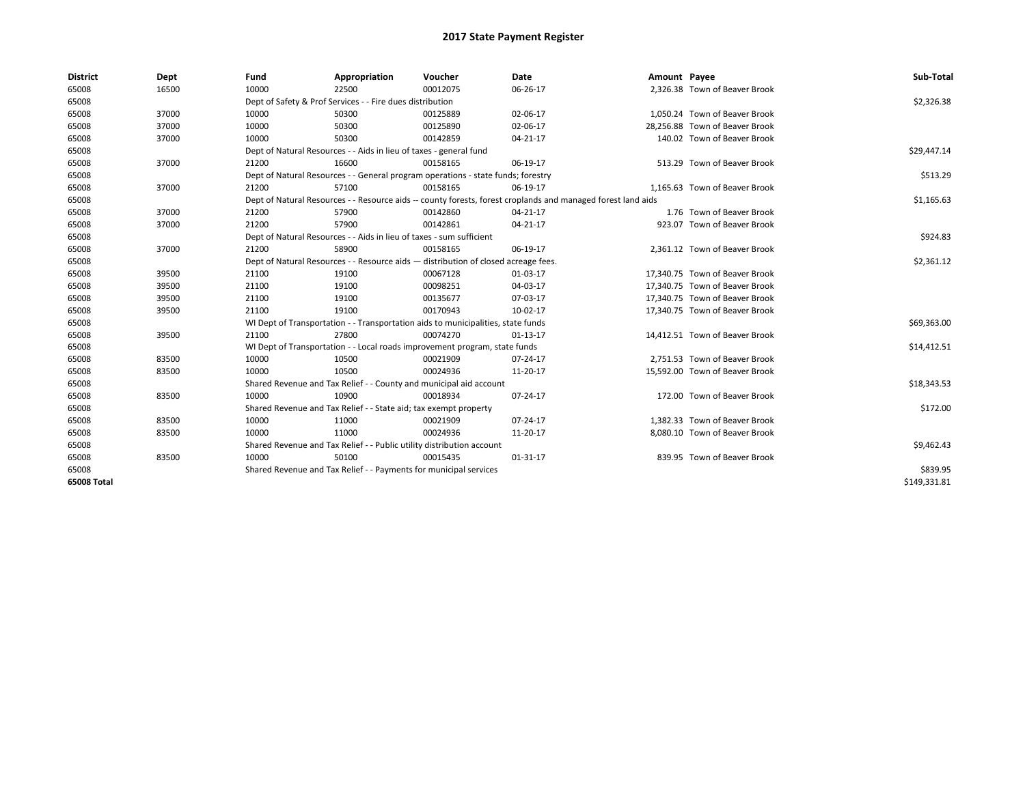| <b>District</b> | Dept  | Fund                                                                               | Appropriation                                                         | Voucher                                                                          | <b>Date</b>                                                                                                  | Amount Payee |                                | Sub-Total    |
|-----------------|-------|------------------------------------------------------------------------------------|-----------------------------------------------------------------------|----------------------------------------------------------------------------------|--------------------------------------------------------------------------------------------------------------|--------------|--------------------------------|--------------|
| 65008           | 16500 | 10000                                                                              | 22500                                                                 | 00012075                                                                         | 06-26-17                                                                                                     |              | 2,326.38 Town of Beaver Brook  |              |
| 65008           |       |                                                                                    | Dept of Safety & Prof Services - - Fire dues distribution             |                                                                                  |                                                                                                              |              |                                | \$2,326.38   |
| 65008           | 37000 | 10000                                                                              | 50300                                                                 | 00125889                                                                         | 02-06-17                                                                                                     |              | 1.050.24 Town of Beaver Brook  |              |
| 65008           | 37000 | 10000                                                                              | 50300                                                                 | 00125890                                                                         | 02-06-17                                                                                                     |              | 28,256.88 Town of Beaver Brook |              |
| 65008           | 37000 | 10000                                                                              | 50300                                                                 | 00142859                                                                         | 04-21-17                                                                                                     |              | 140.02 Town of Beaver Brook    |              |
| 65008           |       |                                                                                    | Dept of Natural Resources - - Aids in lieu of taxes - general fund    |                                                                                  |                                                                                                              |              |                                | \$29,447.14  |
| 65008           | 37000 | 21200                                                                              | 16600                                                                 | 00158165                                                                         | 06-19-17                                                                                                     |              | 513.29 Town of Beaver Brook    |              |
| 65008           |       |                                                                                    |                                                                       | Dept of Natural Resources - - General program operations - state funds; forestry |                                                                                                              |              |                                | \$513.29     |
| 65008           | 37000 | 21200                                                                              | 57100                                                                 | 00158165                                                                         | 06-19-17                                                                                                     |              | 1,165.63 Town of Beaver Brook  |              |
| 65008           |       |                                                                                    |                                                                       |                                                                                  | Dept of Natural Resources - - Resource aids -- county forests, forest croplands and managed forest land aids |              |                                | \$1,165.63   |
| 65008           | 37000 | 21200                                                                              | 57900                                                                 | 00142860                                                                         | 04-21-17                                                                                                     |              | 1.76 Town of Beaver Brook      |              |
| 65008           | 37000 | 21200                                                                              | 57900                                                                 | 00142861                                                                         | 04-21-17                                                                                                     |              | 923.07 Town of Beaver Brook    |              |
| 65008           |       |                                                                                    | Dept of Natural Resources - - Aids in lieu of taxes - sum sufficient  |                                                                                  |                                                                                                              |              |                                | \$924.83     |
| 65008           | 37000 | 21200                                                                              | 58900                                                                 | 00158165                                                                         | 06-19-17                                                                                                     |              | 2,361.12 Town of Beaver Brook  |              |
| 65008           |       | Dept of Natural Resources - - Resource aids - distribution of closed acreage fees. |                                                                       | \$2,361.12                                                                       |                                                                                                              |              |                                |              |
| 65008           | 39500 | 21100                                                                              | 19100                                                                 | 00067128                                                                         | 01-03-17                                                                                                     |              | 17,340.75 Town of Beaver Brook |              |
| 65008           | 39500 | 21100                                                                              | 19100                                                                 | 00098251                                                                         | 04-03-17                                                                                                     |              | 17,340.75 Town of Beaver Brook |              |
| 65008           | 39500 | 21100                                                                              | 19100                                                                 | 00135677                                                                         | 07-03-17                                                                                                     |              | 17.340.75 Town of Beaver Brook |              |
| 65008           | 39500 | 21100                                                                              | 19100                                                                 | 00170943                                                                         | 10-02-17                                                                                                     |              | 17,340.75 Town of Beaver Brook |              |
| 65008           |       |                                                                                    |                                                                       | WI Dept of Transportation - - Transportation aids to municipalities, state funds |                                                                                                              |              |                                | \$69,363.00  |
| 65008           | 39500 | 21100                                                                              | 27800                                                                 | 00074270                                                                         | $01-13-17$                                                                                                   |              | 14,412.51 Town of Beaver Brook |              |
| 65008           |       |                                                                                    |                                                                       | WI Dept of Transportation - - Local roads improvement program, state funds       |                                                                                                              |              |                                | \$14,412.51  |
| 65008           | 83500 | 10000                                                                              | 10500                                                                 | 00021909                                                                         | 07-24-17                                                                                                     |              | 2.751.53 Town of Beaver Brook  |              |
| 65008           | 83500 | 10000                                                                              | 10500                                                                 | 00024936                                                                         | 11-20-17                                                                                                     |              | 15,592.00 Town of Beaver Brook |              |
| 65008           |       |                                                                                    | Shared Revenue and Tax Relief - - County and municipal aid account    |                                                                                  |                                                                                                              |              |                                | \$18,343.53  |
| 65008           | 83500 | 10000                                                                              | 10900                                                                 | 00018934                                                                         | 07-24-17                                                                                                     |              | 172.00 Town of Beaver Brook    |              |
| 65008           |       |                                                                                    | Shared Revenue and Tax Relief - - State aid; tax exempt property      |                                                                                  |                                                                                                              |              |                                | \$172.00     |
| 65008           | 83500 | 10000                                                                              | 11000                                                                 | 00021909                                                                         | 07-24-17                                                                                                     |              | 1,382.33 Town of Beaver Brook  |              |
| 65008           | 83500 | 10000                                                                              | 11000                                                                 | 00024936                                                                         | 11-20-17                                                                                                     |              | 8,080.10 Town of Beaver Brook  |              |
| 65008           |       |                                                                                    | Shared Revenue and Tax Relief - - Public utility distribution account |                                                                                  |                                                                                                              |              |                                | \$9,462.43   |
| 65008           | 83500 | 10000                                                                              | 50100                                                                 | 00015435                                                                         | 01-31-17                                                                                                     |              | 839.95 Town of Beaver Brook    |              |
| 65008           |       |                                                                                    | Shared Revenue and Tax Relief - - Payments for municipal services     |                                                                                  |                                                                                                              |              |                                | \$839.95     |
| 65008 Total     |       |                                                                                    |                                                                       |                                                                                  |                                                                                                              |              |                                | \$149,331.81 |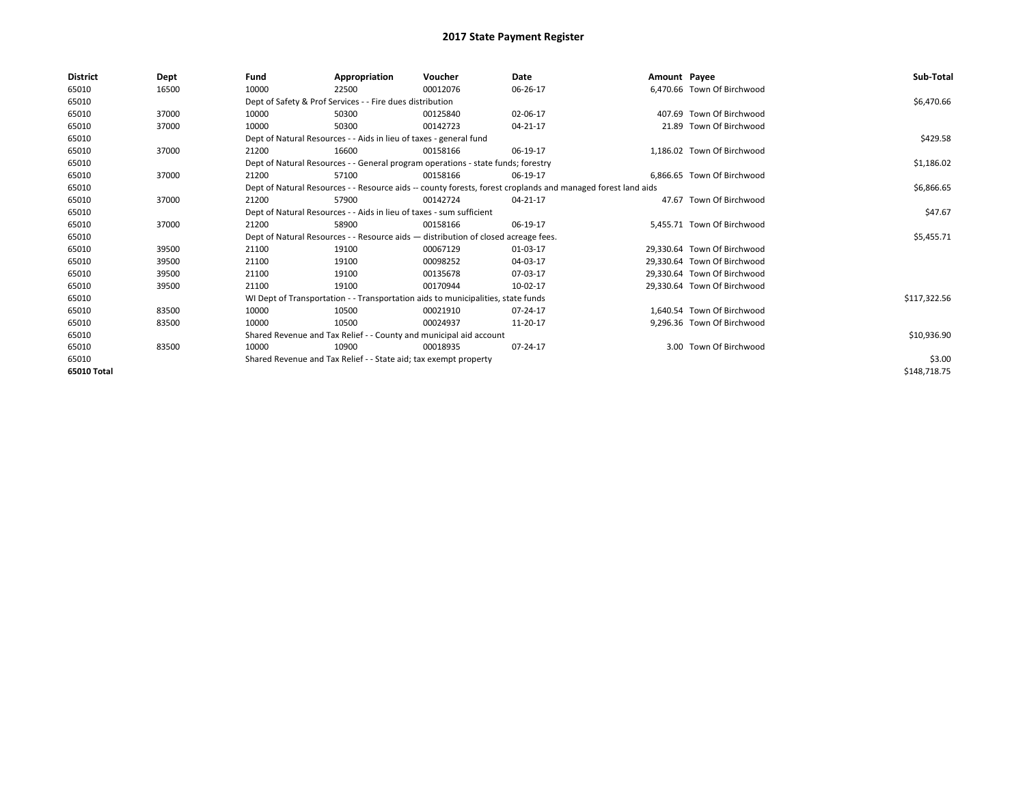| District    | Dept  | Fund  | Appropriation                                                                      | Voucher  | Date                                                                                                         | Amount Payee |                             | Sub-Total    |
|-------------|-------|-------|------------------------------------------------------------------------------------|----------|--------------------------------------------------------------------------------------------------------------|--------------|-----------------------------|--------------|
| 65010       | 16500 | 10000 | 22500                                                                              | 00012076 | 06-26-17                                                                                                     |              | 6.470.66 Town Of Birchwood  |              |
| 65010       |       |       | Dept of Safety & Prof Services - - Fire dues distribution                          |          |                                                                                                              |              |                             | \$6,470.66   |
| 65010       | 37000 | 10000 | 50300                                                                              | 00125840 | 02-06-17                                                                                                     |              | 407.69 Town Of Birchwood    |              |
| 65010       | 37000 | 10000 | 50300                                                                              | 00142723 | 04-21-17                                                                                                     |              | 21.89 Town Of Birchwood     |              |
| 65010       |       |       | Dept of Natural Resources - - Aids in lieu of taxes - general fund                 |          |                                                                                                              |              |                             | \$429.58     |
| 65010       | 37000 | 21200 | 16600                                                                              | 00158166 | 06-19-17                                                                                                     |              | 1.186.02 Town Of Birchwood  |              |
| 65010       |       |       | Dept of Natural Resources - - General program operations - state funds; forestry   |          |                                                                                                              |              |                             | \$1,186.02   |
| 65010       | 37000 | 21200 | 57100                                                                              | 00158166 | 06-19-17                                                                                                     |              | 6,866.65 Town Of Birchwood  |              |
| 65010       |       |       |                                                                                    |          | Dept of Natural Resources - - Resource aids -- county forests, forest croplands and managed forest land aids |              |                             | \$6,866.65   |
| 65010       | 37000 | 21200 | 57900                                                                              | 00142724 | 04-21-17                                                                                                     |              | 47.67 Town Of Birchwood     |              |
| 65010       |       |       | Dept of Natural Resources - - Aids in lieu of taxes - sum sufficient               |          |                                                                                                              |              |                             | \$47.67      |
| 65010       | 37000 | 21200 | 58900                                                                              | 00158166 | 06-19-17                                                                                                     |              | 5,455.71 Town Of Birchwood  |              |
| 65010       |       |       | Dept of Natural Resources - - Resource aids - distribution of closed acreage fees. |          |                                                                                                              |              |                             | \$5,455.71   |
| 65010       | 39500 | 21100 | 19100                                                                              | 00067129 | 01-03-17                                                                                                     |              | 29,330.64 Town Of Birchwood |              |
| 65010       | 39500 | 21100 | 19100                                                                              | 00098252 | 04-03-17                                                                                                     |              | 29.330.64 Town Of Birchwood |              |
| 65010       | 39500 | 21100 | 19100                                                                              | 00135678 | 07-03-17                                                                                                     |              | 29.330.64 Town Of Birchwood |              |
| 65010       | 39500 | 21100 | 19100                                                                              | 00170944 | 10-02-17                                                                                                     |              | 29,330.64 Town Of Birchwood |              |
| 65010       |       |       | WI Dept of Transportation - - Transportation aids to municipalities, state funds   |          |                                                                                                              |              |                             | \$117,322.56 |
| 65010       | 83500 | 10000 | 10500                                                                              | 00021910 | 07-24-17                                                                                                     |              | 1.640.54 Town Of Birchwood  |              |
| 65010       | 83500 | 10000 | 10500                                                                              | 00024937 | 11-20-17                                                                                                     |              | 9,296.36 Town Of Birchwood  |              |
| 65010       |       |       | Shared Revenue and Tax Relief - - County and municipal aid account                 |          |                                                                                                              |              |                             | \$10,936.90  |
| 65010       | 83500 | 10000 | 10900                                                                              | 00018935 | 07-24-17                                                                                                     |              | 3.00 Town Of Birchwood      |              |
| 65010       |       |       | Shared Revenue and Tax Relief - - State aid; tax exempt property                   |          |                                                                                                              |              |                             | \$3.00       |
| 65010 Total |       |       |                                                                                    |          |                                                                                                              |              |                             | \$148,718.75 |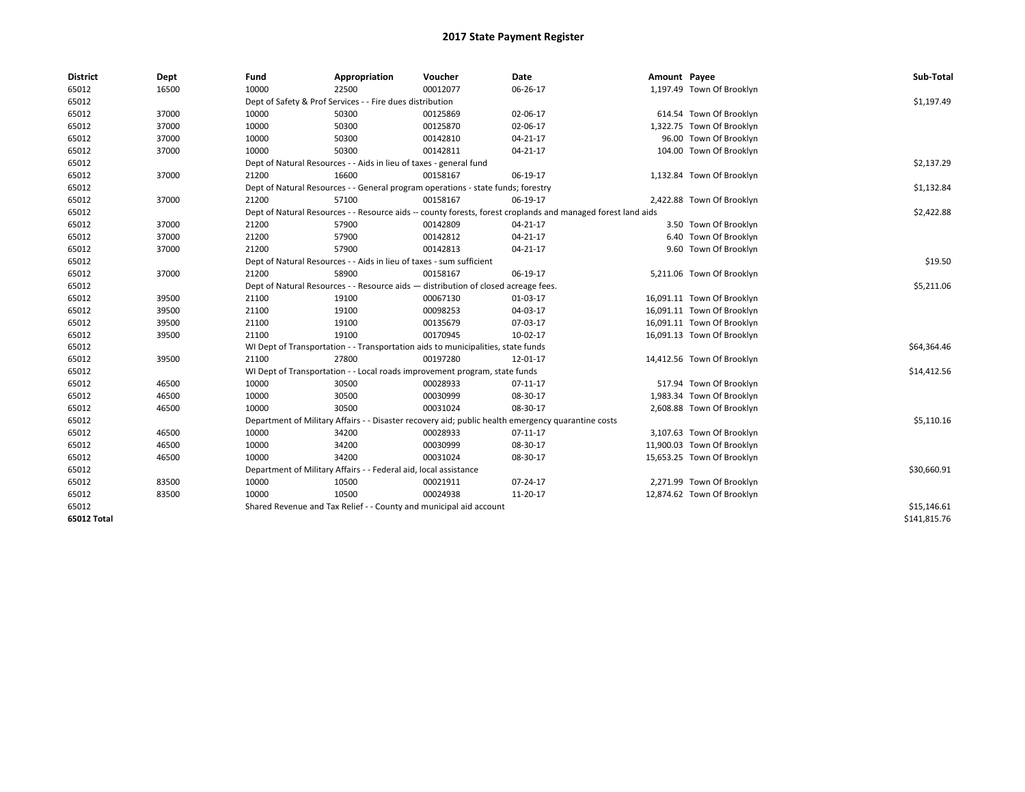| <b>District</b> | Dept  | Fund  | Appropriation                                                                      | Voucher  | Date                                                                                                         | Amount Payee |                            | Sub-Total    |
|-----------------|-------|-------|------------------------------------------------------------------------------------|----------|--------------------------------------------------------------------------------------------------------------|--------------|----------------------------|--------------|
| 65012           | 16500 | 10000 | 22500                                                                              | 00012077 | 06-26-17                                                                                                     |              | 1,197.49 Town Of Brooklyn  |              |
| 65012           |       |       | Dept of Safety & Prof Services - - Fire dues distribution                          |          |                                                                                                              |              |                            | \$1,197.49   |
| 65012           | 37000 | 10000 | 50300                                                                              | 00125869 | 02-06-17                                                                                                     |              | 614.54 Town Of Brooklyn    |              |
| 65012           | 37000 | 10000 | 50300                                                                              | 00125870 | 02-06-17                                                                                                     |              | 1,322.75 Town Of Brooklyn  |              |
| 65012           | 37000 | 10000 | 50300                                                                              | 00142810 | 04-21-17                                                                                                     |              | 96.00 Town Of Brooklyn     |              |
| 65012           | 37000 | 10000 | 50300                                                                              | 00142811 | 04-21-17                                                                                                     |              | 104.00 Town Of Brooklyn    |              |
| 65012           |       |       | Dept of Natural Resources - - Aids in lieu of taxes - general fund                 |          |                                                                                                              |              |                            | \$2,137.29   |
| 65012           | 37000 | 21200 | 16600                                                                              | 00158167 | 06-19-17                                                                                                     |              | 1,132.84 Town Of Brooklyn  |              |
| 65012           |       |       | Dept of Natural Resources - - General program operations - state funds; forestry   |          |                                                                                                              |              |                            | \$1,132.84   |
| 65012           | 37000 | 21200 | 57100                                                                              | 00158167 | 06-19-17                                                                                                     |              | 2,422.88 Town Of Brooklyn  |              |
| 65012           |       |       |                                                                                    |          | Dept of Natural Resources - - Resource aids -- county forests, forest croplands and managed forest land aids |              |                            | \$2,422.88   |
| 65012           | 37000 | 21200 | 57900                                                                              | 00142809 | $04 - 21 - 17$                                                                                               |              | 3.50 Town Of Brooklyn      |              |
| 65012           | 37000 | 21200 | 57900                                                                              | 00142812 | $04 - 21 - 17$                                                                                               |              | 6.40 Town Of Brooklyn      |              |
| 65012           | 37000 | 21200 | 57900                                                                              | 00142813 | $04 - 21 - 17$                                                                                               |              | 9.60 Town Of Brooklyn      |              |
| 65012           |       |       | Dept of Natural Resources - - Aids in lieu of taxes - sum sufficient               |          |                                                                                                              |              |                            | \$19.50      |
| 65012           | 37000 | 21200 | 58900                                                                              | 00158167 | 06-19-17                                                                                                     |              | 5,211.06 Town Of Brooklyn  |              |
| 65012           |       |       | Dept of Natural Resources - - Resource aids - distribution of closed acreage fees. |          |                                                                                                              |              |                            | \$5,211.06   |
| 65012           | 39500 | 21100 | 19100                                                                              | 00067130 | 01-03-17                                                                                                     |              | 16,091.11 Town Of Brooklyn |              |
| 65012           | 39500 | 21100 | 19100                                                                              | 00098253 | 04-03-17                                                                                                     |              | 16,091.11 Town Of Brooklyn |              |
| 65012           | 39500 | 21100 | 19100                                                                              | 00135679 | 07-03-17                                                                                                     |              | 16,091.11 Town Of Brooklyn |              |
| 65012           | 39500 | 21100 | 19100                                                                              | 00170945 | 10-02-17                                                                                                     |              | 16,091.13 Town Of Brooklyn |              |
| 65012           |       |       | WI Dept of Transportation - - Transportation aids to municipalities, state funds   |          |                                                                                                              |              |                            | \$64,364.46  |
| 65012           | 39500 | 21100 | 27800                                                                              | 00197280 | 12-01-17                                                                                                     |              | 14,412.56 Town Of Brooklyn |              |
| 65012           |       |       | WI Dept of Transportation - - Local roads improvement program, state funds         |          |                                                                                                              |              |                            | \$14,412.56  |
| 65012           | 46500 | 10000 | 30500                                                                              | 00028933 | 07-11-17                                                                                                     |              | 517.94 Town Of Brooklyn    |              |
| 65012           | 46500 | 10000 | 30500                                                                              | 00030999 | 08-30-17                                                                                                     |              | 1,983.34 Town Of Brooklyn  |              |
| 65012           | 46500 | 10000 | 30500                                                                              | 00031024 | 08-30-17                                                                                                     |              | 2,608.88 Town Of Brooklyn  |              |
| 65012           |       |       |                                                                                    |          | Department of Military Affairs - - Disaster recovery aid; public health emergency quarantine costs           |              |                            | \$5,110.16   |
| 65012           | 46500 | 10000 | 34200                                                                              | 00028933 | 07-11-17                                                                                                     |              | 3,107.63 Town Of Brooklyn  |              |
| 65012           | 46500 | 10000 | 34200                                                                              | 00030999 | 08-30-17                                                                                                     |              | 11,900.03 Town Of Brooklyn |              |
| 65012           | 46500 | 10000 | 34200                                                                              | 00031024 | 08-30-17                                                                                                     |              | 15,653.25 Town Of Brooklyn |              |
| 65012           |       |       | Department of Military Affairs - - Federal aid, local assistance                   |          |                                                                                                              |              |                            | \$30,660.91  |
| 65012           | 83500 | 10000 | 10500                                                                              | 00021911 | 07-24-17                                                                                                     |              | 2,271.99 Town Of Brooklyn  |              |
| 65012           | 83500 | 10000 | 10500                                                                              | 00024938 | 11-20-17                                                                                                     |              | 12,874.62 Town Of Brooklyn |              |
| 65012           |       |       | Shared Revenue and Tax Relief - - County and municipal aid account                 |          |                                                                                                              |              |                            | \$15,146.61  |
| 65012 Total     |       |       |                                                                                    |          |                                                                                                              |              |                            | \$141,815.76 |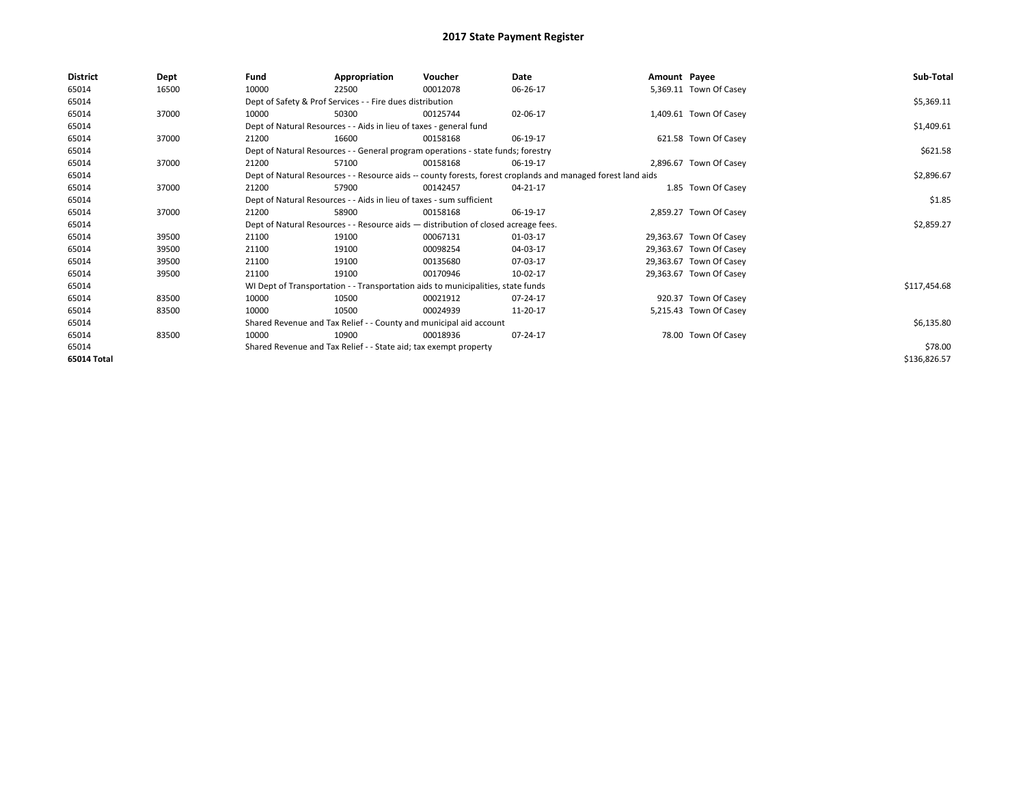| <b>District</b> | Dept  | Fund  | Appropriation                                                                      | Voucher  | Date                                                                                                         | Amount Payee |                         | Sub-Total    |
|-----------------|-------|-------|------------------------------------------------------------------------------------|----------|--------------------------------------------------------------------------------------------------------------|--------------|-------------------------|--------------|
| 65014           | 16500 | 10000 | 22500                                                                              | 00012078 | 06-26-17                                                                                                     |              | 5,369.11 Town Of Casey  |              |
| 65014           |       |       | Dept of Safety & Prof Services - - Fire dues distribution                          |          |                                                                                                              |              |                         | \$5,369.11   |
| 65014           | 37000 | 10000 | 50300                                                                              | 00125744 | 02-06-17                                                                                                     |              | 1,409.61 Town Of Casey  |              |
| 65014           |       |       | Dept of Natural Resources - - Aids in lieu of taxes - general fund                 |          |                                                                                                              |              |                         | \$1,409.61   |
| 65014           | 37000 | 21200 | 16600                                                                              | 00158168 | 06-19-17                                                                                                     |              | 621.58 Town Of Casey    |              |
| 65014           |       |       | Dept of Natural Resources - - General program operations - state funds; forestry   |          |                                                                                                              |              |                         | \$621.58     |
| 65014           | 37000 | 21200 | 57100                                                                              | 00158168 | 06-19-17                                                                                                     |              | 2,896.67 Town Of Casey  |              |
| 65014           |       |       |                                                                                    |          | Dept of Natural Resources - - Resource aids -- county forests, forest croplands and managed forest land aids |              |                         | \$2,896.67   |
| 65014           | 37000 | 21200 | 57900                                                                              | 00142457 | 04-21-17                                                                                                     |              | 1.85 Town Of Casey      |              |
| 65014           |       |       | Dept of Natural Resources - - Aids in lieu of taxes - sum sufficient               |          |                                                                                                              |              |                         | \$1.85       |
| 65014           | 37000 | 21200 | 58900                                                                              | 00158168 | 06-19-17                                                                                                     |              | 2,859.27 Town Of Casey  |              |
| 65014           |       |       | Dept of Natural Resources - - Resource aids - distribution of closed acreage fees. |          |                                                                                                              |              |                         | \$2,859.27   |
| 65014           | 39500 | 21100 | 19100                                                                              | 00067131 | 01-03-17                                                                                                     |              | 29,363.67 Town Of Casey |              |
| 65014           | 39500 | 21100 | 19100                                                                              | 00098254 | 04-03-17                                                                                                     |              | 29,363.67 Town Of Casey |              |
| 65014           | 39500 | 21100 | 19100                                                                              | 00135680 | 07-03-17                                                                                                     |              | 29,363.67 Town Of Casey |              |
| 65014           | 39500 | 21100 | 19100                                                                              | 00170946 | 10-02-17                                                                                                     |              | 29,363.67 Town Of Casey |              |
| 65014           |       |       | WI Dept of Transportation - - Transportation aids to municipalities, state funds   |          |                                                                                                              |              |                         | \$117,454.68 |
| 65014           | 83500 | 10000 | 10500                                                                              | 00021912 | 07-24-17                                                                                                     |              | 920.37 Town Of Casey    |              |
| 65014           | 83500 | 10000 | 10500                                                                              | 00024939 | 11-20-17                                                                                                     |              | 5,215.43 Town Of Casey  |              |
| 65014           |       |       | Shared Revenue and Tax Relief - - County and municipal aid account                 |          |                                                                                                              |              |                         | \$6,135.80   |
| 65014           | 83500 | 10000 | 10900                                                                              | 00018936 | 07-24-17                                                                                                     |              | 78.00 Town Of Casey     |              |
| 65014           |       |       | Shared Revenue and Tax Relief - - State aid; tax exempt property                   |          |                                                                                                              |              |                         | \$78.00      |
| 65014 Total     |       |       |                                                                                    |          |                                                                                                              |              |                         | \$136,826.57 |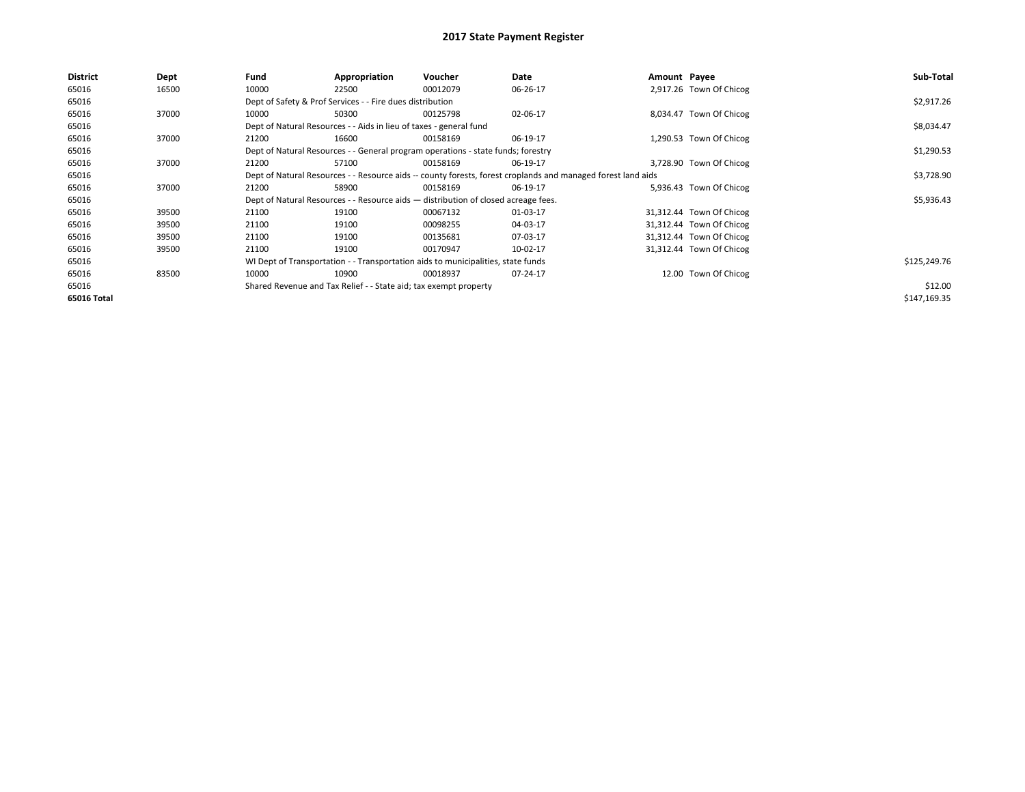| <b>District</b> | Dept  | Fund                                                             | Appropriation                                                                                                | Voucher  | Date       | Amount Payee |                          | Sub-Total    |
|-----------------|-------|------------------------------------------------------------------|--------------------------------------------------------------------------------------------------------------|----------|------------|--------------|--------------------------|--------------|
| 65016           | 16500 | 10000                                                            | 22500                                                                                                        | 00012079 | 06-26-17   |              | 2,917.26 Town Of Chicog  |              |
| 65016           |       |                                                                  | Dept of Safety & Prof Services - - Fire dues distribution                                                    |          |            |              |                          | \$2,917.26   |
| 65016           | 37000 | 10000                                                            | 50300                                                                                                        | 00125798 | 02-06-17   |              | 8,034.47 Town Of Chicog  |              |
| 65016           |       |                                                                  | Dept of Natural Resources - - Aids in lieu of taxes - general fund                                           |          |            |              |                          | \$8,034.47   |
| 65016           | 37000 | 21200                                                            | 16600                                                                                                        | 00158169 | 06-19-17   |              | 1,290.53 Town Of Chicog  |              |
| 65016           |       |                                                                  | Dept of Natural Resources - - General program operations - state funds; forestry                             |          |            |              |                          | \$1,290.53   |
| 65016           | 37000 | 21200                                                            | 57100                                                                                                        | 00158169 | 06-19-17   |              | 3,728.90 Town Of Chicog  |              |
| 65016           |       |                                                                  | Dept of Natural Resources - - Resource aids -- county forests, forest croplands and managed forest land aids |          | \$3,728.90 |              |                          |              |
| 65016           | 37000 | 21200                                                            | 58900                                                                                                        | 00158169 | 06-19-17   |              | 5,936.43 Town Of Chicog  |              |
| 65016           |       |                                                                  | Dept of Natural Resources - - Resource aids - distribution of closed acreage fees.                           |          |            |              |                          | \$5,936.43   |
| 65016           | 39500 | 21100                                                            | 19100                                                                                                        | 00067132 | 01-03-17   |              | 31,312.44 Town Of Chicog |              |
| 65016           | 39500 | 21100                                                            | 19100                                                                                                        | 00098255 | 04-03-17   |              | 31,312.44 Town Of Chicog |              |
| 65016           | 39500 | 21100                                                            | 19100                                                                                                        | 00135681 | 07-03-17   |              | 31,312.44 Town Of Chicog |              |
| 65016           | 39500 | 21100                                                            | 19100                                                                                                        | 00170947 | 10-02-17   |              | 31,312.44 Town Of Chicog |              |
| 65016           |       |                                                                  | WI Dept of Transportation - - Transportation aids to municipalities, state funds                             |          |            |              |                          | \$125,249.76 |
| 65016           | 83500 | 10000                                                            | 10900                                                                                                        | 00018937 | 07-24-17   |              | 12.00 Town Of Chicog     |              |
| 65016           |       | Shared Revenue and Tax Relief - - State aid; tax exempt property |                                                                                                              | \$12.00  |            |              |                          |              |
| 65016 Total     |       |                                                                  |                                                                                                              |          |            |              |                          | \$147,169.35 |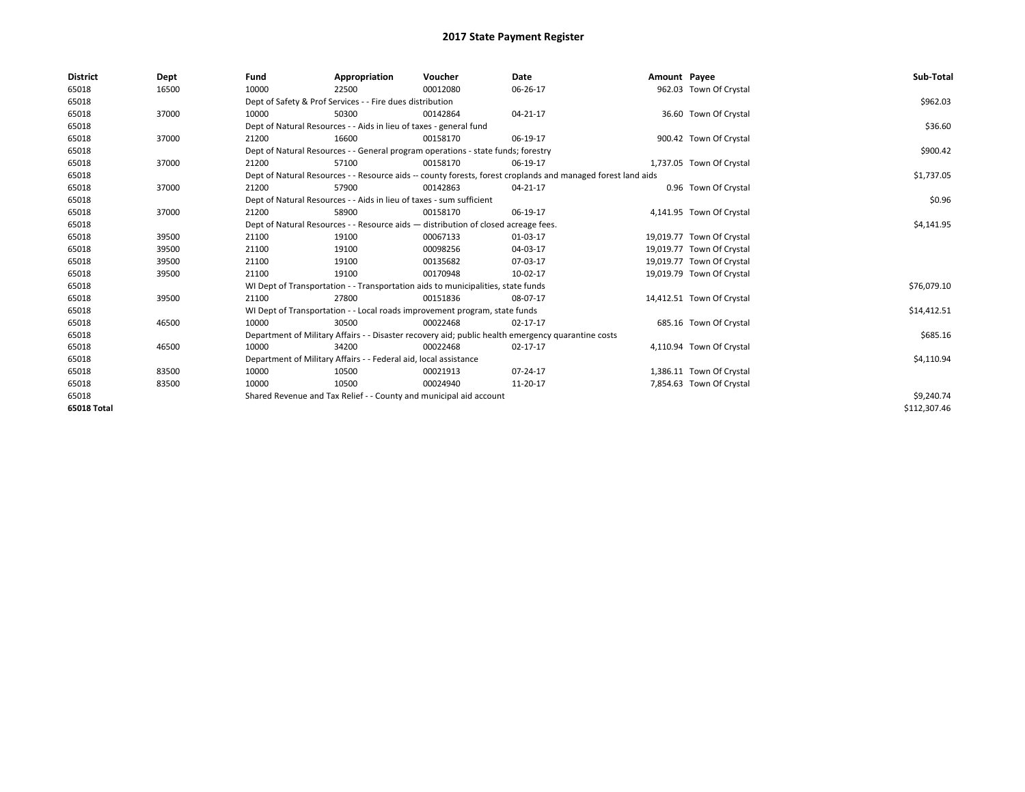| <b>District</b>    | Dept  | Fund                                                                                                         | Appropriation                                                                    | Voucher    | Date                                                                                               | Amount Payee |                           | Sub-Total    |
|--------------------|-------|--------------------------------------------------------------------------------------------------------------|----------------------------------------------------------------------------------|------------|----------------------------------------------------------------------------------------------------|--------------|---------------------------|--------------|
| 65018              | 16500 | 10000                                                                                                        | 22500                                                                            | 00012080   | 06-26-17                                                                                           |              | 962.03 Town Of Crystal    |              |
| 65018              |       |                                                                                                              | Dept of Safety & Prof Services - - Fire dues distribution                        |            |                                                                                                    |              |                           | \$962.03     |
| 65018              | 37000 | 10000                                                                                                        | 50300                                                                            | 00142864   | 04-21-17                                                                                           |              | 36.60 Town Of Crystal     |              |
| 65018              |       |                                                                                                              | Dept of Natural Resources - - Aids in lieu of taxes - general fund               |            |                                                                                                    |              |                           | \$36.60      |
| 65018              | 37000 | 21200                                                                                                        | 16600                                                                            | 00158170   | 06-19-17                                                                                           |              | 900.42 Town Of Crystal    |              |
| 65018              |       |                                                                                                              | Dept of Natural Resources - - General program operations - state funds; forestry |            |                                                                                                    |              |                           | \$900.42     |
| 65018              | 37000 | 21200                                                                                                        | 57100                                                                            | 00158170   | 06-19-17                                                                                           |              | 1,737.05 Town Of Crystal  |              |
| 65018              |       | Dept of Natural Resources - - Resource aids -- county forests, forest croplands and managed forest land aids |                                                                                  | \$1,737.05 |                                                                                                    |              |                           |              |
| 65018              | 37000 | 21200                                                                                                        | 57900                                                                            | 00142863   | 04-21-17                                                                                           |              | 0.96 Town Of Crystal      |              |
| 65018              |       |                                                                                                              | Dept of Natural Resources - - Aids in lieu of taxes - sum sufficient             |            |                                                                                                    |              |                           | \$0.96       |
| 65018              | 37000 | 21200                                                                                                        | 58900                                                                            | 00158170   | 06-19-17                                                                                           |              | 4,141.95 Town Of Crystal  |              |
| 65018              |       | Dept of Natural Resources - - Resource aids - distribution of closed acreage fees.                           |                                                                                  | \$4,141.95 |                                                                                                    |              |                           |              |
| 65018              | 39500 | 21100                                                                                                        | 19100                                                                            | 00067133   | 01-03-17                                                                                           |              | 19,019.77 Town Of Crystal |              |
| 65018              | 39500 | 21100                                                                                                        | 19100                                                                            | 00098256   | 04-03-17                                                                                           |              | 19,019.77 Town Of Crystal |              |
| 65018              | 39500 | 21100                                                                                                        | 19100                                                                            | 00135682   | 07-03-17                                                                                           |              | 19,019.77 Town Of Crystal |              |
| 65018              | 39500 | 21100                                                                                                        | 19100                                                                            | 00170948   | 10-02-17                                                                                           |              | 19,019.79 Town Of Crystal |              |
| 65018              |       |                                                                                                              | WI Dept of Transportation - - Transportation aids to municipalities, state funds |            |                                                                                                    |              |                           | \$76,079.10  |
| 65018              | 39500 | 21100                                                                                                        | 27800                                                                            | 00151836   | 08-07-17                                                                                           |              | 14,412.51 Town Of Crystal |              |
| 65018              |       |                                                                                                              | WI Dept of Transportation - - Local roads improvement program, state funds       |            |                                                                                                    |              |                           | \$14,412.51  |
| 65018              | 46500 | 10000                                                                                                        | 30500                                                                            | 00022468   | 02-17-17                                                                                           |              | 685.16 Town Of Crystal    |              |
| 65018              |       |                                                                                                              |                                                                                  |            | Department of Military Affairs - - Disaster recovery aid; public health emergency quarantine costs |              |                           | \$685.16     |
| 65018              | 46500 | 10000                                                                                                        | 34200                                                                            | 00022468   | 02-17-17                                                                                           |              | 4,110.94 Town Of Crystal  |              |
| 65018              |       |                                                                                                              | Department of Military Affairs - - Federal aid, local assistance                 |            |                                                                                                    |              |                           | \$4,110.94   |
| 65018              | 83500 | 10000                                                                                                        | 10500                                                                            | 00021913   | 07-24-17                                                                                           |              | 1,386.11 Town Of Crystal  |              |
| 65018              | 83500 | 10000                                                                                                        | 10500                                                                            | 00024940   | 11-20-17                                                                                           |              | 7,854.63 Town Of Crystal  |              |
| 65018              |       | Shared Revenue and Tax Relief - - County and municipal aid account                                           |                                                                                  | \$9,240.74 |                                                                                                    |              |                           |              |
| <b>65018 Total</b> |       |                                                                                                              |                                                                                  |            |                                                                                                    |              |                           | \$112,307.46 |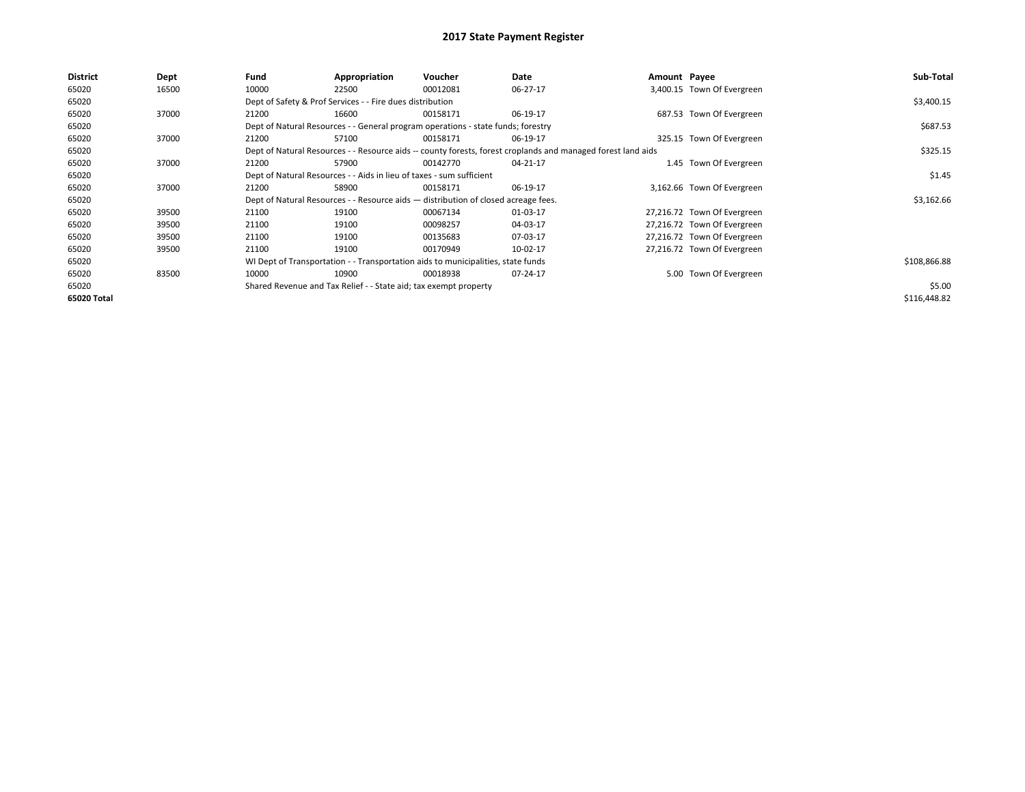| <b>District</b> | Dept  | Fund                                                                 | Appropriation                                                                                                | Voucher  | Date     | Amount Payee |                             | Sub-Total    |
|-----------------|-------|----------------------------------------------------------------------|--------------------------------------------------------------------------------------------------------------|----------|----------|--------------|-----------------------------|--------------|
| 65020           | 16500 | 10000                                                                | 22500                                                                                                        | 00012081 | 06-27-17 |              | 3,400.15 Town Of Evergreen  |              |
| 65020           |       |                                                                      | Dept of Safety & Prof Services - - Fire dues distribution                                                    |          |          |              |                             | \$3,400.15   |
| 65020           | 37000 | 21200                                                                | 16600                                                                                                        | 00158171 | 06-19-17 |              | 687.53 Town Of Evergreen    |              |
| 65020           |       |                                                                      | Dept of Natural Resources - - General program operations - state funds; forestry                             |          |          |              |                             | \$687.53     |
| 65020           | 37000 | 21200                                                                | 57100                                                                                                        | 00158171 | 06-19-17 |              | 325.15 Town Of Evergreen    |              |
| 65020           |       |                                                                      | Dept of Natural Resources - - Resource aids -- county forests, forest croplands and managed forest land aids |          | \$325.15 |              |                             |              |
| 65020           | 37000 | 21200                                                                | 57900                                                                                                        | 00142770 | 04-21-17 |              | 1.45 Town Of Evergreen      |              |
| 65020           |       | Dept of Natural Resources - - Aids in lieu of taxes - sum sufficient |                                                                                                              | \$1.45   |          |              |                             |              |
| 65020           | 37000 | 21200                                                                | 58900                                                                                                        | 00158171 | 06-19-17 |              | 3,162.66 Town Of Evergreen  |              |
| 65020           |       |                                                                      | Dept of Natural Resources - - Resource aids - distribution of closed acreage fees.                           |          |          |              |                             | \$3,162.66   |
| 65020           | 39500 | 21100                                                                | 19100                                                                                                        | 00067134 | 01-03-17 |              | 27,216.72 Town Of Evergreen |              |
| 65020           | 39500 | 21100                                                                | 19100                                                                                                        | 00098257 | 04-03-17 |              | 27,216.72 Town Of Evergreen |              |
| 65020           | 39500 | 21100                                                                | 19100                                                                                                        | 00135683 | 07-03-17 |              | 27,216.72 Town Of Evergreen |              |
| 65020           | 39500 | 21100                                                                | 19100                                                                                                        | 00170949 | 10-02-17 |              | 27,216.72 Town Of Evergreen |              |
| 65020           |       |                                                                      | WI Dept of Transportation - - Transportation aids to municipalities, state funds                             |          |          |              |                             | \$108,866.88 |
| 65020           | 83500 | 10000                                                                | 10900                                                                                                        | 00018938 | 07-24-17 |              | 5.00 Town Of Evergreen      |              |
| 65020           |       | Shared Revenue and Tax Relief - - State aid; tax exempt property     |                                                                                                              |          |          |              |                             | \$5.00       |
| 65020 Total     |       |                                                                      |                                                                                                              |          |          |              |                             | \$116,448.82 |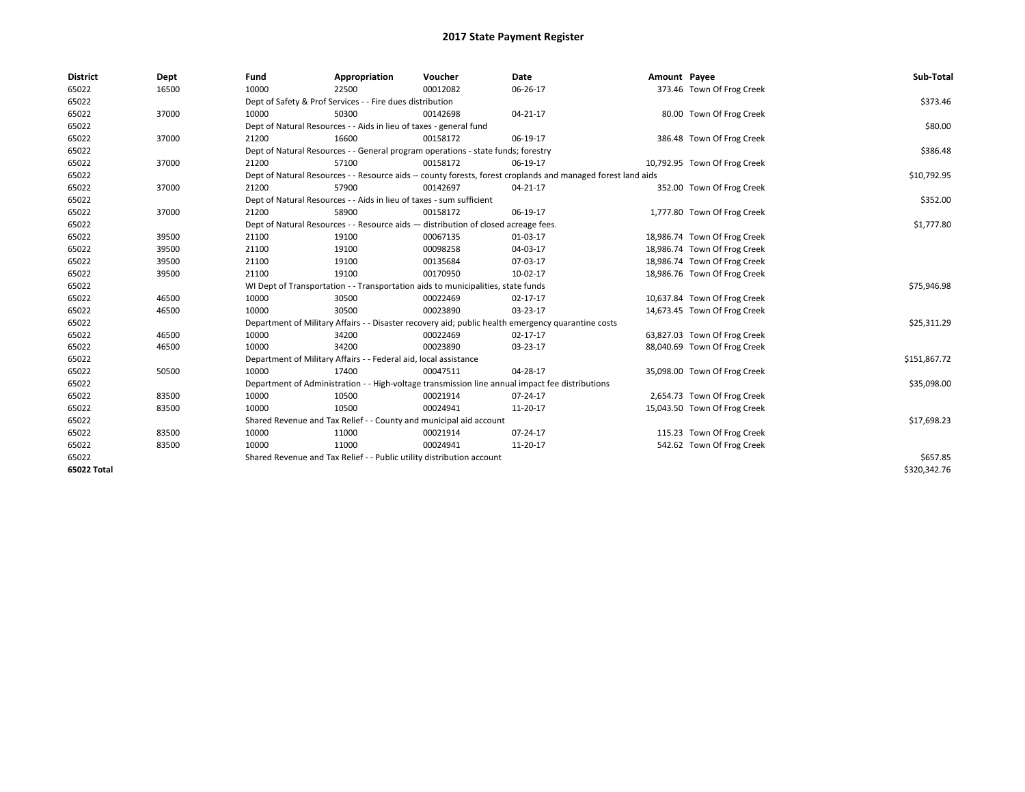| <b>District</b> | Dept  | Fund                                                                                                         | Appropriation                                                         | Voucher                                                                          | Date                                                                                               | Amount Payee |                              | Sub-Total    |
|-----------------|-------|--------------------------------------------------------------------------------------------------------------|-----------------------------------------------------------------------|----------------------------------------------------------------------------------|----------------------------------------------------------------------------------------------------|--------------|------------------------------|--------------|
| 65022           | 16500 | 10000                                                                                                        | 22500                                                                 | 00012082                                                                         | 06-26-17                                                                                           |              | 373.46 Town Of Frog Creek    |              |
| 65022           |       |                                                                                                              | Dept of Safety & Prof Services - - Fire dues distribution             |                                                                                  |                                                                                                    |              |                              | \$373.46     |
| 65022           | 37000 | 10000                                                                                                        | 50300                                                                 | 00142698                                                                         | $04 - 21 - 17$                                                                                     |              | 80.00 Town Of Frog Creek     |              |
| 65022           |       |                                                                                                              | Dept of Natural Resources - - Aids in lieu of taxes - general fund    |                                                                                  |                                                                                                    |              |                              | \$80.00      |
| 65022           | 37000 | 21200                                                                                                        | 16600                                                                 | 00158172                                                                         | 06-19-17                                                                                           |              | 386.48 Town Of Frog Creek    |              |
| 65022           |       | Dept of Natural Resources - - General program operations - state funds; forestry                             |                                                                       | \$386.48                                                                         |                                                                                                    |              |                              |              |
| 65022           | 37000 | 21200                                                                                                        | 57100                                                                 | 00158172                                                                         | 06-19-17                                                                                           |              | 10,792.95 Town Of Frog Creek |              |
| 65022           |       | Dept of Natural Resources - - Resource aids -- county forests, forest croplands and managed forest land aids |                                                                       | \$10,792.95                                                                      |                                                                                                    |              |                              |              |
| 65022           | 37000 | 21200                                                                                                        | 57900                                                                 | 00142697                                                                         | $04 - 21 - 17$                                                                                     |              | 352.00 Town Of Frog Creek    |              |
| 65022           |       |                                                                                                              | Dept of Natural Resources - - Aids in lieu of taxes - sum sufficient  |                                                                                  |                                                                                                    |              |                              | \$352.00     |
| 65022           | 37000 | 21200                                                                                                        | 58900                                                                 | 00158172                                                                         | 06-19-17                                                                                           |              | 1,777.80 Town Of Frog Creek  |              |
| 65022           |       | Dept of Natural Resources - - Resource aids - distribution of closed acreage fees.                           |                                                                       | \$1,777.80                                                                       |                                                                                                    |              |                              |              |
| 65022           | 39500 | 21100                                                                                                        | 19100                                                                 | 00067135                                                                         | 01-03-17                                                                                           |              | 18,986.74 Town Of Frog Creek |              |
| 65022           | 39500 | 21100                                                                                                        | 19100                                                                 | 00098258                                                                         | 04-03-17                                                                                           |              | 18,986.74 Town Of Frog Creek |              |
| 65022           | 39500 | 21100                                                                                                        | 19100                                                                 | 00135684                                                                         | 07-03-17                                                                                           |              | 18,986.74 Town Of Frog Creek |              |
| 65022           | 39500 | 21100                                                                                                        | 19100                                                                 | 00170950                                                                         | 10-02-17                                                                                           |              | 18,986.76 Town Of Frog Creek |              |
| 65022           |       |                                                                                                              |                                                                       | WI Dept of Transportation - - Transportation aids to municipalities, state funds |                                                                                                    |              |                              | \$75,946.98  |
| 65022           | 46500 | 10000                                                                                                        | 30500                                                                 | 00022469                                                                         | $02 - 17 - 17$                                                                                     |              | 10,637.84 Town Of Frog Creek |              |
| 65022           | 46500 | 10000                                                                                                        | 30500                                                                 | 00023890                                                                         | 03-23-17                                                                                           |              | 14,673.45 Town Of Frog Creek |              |
| 65022           |       |                                                                                                              |                                                                       |                                                                                  | Department of Military Affairs - - Disaster recovery aid; public health emergency quarantine costs |              |                              | \$25,311.29  |
| 65022           | 46500 | 10000                                                                                                        | 34200                                                                 | 00022469                                                                         | $02 - 17 - 17$                                                                                     |              | 63,827.03 Town Of Frog Creek |              |
| 65022           | 46500 | 10000                                                                                                        | 34200                                                                 | 00023890                                                                         | 03-23-17                                                                                           |              | 88,040.69 Town Of Frog Creek |              |
| 65022           |       |                                                                                                              | Department of Military Affairs - - Federal aid, local assistance      |                                                                                  |                                                                                                    |              |                              | \$151,867.72 |
| 65022           | 50500 | 10000                                                                                                        | 17400                                                                 | 00047511                                                                         | 04-28-17                                                                                           |              | 35,098.00 Town Of Frog Creek |              |
| 65022           |       |                                                                                                              |                                                                       |                                                                                  | Department of Administration - - High-voltage transmission line annual impact fee distributions    |              |                              | \$35,098.00  |
| 65022           | 83500 | 10000                                                                                                        | 10500                                                                 | 00021914                                                                         | 07-24-17                                                                                           |              | 2,654.73 Town Of Frog Creek  |              |
| 65022           | 83500 | 10000                                                                                                        | 10500                                                                 | 00024941                                                                         | 11-20-17                                                                                           |              | 15,043.50 Town Of Frog Creek |              |
| 65022           |       |                                                                                                              |                                                                       | Shared Revenue and Tax Relief - - County and municipal aid account               |                                                                                                    |              |                              | \$17,698.23  |
| 65022           | 83500 | 10000                                                                                                        | 11000                                                                 | 00021914                                                                         | 07-24-17                                                                                           |              | 115.23 Town Of Frog Creek    |              |
| 65022           | 83500 | 10000                                                                                                        | 11000                                                                 | 00024941                                                                         | 11-20-17                                                                                           |              | 542.62 Town Of Frog Creek    |              |
| 65022           |       |                                                                                                              | Shared Revenue and Tax Relief - - Public utility distribution account |                                                                                  |                                                                                                    |              |                              | \$657.85     |
| 65022 Total     |       |                                                                                                              |                                                                       |                                                                                  |                                                                                                    |              |                              | \$320,342.76 |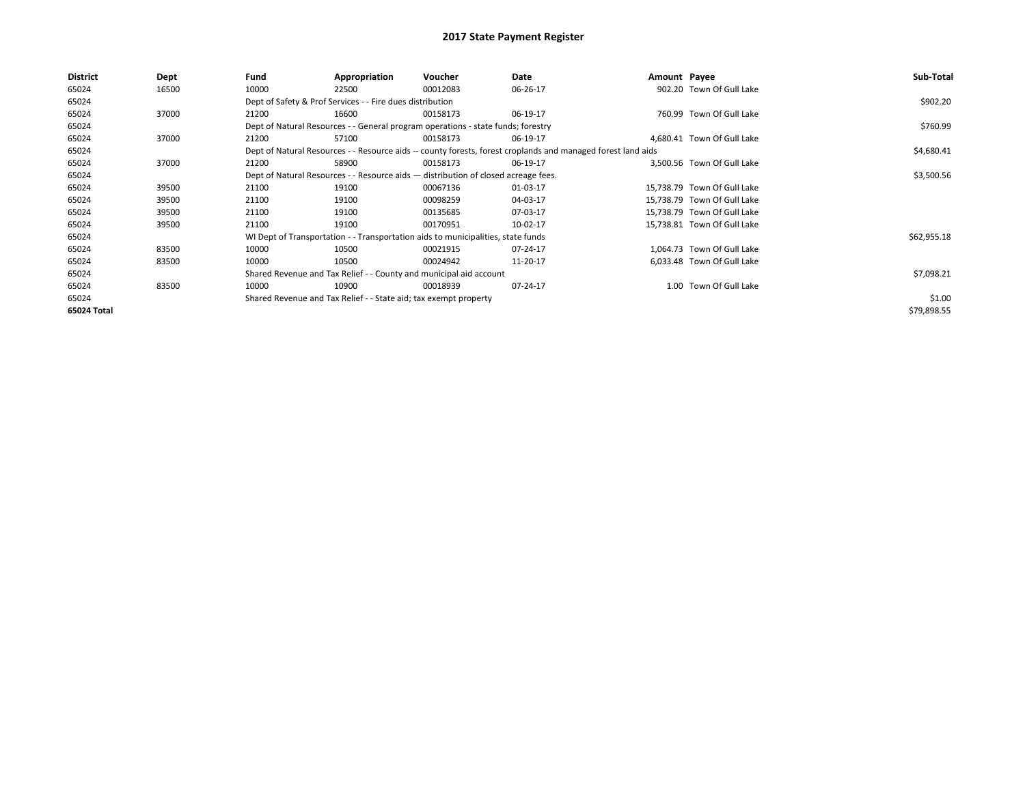| District    | Dept  | Fund  | Appropriation                                                                      | Voucher  | Date                                                                                                         | Amount Payee |                             | Sub-Total   |
|-------------|-------|-------|------------------------------------------------------------------------------------|----------|--------------------------------------------------------------------------------------------------------------|--------------|-----------------------------|-------------|
| 65024       | 16500 | 10000 | 22500                                                                              | 00012083 | 06-26-17                                                                                                     |              | 902.20 Town Of Gull Lake    |             |
| 65024       |       |       | Dept of Safety & Prof Services - - Fire dues distribution                          |          |                                                                                                              |              |                             | \$902.20    |
| 65024       | 37000 | 21200 | 16600                                                                              | 00158173 | 06-19-17                                                                                                     |              | 760.99 Town Of Gull Lake    |             |
| 65024       |       |       | Dept of Natural Resources - - General program operations - state funds; forestry   |          |                                                                                                              |              |                             | \$760.99    |
| 65024       | 37000 | 21200 | 57100                                                                              | 00158173 | 06-19-17                                                                                                     |              | 4,680.41 Town Of Gull Lake  |             |
| 65024       |       |       |                                                                                    |          | Dept of Natural Resources - - Resource aids -- county forests, forest croplands and managed forest land aids |              |                             | \$4,680.41  |
| 65024       | 37000 | 21200 | 58900                                                                              | 00158173 | 06-19-17                                                                                                     |              | 3.500.56 Town Of Gull Lake  |             |
| 65024       |       |       | Dept of Natural Resources - - Resource aids - distribution of closed acreage fees. |          |                                                                                                              |              |                             | \$3,500.56  |
| 65024       | 39500 | 21100 | 19100                                                                              | 00067136 | 01-03-17                                                                                                     |              | 15.738.79 Town Of Gull Lake |             |
| 65024       | 39500 | 21100 | 19100                                                                              | 00098259 | 04-03-17                                                                                                     |              | 15,738.79 Town Of Gull Lake |             |
| 65024       | 39500 | 21100 | 19100                                                                              | 00135685 | 07-03-17                                                                                                     |              | 15,738.79 Town Of Gull Lake |             |
| 65024       | 39500 | 21100 | 19100                                                                              | 00170951 | 10-02-17                                                                                                     |              | 15,738.81 Town Of Gull Lake |             |
| 65024       |       |       | WI Dept of Transportation - - Transportation aids to municipalities, state funds   |          |                                                                                                              |              |                             | \$62,955.18 |
| 65024       | 83500 | 10000 | 10500                                                                              | 00021915 | 07-24-17                                                                                                     |              | 1.064.73 Town Of Gull Lake  |             |
| 65024       | 83500 | 10000 | 10500                                                                              | 00024942 | 11-20-17                                                                                                     |              | 6,033.48 Town Of Gull Lake  |             |
| 65024       |       |       | Shared Revenue and Tax Relief - - County and municipal aid account                 |          |                                                                                                              |              |                             | \$7,098.21  |
| 65024       | 83500 | 10000 | 10900                                                                              | 00018939 | 07-24-17                                                                                                     |              | 1.00 Town Of Gull Lake      |             |
| 65024       |       |       | Shared Revenue and Tax Relief - - State aid; tax exempt property                   |          |                                                                                                              |              |                             | \$1.00      |
| 65024 Total |       |       |                                                                                    |          |                                                                                                              |              |                             | \$79,898.55 |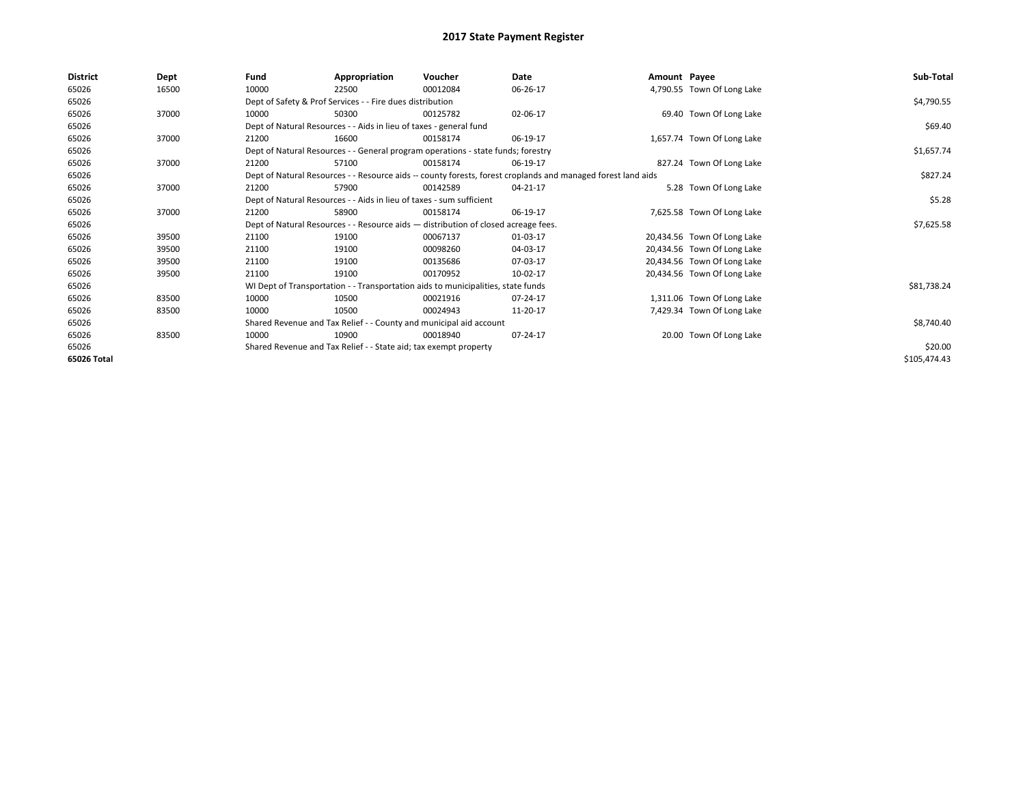| <b>District</b> | Dept  | Fund  | Appropriation                                                                                                | Voucher  | Date     | Amount Payee |                             | Sub-Total    |
|-----------------|-------|-------|--------------------------------------------------------------------------------------------------------------|----------|----------|--------------|-----------------------------|--------------|
| 65026           | 16500 | 10000 | 22500                                                                                                        | 00012084 | 06-26-17 |              | 4,790.55 Town Of Long Lake  |              |
| 65026           |       |       | Dept of Safety & Prof Services - - Fire dues distribution                                                    |          |          |              |                             | \$4,790.55   |
| 65026           | 37000 | 10000 | 50300                                                                                                        | 00125782 | 02-06-17 |              | 69.40 Town Of Long Lake     |              |
| 65026           |       |       | Dept of Natural Resources - - Aids in lieu of taxes - general fund                                           |          |          |              |                             | \$69.40      |
| 65026           | 37000 | 21200 | 16600                                                                                                        | 00158174 | 06-19-17 |              | 1,657.74 Town Of Long Lake  |              |
| 65026           |       |       | Dept of Natural Resources - - General program operations - state funds; forestry                             |          |          |              |                             | \$1,657.74   |
| 65026           | 37000 | 21200 | 57100                                                                                                        | 00158174 | 06-19-17 |              | 827.24 Town Of Long Lake    |              |
| 65026           |       |       | Dept of Natural Resources - - Resource aids -- county forests, forest croplands and managed forest land aids |          | \$827.24 |              |                             |              |
| 65026           | 37000 | 21200 | 57900                                                                                                        | 00142589 | 04-21-17 |              | 5.28 Town Of Long Lake      |              |
| 65026           |       |       | Dept of Natural Resources - - Aids in lieu of taxes - sum sufficient                                         |          |          |              |                             | \$5.28       |
| 65026           | 37000 | 21200 | 58900                                                                                                        | 00158174 | 06-19-17 |              | 7,625.58 Town Of Long Lake  |              |
| 65026           |       |       | Dept of Natural Resources - - Resource aids - distribution of closed acreage fees.                           |          |          |              |                             | \$7,625.58   |
| 65026           | 39500 | 21100 | 19100                                                                                                        | 00067137 | 01-03-17 |              | 20,434.56 Town Of Long Lake |              |
| 65026           | 39500 | 21100 | 19100                                                                                                        | 00098260 | 04-03-17 |              | 20,434.56 Town Of Long Lake |              |
| 65026           | 39500 | 21100 | 19100                                                                                                        | 00135686 | 07-03-17 |              | 20,434.56 Town Of Long Lake |              |
| 65026           | 39500 | 21100 | 19100                                                                                                        | 00170952 | 10-02-17 |              | 20,434.56 Town Of Long Lake |              |
| 65026           |       |       | WI Dept of Transportation - - Transportation aids to municipalities, state funds                             |          |          |              |                             | \$81,738.24  |
| 65026           | 83500 | 10000 | 10500                                                                                                        | 00021916 | 07-24-17 |              | 1,311.06 Town Of Long Lake  |              |
| 65026           | 83500 | 10000 | 10500                                                                                                        | 00024943 | 11-20-17 |              | 7,429.34 Town Of Long Lake  |              |
| 65026           |       |       | Shared Revenue and Tax Relief - - County and municipal aid account                                           |          |          |              |                             | \$8,740.40   |
| 65026           | 83500 | 10000 | 10900                                                                                                        | 00018940 | 07-24-17 |              | 20.00 Town Of Long Lake     |              |
| 65026           |       |       | Shared Revenue and Tax Relief - - State aid; tax exempt property                                             |          |          |              |                             | \$20.00      |
| 65026 Total     |       |       |                                                                                                              |          |          |              |                             | \$105,474.43 |
|                 |       |       |                                                                                                              |          |          |              |                             |              |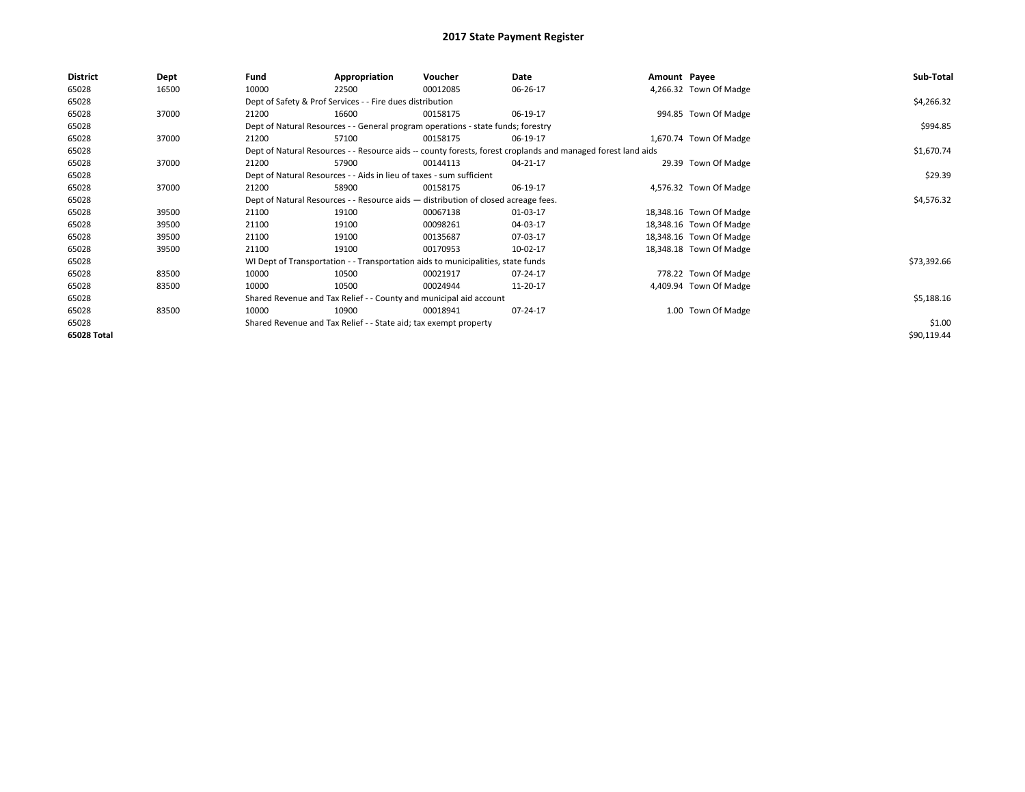| <b>District</b> | Dept  | Fund                                                                               | Appropriation                                                                    | Voucher    | Date                                                                                                         | Amount Payee |                         | Sub-Total   |
|-----------------|-------|------------------------------------------------------------------------------------|----------------------------------------------------------------------------------|------------|--------------------------------------------------------------------------------------------------------------|--------------|-------------------------|-------------|
| 65028           | 16500 | 10000                                                                              | 22500                                                                            | 00012085   | 06-26-17                                                                                                     |              | 4,266.32 Town Of Madge  |             |
| 65028           |       |                                                                                    | Dept of Safety & Prof Services - - Fire dues distribution                        |            |                                                                                                              |              |                         | \$4,266.32  |
| 65028           | 37000 | 21200                                                                              | 16600                                                                            | 00158175   | 06-19-17                                                                                                     |              | 994.85 Town Of Madge    |             |
| 65028           |       |                                                                                    | Dept of Natural Resources - - General program operations - state funds; forestry |            |                                                                                                              |              |                         | \$994.85    |
| 65028           | 37000 | 21200                                                                              | 57100                                                                            | 00158175   | 06-19-17                                                                                                     |              | 1,670.74 Town Of Madge  |             |
| 65028           |       |                                                                                    |                                                                                  |            | Dept of Natural Resources - - Resource aids -- county forests, forest croplands and managed forest land aids |              |                         | \$1,670.74  |
| 65028           | 37000 | 21200                                                                              | 57900                                                                            | 00144113   | 04-21-17                                                                                                     |              | 29.39 Town Of Madge     |             |
| 65028           |       | Dept of Natural Resources - - Aids in lieu of taxes - sum sufficient               |                                                                                  | \$29.39    |                                                                                                              |              |                         |             |
| 65028           | 37000 | 21200                                                                              | 58900                                                                            | 00158175   | 06-19-17                                                                                                     |              | 4,576.32 Town Of Madge  |             |
| 65028           |       | Dept of Natural Resources - - Resource aids - distribution of closed acreage fees. |                                                                                  | \$4,576.32 |                                                                                                              |              |                         |             |
| 65028           | 39500 | 21100                                                                              | 19100                                                                            | 00067138   | 01-03-17                                                                                                     |              | 18,348.16 Town Of Madge |             |
| 65028           | 39500 | 21100                                                                              | 19100                                                                            | 00098261   | 04-03-17                                                                                                     |              | 18,348.16 Town Of Madge |             |
| 65028           | 39500 | 21100                                                                              | 19100                                                                            | 00135687   | 07-03-17                                                                                                     |              | 18,348.16 Town Of Madge |             |
| 65028           | 39500 | 21100                                                                              | 19100                                                                            | 00170953   | 10-02-17                                                                                                     |              | 18,348.18 Town Of Madge |             |
| 65028           |       |                                                                                    | WI Dept of Transportation - - Transportation aids to municipalities, state funds |            |                                                                                                              |              |                         | \$73,392.66 |
| 65028           | 83500 | 10000                                                                              | 10500                                                                            | 00021917   | 07-24-17                                                                                                     |              | 778.22 Town Of Madge    |             |
| 65028           | 83500 | 10000                                                                              | 10500                                                                            | 00024944   | 11-20-17                                                                                                     |              | 4,409.94 Town Of Madge  |             |
| 65028           |       |                                                                                    | Shared Revenue and Tax Relief - - County and municipal aid account               |            |                                                                                                              |              |                         | \$5,188.16  |
| 65028           | 83500 | 10000                                                                              | 10900                                                                            | 00018941   | 07-24-17                                                                                                     |              | 1.00 Town Of Madge      |             |
| 65028           |       |                                                                                    | Shared Revenue and Tax Relief - - State aid; tax exempt property                 |            |                                                                                                              |              |                         | \$1.00      |
| 65028 Total     |       |                                                                                    |                                                                                  |            |                                                                                                              |              |                         | \$90,119.44 |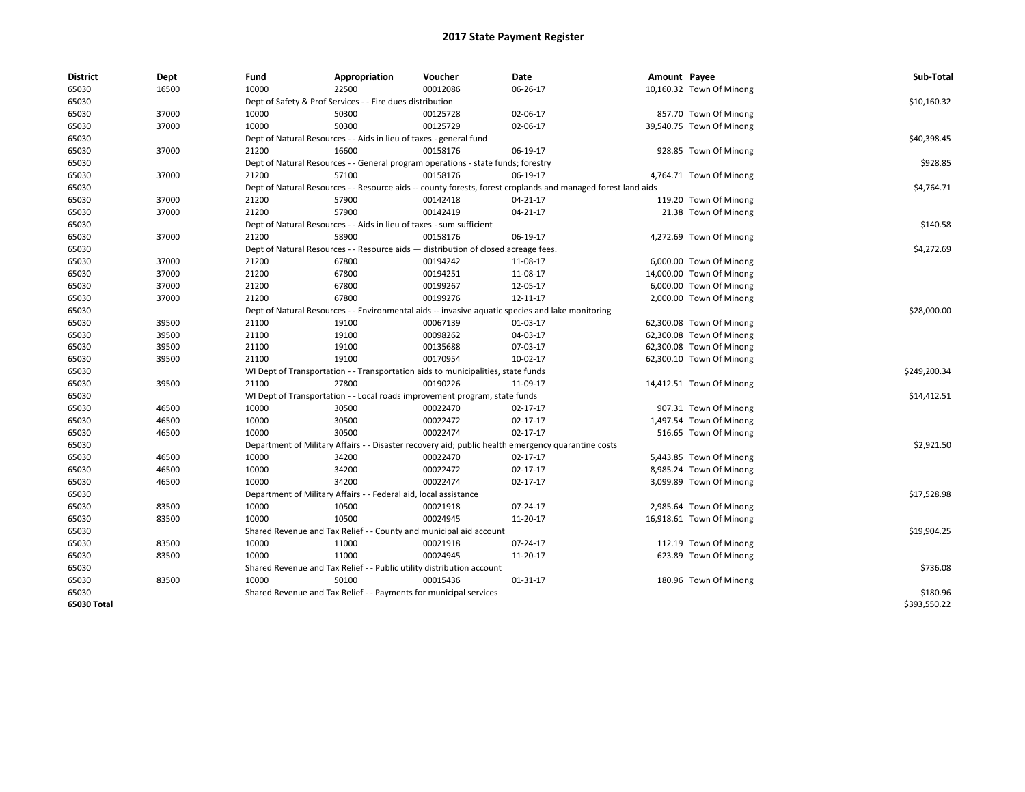| <b>District</b> | Dept  | Fund  | Appropriation                                                                                                | Voucher  | Date                                                                                               | Amount Payee |                          | Sub-Total    |  |  |
|-----------------|-------|-------|--------------------------------------------------------------------------------------------------------------|----------|----------------------------------------------------------------------------------------------------|--------------|--------------------------|--------------|--|--|
| 65030           | 16500 | 10000 | 22500                                                                                                        | 00012086 | 06-26-17                                                                                           |              | 10,160.32 Town Of Minong |              |  |  |
| 65030           |       |       | Dept of Safety & Prof Services - - Fire dues distribution                                                    |          |                                                                                                    |              |                          | \$10,160.32  |  |  |
| 65030           | 37000 | 10000 | 50300                                                                                                        | 00125728 | 02-06-17                                                                                           |              | 857.70 Town Of Minong    |              |  |  |
| 65030           | 37000 | 10000 | 50300                                                                                                        | 00125729 | 02-06-17                                                                                           |              | 39,540.75 Town Of Minong |              |  |  |
| 65030           |       |       | Dept of Natural Resources - - Aids in lieu of taxes - general fund                                           |          |                                                                                                    |              |                          | \$40,398.45  |  |  |
| 65030           | 37000 | 21200 | 16600                                                                                                        | 00158176 | 06-19-17                                                                                           |              | 928.85 Town Of Minong    |              |  |  |
| 65030           |       |       | Dept of Natural Resources - - General program operations - state funds; forestry                             |          |                                                                                                    |              |                          |              |  |  |
| 65030           | 37000 | 21200 | 57100                                                                                                        | 00158176 | 06-19-17                                                                                           |              | 4,764.71 Town Of Minong  |              |  |  |
| 65030           |       |       | Dept of Natural Resources - - Resource aids -- county forests, forest croplands and managed forest land aids |          |                                                                                                    |              |                          |              |  |  |
| 65030           | 37000 | 21200 | 57900                                                                                                        | 00142418 | 04-21-17                                                                                           |              | 119.20 Town Of Minong    |              |  |  |
| 65030           | 37000 | 21200 | 57900                                                                                                        | 00142419 | 04-21-17                                                                                           |              | 21.38 Town Of Minong     |              |  |  |
| 65030           |       |       | Dept of Natural Resources - - Aids in lieu of taxes - sum sufficient                                         |          |                                                                                                    |              |                          | \$140.58     |  |  |
| 65030           | 37000 | 21200 | 58900                                                                                                        | 00158176 | 06-19-17                                                                                           |              | 4,272.69 Town Of Minong  |              |  |  |
| 65030           |       |       | Dept of Natural Resources - - Resource aids - distribution of closed acreage fees.                           |          |                                                                                                    |              |                          |              |  |  |
| 65030           | 37000 | 21200 | 67800                                                                                                        | 00194242 | 11-08-17                                                                                           |              | 6,000.00 Town Of Minong  |              |  |  |
| 65030           | 37000 | 21200 | 67800                                                                                                        | 00194251 | 11-08-17                                                                                           |              | 14,000.00 Town Of Minong |              |  |  |
| 65030           | 37000 | 21200 | 67800                                                                                                        | 00199267 | 12-05-17                                                                                           |              | 6,000.00 Town Of Minong  |              |  |  |
| 65030           | 37000 | 21200 | 67800                                                                                                        | 00199276 | 12-11-17                                                                                           |              | 2,000.00 Town Of Minong  |              |  |  |
| 65030           |       |       | Dept of Natural Resources - - Environmental aids -- invasive aquatic species and lake monitoring             |          |                                                                                                    |              |                          |              |  |  |
| 65030           | 39500 | 21100 | 19100                                                                                                        | 00067139 | 01-03-17                                                                                           |              | 62,300.08 Town Of Minong |              |  |  |
| 65030           | 39500 | 21100 | 19100                                                                                                        | 00098262 | 04-03-17                                                                                           |              | 62,300.08 Town Of Minong |              |  |  |
| 65030           | 39500 | 21100 | 19100                                                                                                        | 00135688 | 07-03-17                                                                                           |              | 62,300.08 Town Of Minong |              |  |  |
| 65030           | 39500 | 21100 | 19100                                                                                                        | 00170954 | 10-02-17                                                                                           |              | 62,300.10 Town Of Minong |              |  |  |
| 65030           |       |       | WI Dept of Transportation - - Transportation aids to municipalities, state funds                             |          |                                                                                                    |              |                          | \$249,200.34 |  |  |
| 65030           | 39500 | 21100 | 27800                                                                                                        | 00190226 | 11-09-17                                                                                           |              | 14,412.51 Town Of Minong |              |  |  |
| 65030           |       |       | WI Dept of Transportation - - Local roads improvement program, state funds                                   |          |                                                                                                    |              |                          | \$14,412.51  |  |  |
| 65030           | 46500 | 10000 | 30500                                                                                                        | 00022470 | 02-17-17                                                                                           |              | 907.31 Town Of Minong    |              |  |  |
| 65030           | 46500 | 10000 | 30500                                                                                                        | 00022472 | 02-17-17                                                                                           |              | 1,497.54 Town Of Minong  |              |  |  |
| 65030           | 46500 | 10000 | 30500                                                                                                        | 00022474 | 02-17-17                                                                                           |              | 516.65 Town Of Minong    |              |  |  |
| 65030           |       |       |                                                                                                              |          | Department of Military Affairs - - Disaster recovery aid; public health emergency quarantine costs |              |                          | \$2,921.50   |  |  |
| 65030           | 46500 | 10000 | 34200                                                                                                        | 00022470 | 02-17-17                                                                                           |              | 5,443.85 Town Of Minong  |              |  |  |
| 65030           | 46500 | 10000 | 34200                                                                                                        | 00022472 | 02-17-17                                                                                           |              | 8,985.24 Town Of Minong  |              |  |  |
| 65030           | 46500 | 10000 | 34200                                                                                                        | 00022474 | 02-17-17                                                                                           |              | 3,099.89 Town Of Minong  |              |  |  |
| 65030           |       |       | Department of Military Affairs - - Federal aid, local assistance                                             |          |                                                                                                    |              |                          | \$17,528.98  |  |  |
| 65030           | 83500 | 10000 | 10500                                                                                                        | 00021918 | 07-24-17                                                                                           |              | 2,985.64 Town Of Minong  |              |  |  |
| 65030           | 83500 | 10000 | 10500                                                                                                        | 00024945 | 11-20-17                                                                                           |              | 16,918.61 Town Of Minong |              |  |  |
| 65030           |       |       | Shared Revenue and Tax Relief - - County and municipal aid account                                           |          |                                                                                                    |              |                          | \$19,904.25  |  |  |
| 65030           | 83500 | 10000 | 11000                                                                                                        | 00021918 | 07-24-17                                                                                           |              | 112.19 Town Of Minong    |              |  |  |
| 65030           | 83500 | 10000 | 11000                                                                                                        | 00024945 | 11-20-17                                                                                           |              | 623.89 Town Of Minong    |              |  |  |
| 65030           |       |       | Shared Revenue and Tax Relief - - Public utility distribution account                                        |          |                                                                                                    |              |                          | \$736.08     |  |  |
| 65030           | 83500 | 10000 | 50100                                                                                                        | 00015436 | 01-31-17                                                                                           |              | 180.96 Town Of Minong    |              |  |  |
| 65030           |       |       | Shared Revenue and Tax Relief - - Payments for municipal services                                            |          |                                                                                                    |              |                          | \$180.96     |  |  |
| 65030 Total     |       |       |                                                                                                              |          |                                                                                                    |              |                          | \$393,550.22 |  |  |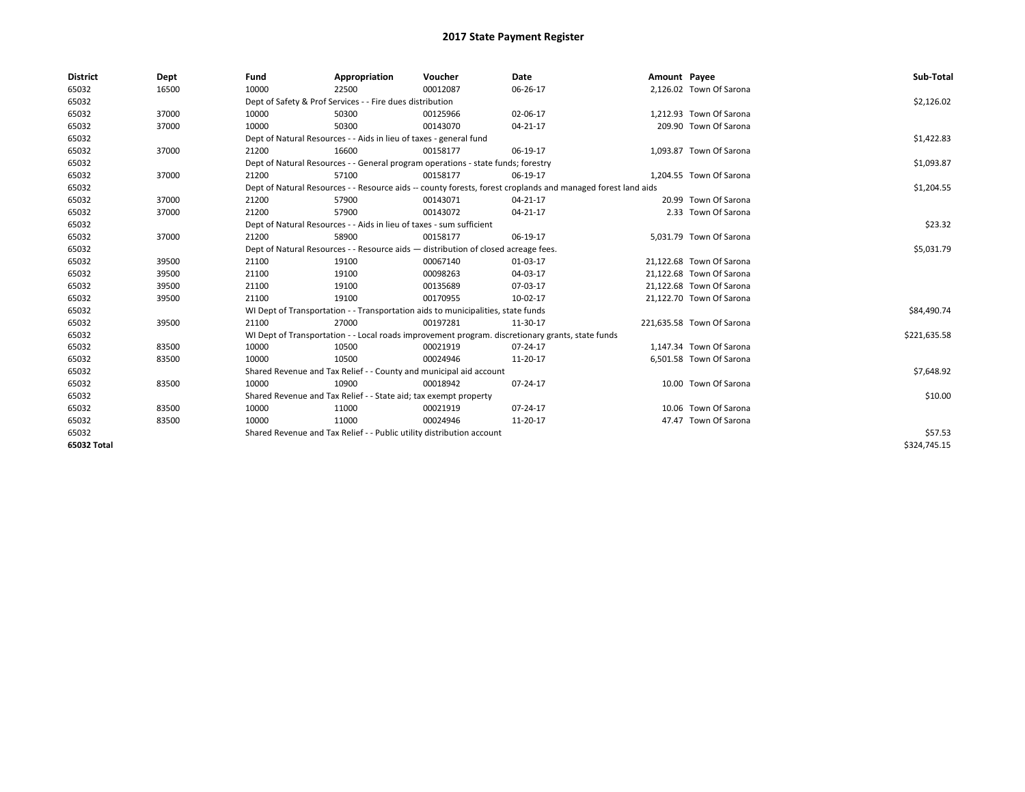| <b>District</b> | Dept  | Fund  | Appropriation                                                                                                | Voucher  | Date       | Amount Payee |                           | Sub-Total    |
|-----------------|-------|-------|--------------------------------------------------------------------------------------------------------------|----------|------------|--------------|---------------------------|--------------|
| 65032           | 16500 | 10000 | 22500                                                                                                        | 00012087 | 06-26-17   |              | 2,126.02 Town Of Sarona   |              |
| 65032           |       |       | Dept of Safety & Prof Services - - Fire dues distribution                                                    |          |            |              |                           | \$2,126.02   |
| 65032           | 37000 | 10000 | 50300                                                                                                        | 00125966 | 02-06-17   |              | 1,212.93 Town Of Sarona   |              |
| 65032           | 37000 | 10000 | 50300                                                                                                        | 00143070 | 04-21-17   |              | 209.90 Town Of Sarona     |              |
| 65032           |       |       | Dept of Natural Resources - - Aids in lieu of taxes - general fund                                           |          |            |              |                           | \$1,422.83   |
| 65032           | 37000 | 21200 | 16600                                                                                                        | 00158177 | 06-19-17   |              | 1,093.87 Town Of Sarona   |              |
| 65032           |       |       | Dept of Natural Resources - - General program operations - state funds; forestry                             |          |            |              |                           | \$1,093.87   |
| 65032           | 37000 | 21200 | 57100                                                                                                        | 00158177 | 06-19-17   |              | 1,204.55 Town Of Sarona   |              |
| 65032           |       |       | Dept of Natural Resources - - Resource aids -- county forests, forest croplands and managed forest land aids |          | \$1,204.55 |              |                           |              |
| 65032           | 37000 | 21200 | 57900                                                                                                        | 00143071 | 04-21-17   |              | 20.99 Town Of Sarona      |              |
| 65032           | 37000 | 21200 | 57900                                                                                                        | 00143072 | 04-21-17   |              | 2.33 Town Of Sarona       |              |
| 65032           |       |       | Dept of Natural Resources - - Aids in lieu of taxes - sum sufficient                                         |          | \$23.32    |              |                           |              |
| 65032           | 37000 | 21200 | 58900                                                                                                        | 00158177 | 06-19-17   |              | 5,031.79 Town Of Sarona   |              |
| 65032           |       |       | Dept of Natural Resources - - Resource aids - distribution of closed acreage fees.                           |          | \$5,031.79 |              |                           |              |
| 65032           | 39500 | 21100 | 19100                                                                                                        | 00067140 | 01-03-17   |              | 21,122.68 Town Of Sarona  |              |
| 65032           | 39500 | 21100 | 19100                                                                                                        | 00098263 | 04-03-17   |              | 21,122.68 Town Of Sarona  |              |
| 65032           | 39500 | 21100 | 19100                                                                                                        | 00135689 | 07-03-17   |              | 21,122.68 Town Of Sarona  |              |
| 65032           | 39500 | 21100 | 19100                                                                                                        | 00170955 | 10-02-17   |              | 21,122.70 Town Of Sarona  |              |
| 65032           |       |       | WI Dept of Transportation - - Transportation aids to municipalities, state funds                             |          |            |              |                           | \$84,490.74  |
| 65032           | 39500 | 21100 | 27000                                                                                                        | 00197281 | 11-30-17   |              | 221,635.58 Town Of Sarona |              |
| 65032           |       |       | WI Dept of Transportation - - Local roads improvement program. discretionary grants, state funds             |          |            |              |                           | \$221,635.58 |
| 65032           | 83500 | 10000 | 10500                                                                                                        | 00021919 | 07-24-17   |              | 1,147.34 Town Of Sarona   |              |
| 65032           | 83500 | 10000 | 10500                                                                                                        | 00024946 | 11-20-17   |              | 6,501.58 Town Of Sarona   |              |
| 65032           |       |       | Shared Revenue and Tax Relief - - County and municipal aid account                                           |          |            |              |                           | \$7,648.92   |
| 65032           | 83500 | 10000 | 10900                                                                                                        | 00018942 | 07-24-17   |              | 10.00 Town Of Sarona      |              |
| 65032           |       |       | Shared Revenue and Tax Relief - - State aid; tax exempt property                                             |          |            |              |                           |              |
| 65032           | 83500 | 10000 | 11000                                                                                                        | 00021919 | 07-24-17   |              | 10.06 Town Of Sarona      |              |
| 65032           | 83500 | 10000 | 11000                                                                                                        | 00024946 | 11-20-17   |              | 47.47 Town Of Sarona      |              |
| 65032           |       |       | Shared Revenue and Tax Relief - - Public utility distribution account                                        |          |            |              |                           | \$57.53      |
| 65032 Total     |       |       |                                                                                                              |          |            |              |                           | \$324,745.15 |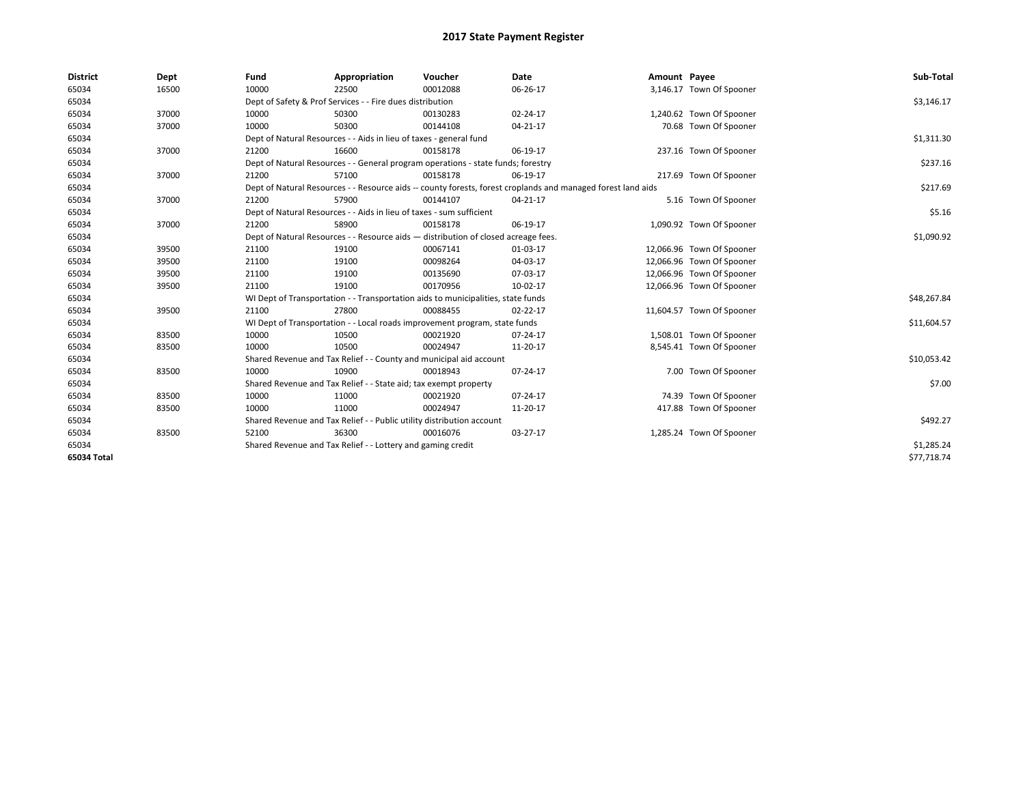| <b>District</b> | Dept  | Fund                                                                                                         | Appropriation                                                                    | Voucher                                                                          | Date           | Amount Payee |                           | Sub-Total   |  |  |
|-----------------|-------|--------------------------------------------------------------------------------------------------------------|----------------------------------------------------------------------------------|----------------------------------------------------------------------------------|----------------|--------------|---------------------------|-------------|--|--|
| 65034           | 16500 | 10000                                                                                                        | 22500                                                                            | 00012088                                                                         | 06-26-17       |              | 3,146.17 Town Of Spooner  |             |  |  |
| 65034           |       |                                                                                                              | Dept of Safety & Prof Services - - Fire dues distribution                        |                                                                                  |                |              |                           | \$3,146.17  |  |  |
| 65034           | 37000 | 10000                                                                                                        | 50300                                                                            | 00130283                                                                         | 02-24-17       |              | 1,240.62 Town Of Spooner  |             |  |  |
| 65034           | 37000 | 10000                                                                                                        | 50300                                                                            | 00144108                                                                         | 04-21-17       |              | 70.68 Town Of Spooner     |             |  |  |
| 65034           |       |                                                                                                              | Dept of Natural Resources - - Aids in lieu of taxes - general fund               |                                                                                  |                |              |                           | \$1,311.30  |  |  |
| 65034           | 37000 | 21200                                                                                                        | 16600                                                                            | 00158178                                                                         | 06-19-17       |              | 237.16 Town Of Spooner    |             |  |  |
| 65034           |       |                                                                                                              | Dept of Natural Resources - - General program operations - state funds; forestry |                                                                                  |                |              |                           |             |  |  |
| 65034           | 37000 | 21200                                                                                                        | 57100                                                                            | 00158178                                                                         | 06-19-17       |              | 217.69 Town Of Spooner    |             |  |  |
| 65034           |       | Dept of Natural Resources - - Resource aids -- county forests, forest croplands and managed forest land aids |                                                                                  | \$217.69                                                                         |                |              |                           |             |  |  |
| 65034           | 37000 | 21200                                                                                                        | 57900                                                                            | 00144107                                                                         | 04-21-17       |              | 5.16 Town Of Spooner      |             |  |  |
| 65034           |       |                                                                                                              | Dept of Natural Resources - - Aids in lieu of taxes - sum sufficient             |                                                                                  |                |              |                           |             |  |  |
| 65034           | 37000 | 21200                                                                                                        | 58900                                                                            | 00158178                                                                         | 06-19-17       |              | 1,090.92 Town Of Spooner  |             |  |  |
| 65034           |       | Dept of Natural Resources - - Resource aids - distribution of closed acreage fees.                           |                                                                                  | \$1,090.92                                                                       |                |              |                           |             |  |  |
| 65034           | 39500 | 21100                                                                                                        | 19100                                                                            | 00067141                                                                         | 01-03-17       |              | 12,066.96 Town Of Spooner |             |  |  |
| 65034           | 39500 | 21100                                                                                                        | 19100                                                                            | 00098264                                                                         | 04-03-17       |              | 12,066.96 Town Of Spooner |             |  |  |
| 65034           | 39500 | 21100                                                                                                        | 19100                                                                            | 00135690                                                                         | 07-03-17       |              | 12,066.96 Town Of Spooner |             |  |  |
| 65034           | 39500 | 21100                                                                                                        | 19100                                                                            | 00170956                                                                         | 10-02-17       |              | 12,066.96 Town Of Spooner |             |  |  |
| 65034           |       |                                                                                                              |                                                                                  | WI Dept of Transportation - - Transportation aids to municipalities, state funds |                |              |                           | \$48,267.84 |  |  |
| 65034           | 39500 | 21100                                                                                                        | 27800                                                                            | 00088455                                                                         | $02 - 22 - 17$ |              | 11,604.57 Town Of Spooner |             |  |  |
| 65034           |       |                                                                                                              |                                                                                  | WI Dept of Transportation - - Local roads improvement program, state funds       |                |              |                           | \$11,604.57 |  |  |
| 65034           | 83500 | 10000                                                                                                        | 10500                                                                            | 00021920                                                                         | 07-24-17       |              | 1,508.01 Town Of Spooner  |             |  |  |
| 65034           | 83500 | 10000                                                                                                        | 10500                                                                            | 00024947                                                                         | 11-20-17       |              | 8,545.41 Town Of Spooner  |             |  |  |
| 65034           |       |                                                                                                              | Shared Revenue and Tax Relief - - County and municipal aid account               |                                                                                  |                |              |                           | \$10,053.42 |  |  |
| 65034           | 83500 | 10000                                                                                                        | 10900                                                                            | 00018943                                                                         | 07-24-17       |              | 7.00 Town Of Spooner      |             |  |  |
| 65034           |       |                                                                                                              | Shared Revenue and Tax Relief - - State aid; tax exempt property                 |                                                                                  |                |              |                           | \$7.00      |  |  |
| 65034           | 83500 | 10000                                                                                                        | 11000                                                                            | 00021920                                                                         | 07-24-17       |              | 74.39 Town Of Spooner     |             |  |  |
| 65034           | 83500 | 10000                                                                                                        | 11000                                                                            | 00024947                                                                         | 11-20-17       |              | 417.88 Town Of Spooner    |             |  |  |
| 65034           |       | Shared Revenue and Tax Relief - - Public utility distribution account                                        |                                                                                  |                                                                                  |                |              |                           | \$492.27    |  |  |
| 65034           | 83500 | 52100                                                                                                        | 36300                                                                            | 00016076                                                                         | 03-27-17       |              | 1,285.24 Town Of Spooner  |             |  |  |
| 65034           |       |                                                                                                              | Shared Revenue and Tax Relief - - Lottery and gaming credit                      |                                                                                  |                |              |                           | \$1,285.24  |  |  |
| 65034 Total     |       |                                                                                                              |                                                                                  |                                                                                  |                |              |                           | \$77,718.74 |  |  |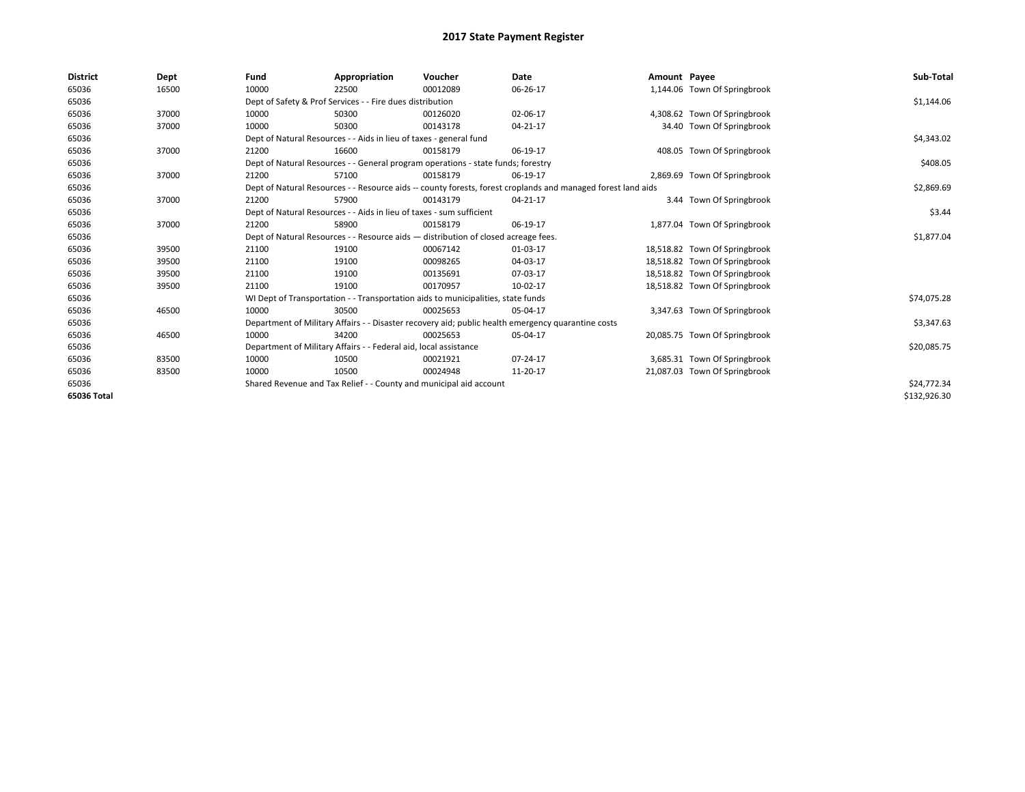| <b>District</b> | Dept  | Fund  | Appropriation                                                                                                | Voucher  | <b>Date</b> | Amount Payee |                               | Sub-Total    |  |  |
|-----------------|-------|-------|--------------------------------------------------------------------------------------------------------------|----------|-------------|--------------|-------------------------------|--------------|--|--|
| 65036           | 16500 | 10000 | 22500                                                                                                        | 00012089 | 06-26-17    |              | 1,144.06 Town Of Springbrook  |              |  |  |
| 65036           |       |       | Dept of Safety & Prof Services - - Fire dues distribution                                                    |          |             |              |                               | \$1,144.06   |  |  |
| 65036           | 37000 | 10000 | 50300                                                                                                        | 00126020 | 02-06-17    |              | 4,308.62 Town Of Springbrook  |              |  |  |
| 65036           | 37000 | 10000 | 50300                                                                                                        | 00143178 | 04-21-17    |              | 34.40 Town Of Springbrook     |              |  |  |
| 65036           |       |       | Dept of Natural Resources - - Aids in lieu of taxes - general fund                                           |          |             |              |                               |              |  |  |
| 65036           | 37000 | 21200 | 16600                                                                                                        | 00158179 | 06-19-17    |              | 408.05 Town Of Springbrook    |              |  |  |
| 65036           |       |       | Dept of Natural Resources - - General program operations - state funds; forestry                             |          |             |              |                               |              |  |  |
| 65036           | 37000 | 21200 | 57100                                                                                                        | 00158179 | 06-19-17    |              | 2,869.69 Town Of Springbrook  |              |  |  |
| 65036           |       |       | Dept of Natural Resources - - Resource aids -- county forests, forest croplands and managed forest land aids |          | \$2,869.69  |              |                               |              |  |  |
| 65036           | 37000 | 21200 | 57900                                                                                                        | 00143179 | 04-21-17    |              | 3.44 Town Of Springbrook      |              |  |  |
| 65036           |       |       | Dept of Natural Resources - - Aids in lieu of taxes - sum sufficient                                         |          |             |              |                               |              |  |  |
| 65036           | 37000 | 21200 | 58900                                                                                                        | 00158179 | 06-19-17    |              | 1,877.04 Town Of Springbrook  |              |  |  |
| 65036           |       |       | Dept of Natural Resources - - Resource aids - distribution of closed acreage fees.                           |          |             |              |                               |              |  |  |
| 65036           | 39500 | 21100 | 19100                                                                                                        | 00067142 | 01-03-17    |              | 18,518.82 Town Of Springbrook |              |  |  |
| 65036           | 39500 | 21100 | 19100                                                                                                        | 00098265 | 04-03-17    |              | 18,518.82 Town Of Springbrook |              |  |  |
| 65036           | 39500 | 21100 | 19100                                                                                                        | 00135691 | 07-03-17    |              | 18,518.82 Town Of Springbrook |              |  |  |
| 65036           | 39500 | 21100 | 19100                                                                                                        | 00170957 | 10-02-17    |              | 18,518.82 Town Of Springbrook |              |  |  |
| 65036           |       |       | WI Dept of Transportation - - Transportation aids to municipalities, state funds                             |          |             |              |                               | \$74,075.28  |  |  |
| 65036           | 46500 | 10000 | 30500                                                                                                        | 00025653 | 05-04-17    |              | 3,347.63 Town Of Springbrook  |              |  |  |
| 65036           |       |       | Department of Military Affairs - - Disaster recovery aid; public health emergency quarantine costs           |          |             |              |                               | \$3,347.63   |  |  |
| 65036           | 46500 | 10000 | 34200                                                                                                        | 00025653 | 05-04-17    |              | 20,085.75 Town Of Springbrook |              |  |  |
| 65036           |       |       | Department of Military Affairs - - Federal aid, local assistance                                             |          |             |              |                               | \$20,085.75  |  |  |
| 65036           | 83500 | 10000 | 10500                                                                                                        | 00021921 | 07-24-17    |              | 3,685.31 Town Of Springbrook  |              |  |  |
| 65036           | 83500 | 10000 | 10500                                                                                                        | 00024948 | 11-20-17    |              | 21,087.03 Town Of Springbrook |              |  |  |
| 65036           |       |       | Shared Revenue and Tax Relief - - County and municipal aid account                                           |          |             |              |                               | \$24,772.34  |  |  |
| 65036 Total     |       |       |                                                                                                              |          |             |              |                               | \$132,926.30 |  |  |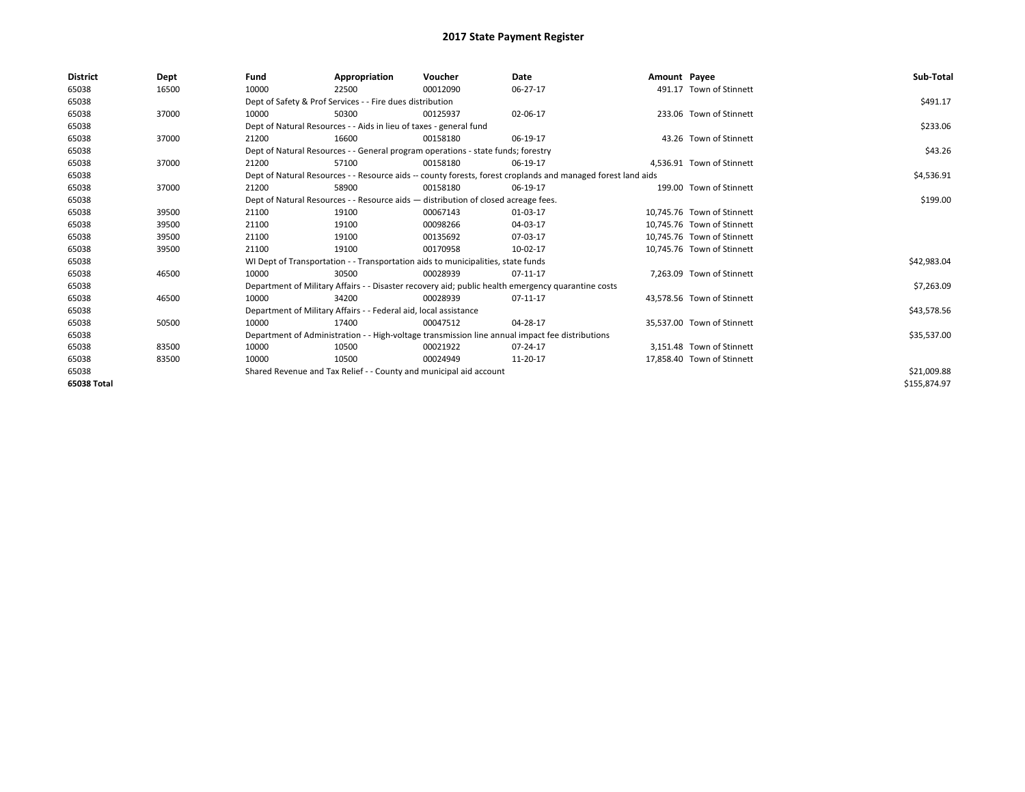| <b>District</b> | Dept  | Fund  | Appropriation                                                                                                | Voucher  | Date       | Amount Payee |                            | Sub-Total    |  |
|-----------------|-------|-------|--------------------------------------------------------------------------------------------------------------|----------|------------|--------------|----------------------------|--------------|--|
| 65038           | 16500 | 10000 | 22500                                                                                                        | 00012090 | 06-27-17   |              | 491.17 Town of Stinnett    |              |  |
| 65038           |       |       | Dept of Safety & Prof Services - - Fire dues distribution                                                    |          |            |              |                            | \$491.17     |  |
| 65038           | 37000 | 10000 | 50300                                                                                                        | 00125937 | 02-06-17   |              | 233.06 Town of Stinnett    |              |  |
| 65038           |       |       | Dept of Natural Resources - - Aids in lieu of taxes - general fund                                           |          |            |              |                            | \$233.06     |  |
| 65038           | 37000 | 21200 | 16600                                                                                                        | 00158180 | 06-19-17   |              | 43.26 Town of Stinnett     |              |  |
| 65038           |       |       | Dept of Natural Resources - - General program operations - state funds; forestry                             |          |            |              |                            | \$43.26      |  |
| 65038           | 37000 | 21200 | 57100                                                                                                        | 00158180 | 06-19-17   |              | 4.536.91 Town of Stinnett  |              |  |
| 65038           |       |       | Dept of Natural Resources - - Resource aids -- county forests, forest croplands and managed forest land aids |          | \$4,536.91 |              |                            |              |  |
| 65038           | 37000 | 21200 | 58900                                                                                                        | 00158180 | 06-19-17   |              | 199.00 Town of Stinnett    |              |  |
| 65038           |       |       | Dept of Natural Resources - - Resource aids - distribution of closed acreage fees.                           |          | \$199.00   |              |                            |              |  |
| 65038           | 39500 | 21100 | 19100                                                                                                        | 00067143 | 01-03-17   |              | 10,745.76 Town of Stinnett |              |  |
| 65038           | 39500 | 21100 | 19100                                                                                                        | 00098266 | 04-03-17   |              | 10,745.76 Town of Stinnett |              |  |
| 65038           | 39500 | 21100 | 19100                                                                                                        | 00135692 | 07-03-17   |              | 10.745.76 Town of Stinnett |              |  |
| 65038           | 39500 | 21100 | 19100                                                                                                        | 00170958 | 10-02-17   |              | 10,745.76 Town of Stinnett |              |  |
| 65038           |       |       | WI Dept of Transportation - - Transportation aids to municipalities, state funds                             |          |            |              |                            | \$42,983.04  |  |
| 65038           | 46500 | 10000 | 30500                                                                                                        | 00028939 | 07-11-17   |              | 7,263.09 Town of Stinnett  |              |  |
| 65038           |       |       | Department of Military Affairs - - Disaster recovery aid; public health emergency quarantine costs           |          |            |              |                            | \$7,263.09   |  |
| 65038           | 46500 | 10000 | 34200                                                                                                        | 00028939 | 07-11-17   |              | 43.578.56 Town of Stinnett |              |  |
| 65038           |       |       | Department of Military Affairs - - Federal aid, local assistance                                             |          |            |              |                            | \$43,578.56  |  |
| 65038           | 50500 | 10000 | 17400                                                                                                        | 00047512 | 04-28-17   |              | 35,537.00 Town of Stinnett |              |  |
| 65038           |       |       | Department of Administration - - High-voltage transmission line annual impact fee distributions              |          |            |              |                            | \$35,537.00  |  |
| 65038           | 83500 | 10000 | 10500                                                                                                        | 00021922 | 07-24-17   |              | 3,151.48 Town of Stinnett  |              |  |
| 65038           | 83500 | 10000 | 10500                                                                                                        | 00024949 | 11-20-17   |              | 17.858.40 Town of Stinnett |              |  |
| 65038           |       |       | Shared Revenue and Tax Relief - - County and municipal aid account                                           |          |            |              |                            |              |  |
| 65038 Total     |       |       |                                                                                                              |          |            |              |                            | \$155,874.97 |  |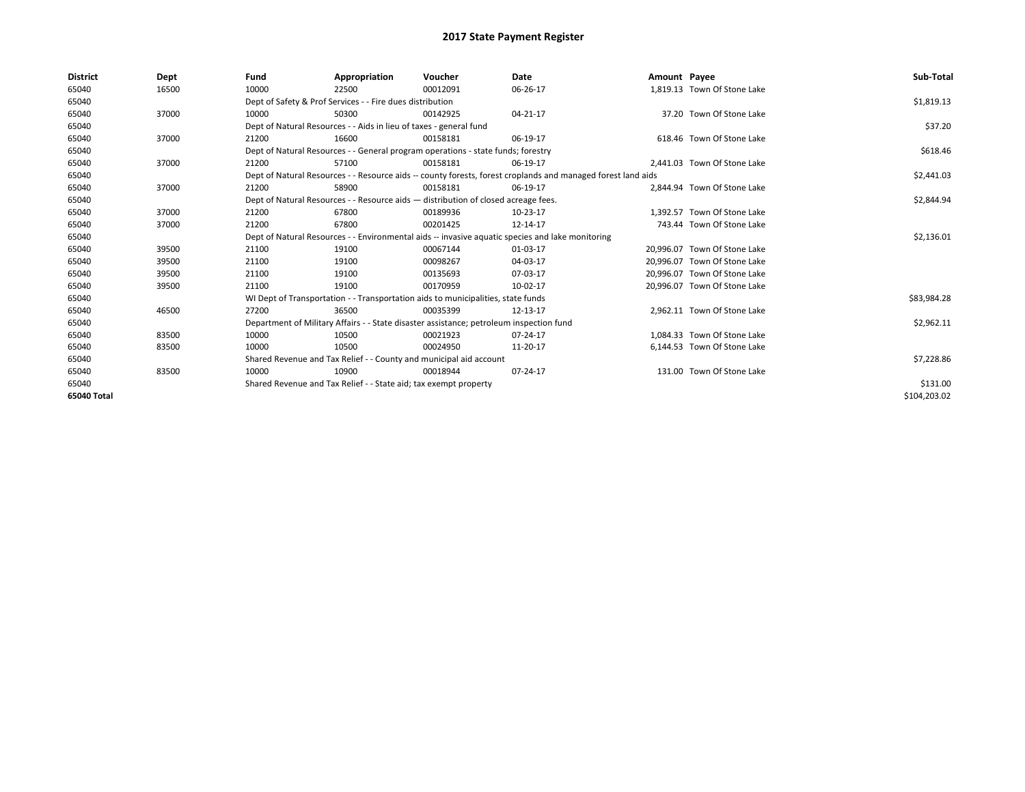| <b>District</b> | Dept  | Fund  | Appropriation                                                                           | Voucher  | Date                                                                                                         | Amount Payee |                              | Sub-Total    |  |  |  |
|-----------------|-------|-------|-----------------------------------------------------------------------------------------|----------|--------------------------------------------------------------------------------------------------------------|--------------|------------------------------|--------------|--|--|--|
| 65040           | 16500 | 10000 | 22500                                                                                   | 00012091 | 06-26-17                                                                                                     |              | 1.819.13 Town Of Stone Lake  |              |  |  |  |
| 65040           |       |       | Dept of Safety & Prof Services - - Fire dues distribution                               |          |                                                                                                              |              |                              |              |  |  |  |
| 65040           | 37000 | 10000 | 50300                                                                                   | 00142925 | $04 - 21 - 17$                                                                                               |              | 37.20 Town Of Stone Lake     |              |  |  |  |
| 65040           |       |       | Dept of Natural Resources - - Aids in lieu of taxes - general fund                      |          |                                                                                                              |              |                              | \$37.20      |  |  |  |
| 65040           | 37000 | 21200 | 16600                                                                                   | 00158181 | 06-19-17                                                                                                     |              | 618.46 Town Of Stone Lake    |              |  |  |  |
| 65040           |       |       | Dept of Natural Resources - - General program operations - state funds; forestry        |          |                                                                                                              |              |                              | \$618.46     |  |  |  |
| 65040           | 37000 | 21200 | 57100                                                                                   | 00158181 | 06-19-17                                                                                                     |              | 2,441.03 Town Of Stone Lake  |              |  |  |  |
| 65040           |       |       |                                                                                         |          | Dept of Natural Resources - - Resource aids -- county forests, forest croplands and managed forest land aids |              |                              | \$2,441.03   |  |  |  |
| 65040           | 37000 | 21200 | 58900                                                                                   | 00158181 | 06-19-17                                                                                                     |              | 2.844.94 Town Of Stone Lake  |              |  |  |  |
| 65040           |       |       | Dept of Natural Resources - - Resource aids - distribution of closed acreage fees.      |          |                                                                                                              |              |                              | \$2,844.94   |  |  |  |
| 65040           | 37000 | 21200 | 67800                                                                                   | 00189936 | 10-23-17                                                                                                     |              | 1.392.57 Town Of Stone Lake  |              |  |  |  |
| 65040           | 37000 | 21200 | 67800                                                                                   | 00201425 | 12-14-17                                                                                                     |              | 743.44 Town Of Stone Lake    |              |  |  |  |
| 65040           |       |       |                                                                                         |          | Dept of Natural Resources - - Environmental aids -- invasive aquatic species and lake monitoring             |              |                              | \$2,136.01   |  |  |  |
| 65040           | 39500 | 21100 | 19100                                                                                   | 00067144 | 01-03-17                                                                                                     |              | 20.996.07 Town Of Stone Lake |              |  |  |  |
| 65040           | 39500 | 21100 | 19100                                                                                   | 00098267 | 04-03-17                                                                                                     |              | 20.996.07 Town Of Stone Lake |              |  |  |  |
| 65040           | 39500 | 21100 | 19100                                                                                   | 00135693 | 07-03-17                                                                                                     |              | 20.996.07 Town Of Stone Lake |              |  |  |  |
| 65040           | 39500 | 21100 | 19100                                                                                   | 00170959 | 10-02-17                                                                                                     |              | 20,996.07 Town Of Stone Lake |              |  |  |  |
| 65040           |       |       | WI Dept of Transportation - - Transportation aids to municipalities, state funds        |          |                                                                                                              |              |                              | \$83,984.28  |  |  |  |
| 65040           | 46500 | 27200 | 36500                                                                                   | 00035399 | 12-13-17                                                                                                     |              | 2.962.11 Town Of Stone Lake  |              |  |  |  |
| 65040           |       |       | Department of Military Affairs - - State disaster assistance; petroleum inspection fund |          |                                                                                                              |              |                              | \$2,962.11   |  |  |  |
| 65040           | 83500 | 10000 | 10500                                                                                   | 00021923 | 07-24-17                                                                                                     |              | 1.084.33 Town Of Stone Lake  |              |  |  |  |
| 65040           | 83500 | 10000 | 10500                                                                                   | 00024950 | 11-20-17                                                                                                     |              | 6,144.53 Town Of Stone Lake  |              |  |  |  |
| 65040           |       |       | Shared Revenue and Tax Relief - - County and municipal aid account                      |          |                                                                                                              |              |                              | \$7,228.86   |  |  |  |
| 65040           | 83500 | 10000 | 10900                                                                                   | 00018944 | 07-24-17                                                                                                     |              | 131.00 Town Of Stone Lake    |              |  |  |  |
| 65040           |       |       | Shared Revenue and Tax Relief - - State aid; tax exempt property                        |          |                                                                                                              |              |                              | \$131.00     |  |  |  |
| 65040 Total     |       |       |                                                                                         |          |                                                                                                              |              |                              | \$104,203.02 |  |  |  |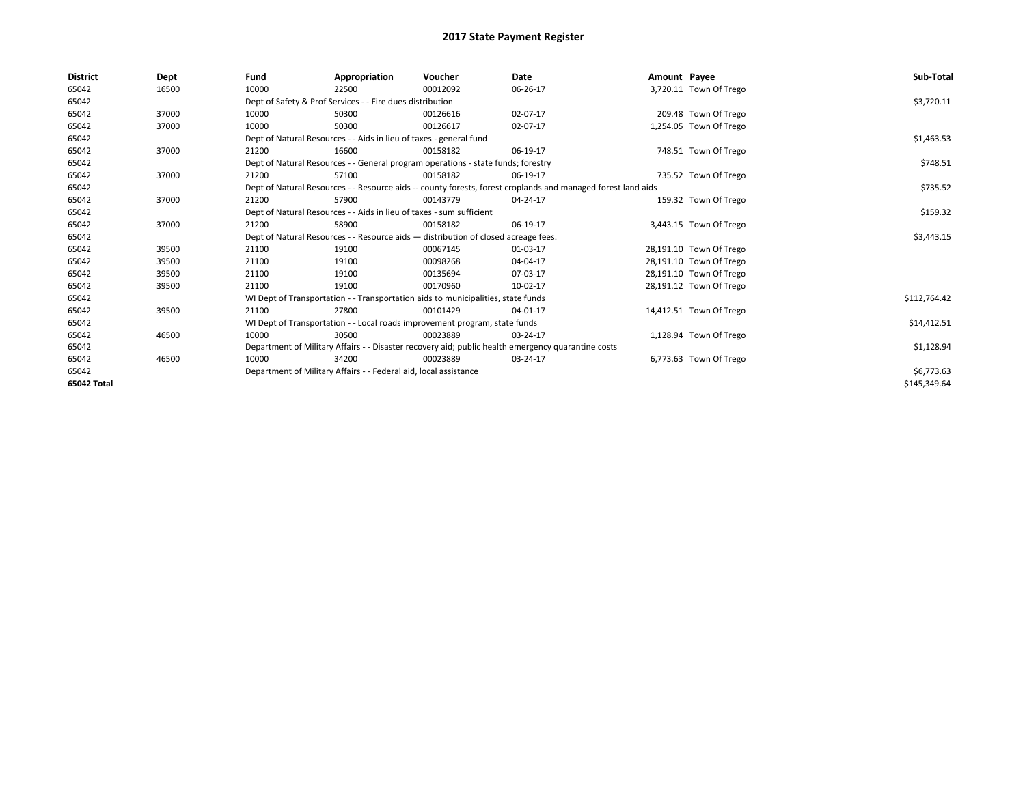| <b>District</b> | Dept  | Fund                                                      | Appropriation                                                                      | Voucher    | Date                                                                                                         | Amount Payee |                         | Sub-Total    |
|-----------------|-------|-----------------------------------------------------------|------------------------------------------------------------------------------------|------------|--------------------------------------------------------------------------------------------------------------|--------------|-------------------------|--------------|
| 65042           | 16500 | 10000                                                     | 22500                                                                              | 00012092   | 06-26-17                                                                                                     |              | 3,720.11 Town Of Trego  |              |
| 65042           |       | Dept of Safety & Prof Services - - Fire dues distribution |                                                                                    | \$3,720.11 |                                                                                                              |              |                         |              |
| 65042           | 37000 | 10000                                                     | 50300                                                                              | 00126616   | 02-07-17                                                                                                     |              | 209.48 Town Of Trego    |              |
| 65042           | 37000 | 10000                                                     | 50300                                                                              | 00126617   | 02-07-17                                                                                                     |              | 1,254.05 Town Of Trego  |              |
| 65042           |       |                                                           | Dept of Natural Resources - - Aids in lieu of taxes - general fund                 |            |                                                                                                              |              |                         | \$1,463.53   |
| 65042           | 37000 | 21200                                                     | 16600                                                                              | 00158182   | 06-19-17                                                                                                     |              | 748.51 Town Of Trego    |              |
| 65042           |       |                                                           | Dept of Natural Resources - - General program operations - state funds; forestry   |            |                                                                                                              |              |                         | \$748.51     |
| 65042           | 37000 | 21200                                                     | 57100                                                                              | 00158182   | 06-19-17                                                                                                     |              | 735.52 Town Of Trego    |              |
| 65042           |       |                                                           |                                                                                    |            | Dept of Natural Resources - - Resource aids -- county forests, forest croplands and managed forest land aids |              |                         | \$735.52     |
| 65042           | 37000 | 21200                                                     | 57900                                                                              | 00143779   | 04-24-17                                                                                                     |              | 159.32 Town Of Trego    |              |
| 65042           |       |                                                           | Dept of Natural Resources - - Aids in lieu of taxes - sum sufficient               |            |                                                                                                              |              |                         | \$159.32     |
| 65042           | 37000 | 21200                                                     | 58900                                                                              | 00158182   | 06-19-17                                                                                                     |              | 3,443.15 Town Of Trego  |              |
| 65042           |       |                                                           | Dept of Natural Resources - - Resource aids - distribution of closed acreage fees. |            |                                                                                                              |              |                         | \$3,443.15   |
| 65042           | 39500 | 21100                                                     | 19100                                                                              | 00067145   | 01-03-17                                                                                                     |              | 28,191.10 Town Of Trego |              |
| 65042           | 39500 | 21100                                                     | 19100                                                                              | 00098268   | 04-04-17                                                                                                     |              | 28,191.10 Town Of Trego |              |
| 65042           | 39500 | 21100                                                     | 19100                                                                              | 00135694   | 07-03-17                                                                                                     |              | 28,191.10 Town Of Trego |              |
| 65042           | 39500 | 21100                                                     | 19100                                                                              | 00170960   | 10-02-17                                                                                                     |              | 28,191.12 Town Of Trego |              |
| 65042           |       |                                                           | WI Dept of Transportation - - Transportation aids to municipalities, state funds   |            |                                                                                                              |              |                         | \$112,764.42 |
| 65042           | 39500 | 21100                                                     | 27800                                                                              | 00101429   | 04-01-17                                                                                                     |              | 14,412.51 Town Of Trego |              |
| 65042           |       |                                                           | WI Dept of Transportation - - Local roads improvement program, state funds         |            |                                                                                                              |              |                         | \$14,412.51  |
| 65042           | 46500 | 10000                                                     | 30500                                                                              | 00023889   | 03-24-17                                                                                                     |              | 1,128.94 Town Of Trego  |              |
| 65042           |       |                                                           |                                                                                    |            | Department of Military Affairs - - Disaster recovery aid; public health emergency quarantine costs           |              |                         | \$1,128.94   |
| 65042           | 46500 | 10000                                                     | 34200                                                                              | 00023889   | 03-24-17                                                                                                     |              | 6,773.63 Town Of Trego  |              |
| 65042           |       |                                                           | Department of Military Affairs - - Federal aid, local assistance                   |            |                                                                                                              |              |                         | \$6,773.63   |
| 65042 Total     |       |                                                           |                                                                                    |            |                                                                                                              |              |                         | \$145,349.64 |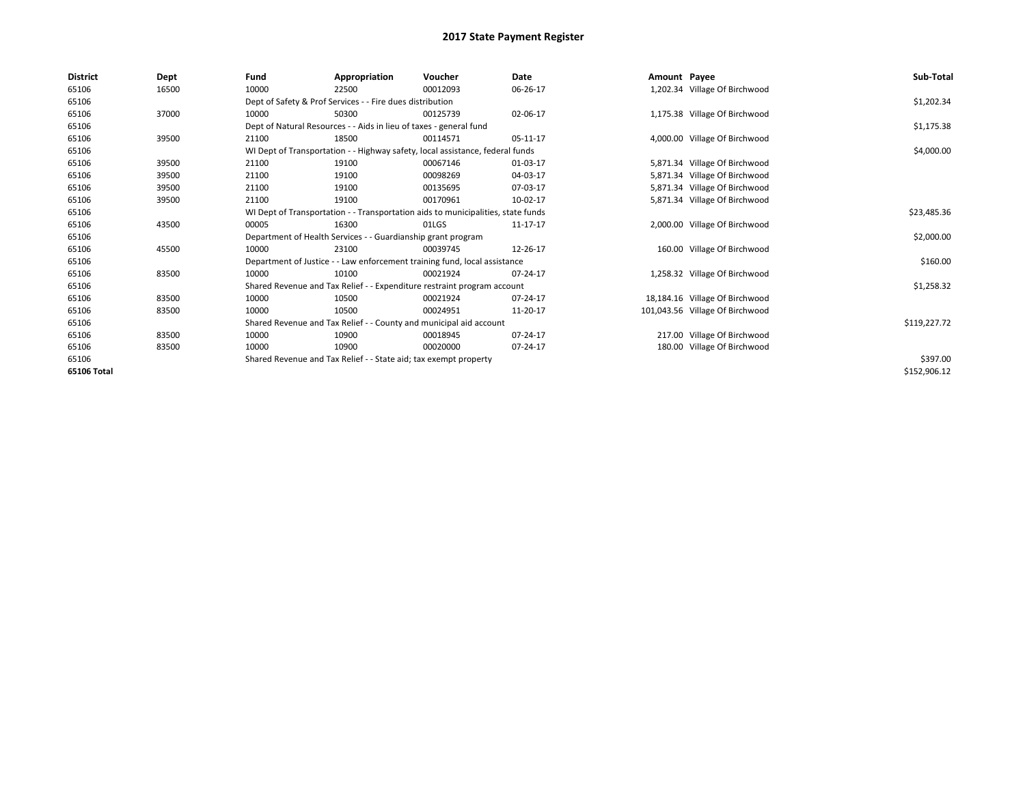| <b>District</b> | Dept  | Fund                                                               | Appropriation                                                      | Voucher                                                                          | <b>Date</b> | Amount Payee |                                 | Sub-Total    |
|-----------------|-------|--------------------------------------------------------------------|--------------------------------------------------------------------|----------------------------------------------------------------------------------|-------------|--------------|---------------------------------|--------------|
| 65106           | 16500 | 10000                                                              | 22500                                                              | 00012093                                                                         | 06-26-17    |              | 1,202.34 Village Of Birchwood   |              |
| 65106           |       | Dept of Safety & Prof Services - - Fire dues distribution          |                                                                    | \$1,202.34                                                                       |             |              |                                 |              |
| 65106           | 37000 | 10000                                                              | 50300                                                              | 00125739                                                                         | 02-06-17    |              | 1,175.38 Village Of Birchwood   |              |
| 65106           |       |                                                                    | Dept of Natural Resources - - Aids in lieu of taxes - general fund |                                                                                  |             |              |                                 | \$1,175.38   |
| 65106           | 39500 | 21100                                                              | 18500                                                              | 00114571                                                                         | 05-11-17    |              | 4,000.00 Village Of Birchwood   |              |
| 65106           |       |                                                                    |                                                                    | WI Dept of Transportation - - Highway safety, local assistance, federal funds    |             |              |                                 | \$4,000.00   |
| 65106           | 39500 | 21100                                                              | 19100                                                              | 00067146                                                                         | 01-03-17    |              | 5,871.34 Village Of Birchwood   |              |
| 65106           | 39500 | 21100                                                              | 19100                                                              | 00098269                                                                         | 04-03-17    |              | 5,871.34 Village Of Birchwood   |              |
| 65106           | 39500 | 21100                                                              | 19100                                                              | 00135695                                                                         | 07-03-17    |              | 5,871.34 Village Of Birchwood   |              |
| 65106           | 39500 | 21100                                                              | 19100                                                              | 00170961                                                                         | 10-02-17    |              | 5,871.34 Village Of Birchwood   |              |
| 65106           |       |                                                                    |                                                                    | WI Dept of Transportation - - Transportation aids to municipalities, state funds |             |              |                                 | \$23,485.36  |
| 65106           | 43500 | 00005                                                              | 16300                                                              | 01LGS                                                                            | 11-17-17    |              | 2,000.00 Village Of Birchwood   |              |
| 65106           |       |                                                                    | Department of Health Services - - Guardianship grant program       |                                                                                  |             |              |                                 | \$2,000.00   |
| 65106           | 45500 | 10000                                                              | 23100                                                              | 00039745                                                                         | 12-26-17    |              | 160.00 Village Of Birchwood     |              |
| 65106           |       |                                                                    |                                                                    | Department of Justice - - Law enforcement training fund, local assistance        |             |              |                                 | \$160.00     |
| 65106           | 83500 | 10000                                                              | 10100                                                              | 00021924                                                                         | 07-24-17    |              | 1,258.32 Village Of Birchwood   |              |
| 65106           |       |                                                                    |                                                                    | Shared Revenue and Tax Relief - - Expenditure restraint program account          |             |              |                                 | \$1,258.32   |
| 65106           | 83500 | 10000                                                              | 10500                                                              | 00021924                                                                         | 07-24-17    |              | 18,184.16 Village Of Birchwood  |              |
| 65106           | 83500 | 10000                                                              | 10500                                                              | 00024951                                                                         | 11-20-17    |              | 101,043.56 Village Of Birchwood |              |
| 65106           |       | Shared Revenue and Tax Relief - - County and municipal aid account |                                                                    | \$119,227.72                                                                     |             |              |                                 |              |
| 65106           | 83500 | 10000                                                              | 10900                                                              | 00018945                                                                         | 07-24-17    |              | 217.00 Village Of Birchwood     |              |
| 65106           | 83500 | 10000                                                              | 10900                                                              | 00020000                                                                         | 07-24-17    |              | 180.00 Village Of Birchwood     |              |
| 65106           |       |                                                                    | Shared Revenue and Tax Relief - - State aid; tax exempt property   |                                                                                  |             |              |                                 | \$397.00     |
| 65106 Total     |       |                                                                    |                                                                    |                                                                                  |             |              |                                 | \$152,906.12 |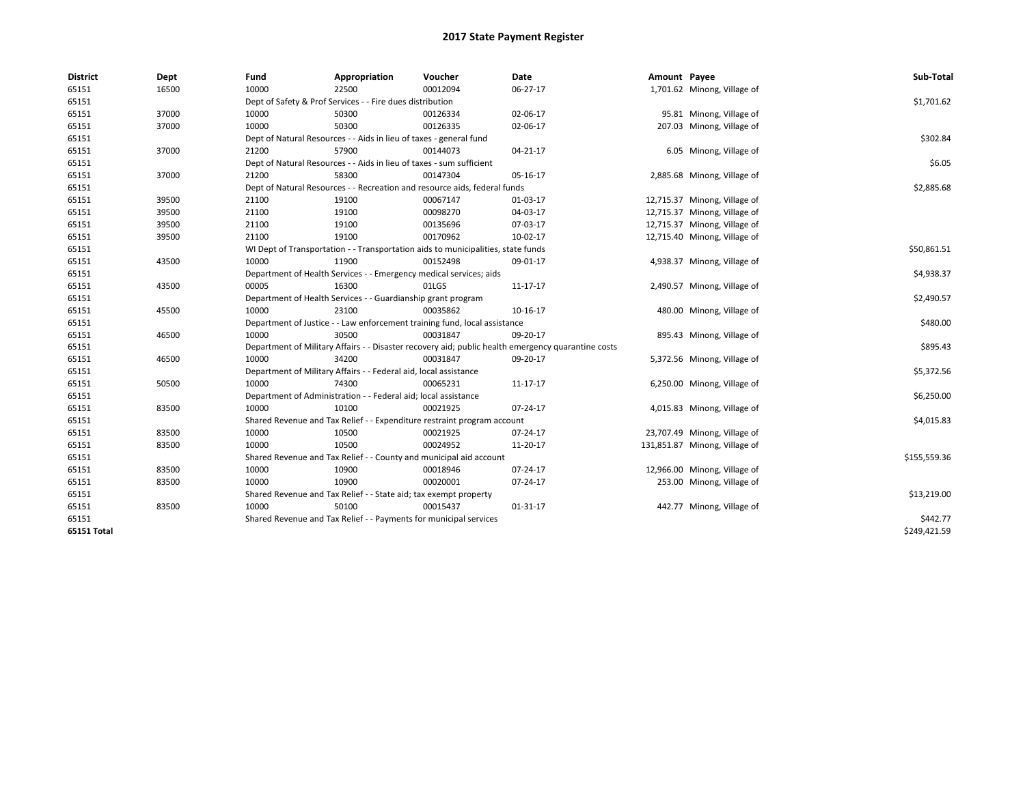| <b>District</b> | Dept  | Fund                                                      | Appropriation                                                                    | Voucher  | Date                                                                                               | Amount Payee |                               | Sub-Total    |
|-----------------|-------|-----------------------------------------------------------|----------------------------------------------------------------------------------|----------|----------------------------------------------------------------------------------------------------|--------------|-------------------------------|--------------|
| 65151           | 16500 | 10000                                                     | 22500                                                                            | 00012094 | 06-27-17                                                                                           |              | 1,701.62 Minong, Village of   |              |
| 65151           |       | Dept of Safety & Prof Services - - Fire dues distribution | \$1,701.62                                                                       |          |                                                                                                    |              |                               |              |
| 65151           | 37000 | 10000                                                     | 50300                                                                            | 00126334 | 02-06-17                                                                                           |              | 95.81 Minong, Village of      |              |
| 65151           | 37000 | 10000                                                     | 50300                                                                            | 00126335 | 02-06-17                                                                                           |              | 207.03 Minong, Village of     |              |
| 65151           |       |                                                           | Dept of Natural Resources - - Aids in lieu of taxes - general fund               |          |                                                                                                    |              |                               | \$302.84     |
| 65151           | 37000 | 21200                                                     | 57900                                                                            | 00144073 | 04-21-17                                                                                           |              | 6.05 Minong, Village of       |              |
| 65151           |       |                                                           | Dept of Natural Resources - - Aids in lieu of taxes - sum sufficient             |          |                                                                                                    |              |                               | \$6.05       |
| 65151           | 37000 | 21200                                                     | 58300                                                                            | 00147304 | 05-16-17                                                                                           |              | 2,885.68 Minong, Village of   |              |
| 65151           |       |                                                           | Dept of Natural Resources - - Recreation and resource aids, federal funds        |          |                                                                                                    |              |                               | \$2,885.68   |
| 65151           | 39500 | 21100                                                     | 19100                                                                            | 00067147 | 01-03-17                                                                                           |              | 12,715.37 Minong, Village of  |              |
| 65151           | 39500 | 21100                                                     | 19100                                                                            | 00098270 | 04-03-17                                                                                           |              | 12,715.37 Minong, Village of  |              |
| 65151           | 39500 | 21100                                                     | 19100                                                                            | 00135696 | 07-03-17                                                                                           |              | 12,715.37 Minong, Village of  |              |
| 65151           | 39500 | 21100                                                     | 19100                                                                            | 00170962 | 10-02-17                                                                                           |              | 12,715.40 Minong, Village of  |              |
| 65151           |       |                                                           | WI Dept of Transportation - - Transportation aids to municipalities, state funds |          |                                                                                                    |              |                               | \$50,861.51  |
| 65151           | 43500 | 10000                                                     | 11900                                                                            | 00152498 | 09-01-17                                                                                           |              | 4,938.37 Minong, Village of   |              |
| 65151           |       |                                                           | Department of Health Services - - Emergency medical services; aids               |          |                                                                                                    |              |                               | \$4,938.37   |
| 65151           | 43500 | 00005                                                     | 16300                                                                            | 01LGS    | 11-17-17                                                                                           |              | 2,490.57 Minong, Village of   |              |
| 65151           |       |                                                           | Department of Health Services - - Guardianship grant program                     |          |                                                                                                    |              |                               | \$2,490.57   |
| 65151           | 45500 | 10000                                                     | 23100                                                                            | 00035862 | 10-16-17                                                                                           |              | 480.00 Minong, Village of     |              |
| 65151           |       |                                                           | Department of Justice - - Law enforcement training fund, local assistance        |          |                                                                                                    |              |                               | \$480.00     |
| 65151           | 46500 | 10000                                                     | 30500                                                                            | 00031847 | 09-20-17                                                                                           |              | 895.43 Minong, Village of     |              |
| 65151           |       |                                                           |                                                                                  |          | Department of Military Affairs - - Disaster recovery aid; public health emergency quarantine costs |              |                               | \$895.43     |
| 65151           | 46500 | 10000                                                     | 34200                                                                            | 00031847 | 09-20-17                                                                                           |              | 5,372.56 Minong, Village of   |              |
| 65151           |       |                                                           | Department of Military Affairs - - Federal aid, local assistance                 |          |                                                                                                    |              |                               | \$5,372.56   |
| 65151           | 50500 | 10000                                                     | 74300                                                                            | 00065231 | 11-17-17                                                                                           |              | 6,250.00 Minong, Village of   |              |
| 65151           |       |                                                           | Department of Administration - - Federal aid; local assistance                   |          |                                                                                                    |              |                               | \$6,250.00   |
| 65151           | 83500 | 10000                                                     | 10100                                                                            | 00021925 | 07-24-17                                                                                           |              | 4,015.83 Minong, Village of   |              |
| 65151           |       |                                                           | Shared Revenue and Tax Relief - - Expenditure restraint program account          |          |                                                                                                    |              |                               | \$4,015.83   |
| 65151           | 83500 | 10000                                                     | 10500                                                                            | 00021925 | 07-24-17                                                                                           |              | 23,707.49 Minong, Village of  |              |
| 65151           | 83500 | 10000                                                     | 10500                                                                            | 00024952 | 11-20-17                                                                                           |              | 131,851.87 Minong, Village of |              |
| 65151           |       |                                                           | Shared Revenue and Tax Relief - - County and municipal aid account               |          |                                                                                                    |              |                               | \$155,559.36 |
| 65151           | 83500 | 10000                                                     | 10900                                                                            | 00018946 | 07-24-17                                                                                           |              | 12,966.00 Minong, Village of  |              |
| 65151           | 83500 | 10000                                                     | 10900                                                                            | 00020001 | 07-24-17                                                                                           |              | 253.00 Minong, Village of     |              |
| 65151           |       |                                                           | Shared Revenue and Tax Relief - - State aid; tax exempt property                 |          |                                                                                                    |              |                               | \$13,219.00  |
| 65151           | 83500 | 10000                                                     | 50100                                                                            | 00015437 | 01-31-17                                                                                           |              | 442.77 Minong, Village of     |              |
| 65151           |       |                                                           | Shared Revenue and Tax Relief - - Payments for municipal services                |          |                                                                                                    |              |                               | \$442.77     |
| 65151 Total     |       |                                                           |                                                                                  |          |                                                                                                    |              |                               | \$249,421.59 |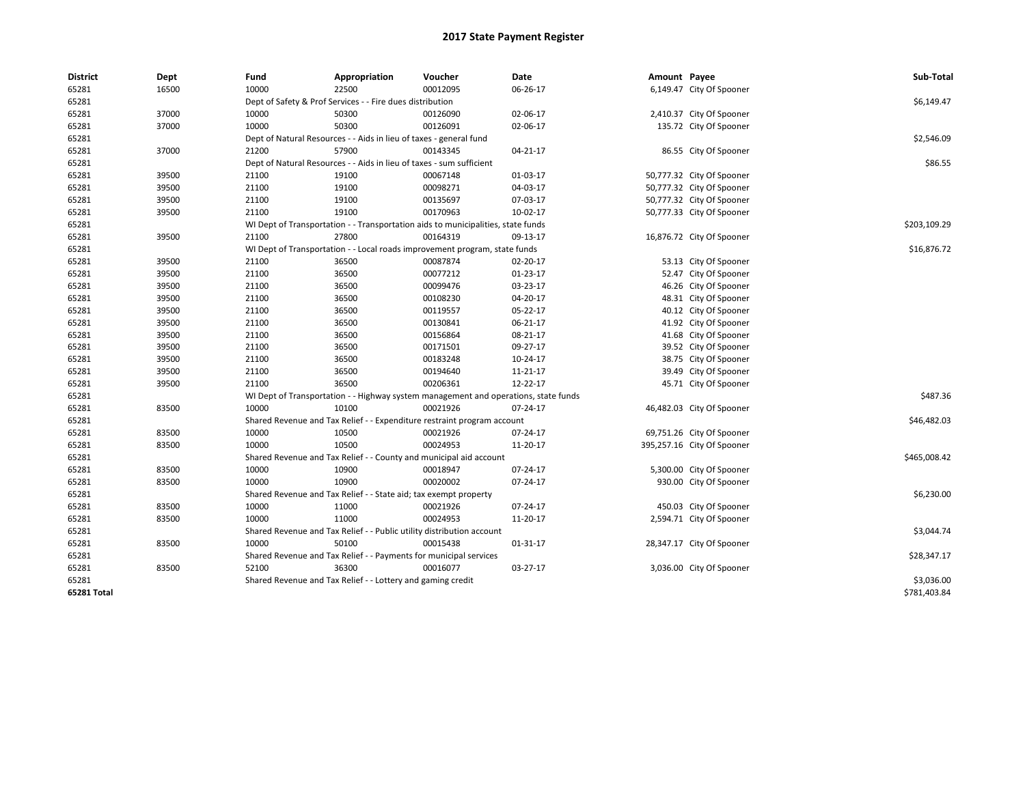| <b>District</b> | Dept  | Fund                                                      | Appropriation                                                                       | Voucher  | Date     | Amount Payee |                            | Sub-Total    |  |  |  |
|-----------------|-------|-----------------------------------------------------------|-------------------------------------------------------------------------------------|----------|----------|--------------|----------------------------|--------------|--|--|--|
| 65281           | 16500 | 10000                                                     | 22500                                                                               | 00012095 | 06-26-17 |              | 6,149.47 City Of Spooner   |              |  |  |  |
| 65281           |       | Dept of Safety & Prof Services - - Fire dues distribution | \$6,149.47                                                                          |          |          |              |                            |              |  |  |  |
| 65281           | 37000 | 10000                                                     | 50300                                                                               | 00126090 | 02-06-17 |              | 2,410.37 City Of Spooner   |              |  |  |  |
| 65281           | 37000 | 10000                                                     | 50300                                                                               | 00126091 | 02-06-17 |              | 135.72 City Of Spooner     |              |  |  |  |
| 65281           |       |                                                           | Dept of Natural Resources - - Aids in lieu of taxes - general fund                  |          |          |              |                            |              |  |  |  |
| 65281           | 37000 | 21200                                                     | 57900                                                                               | 00143345 | 04-21-17 |              | 86.55 City Of Spooner      |              |  |  |  |
| 65281           |       |                                                           | Dept of Natural Resources - - Aids in lieu of taxes - sum sufficient                |          |          |              |                            | \$86.55      |  |  |  |
| 65281           | 39500 | 21100                                                     | 19100                                                                               | 00067148 | 01-03-17 |              | 50,777.32 City Of Spooner  |              |  |  |  |
| 65281           | 39500 | 21100                                                     | 19100                                                                               | 00098271 | 04-03-17 |              | 50,777.32 City Of Spooner  |              |  |  |  |
| 65281           | 39500 | 21100                                                     | 19100                                                                               | 00135697 | 07-03-17 |              | 50,777.32 City Of Spooner  |              |  |  |  |
| 65281           | 39500 | 21100                                                     | 19100                                                                               | 00170963 | 10-02-17 |              | 50,777.33 City Of Spooner  |              |  |  |  |
| 65281           |       |                                                           | WI Dept of Transportation - - Transportation aids to municipalities, state funds    |          |          |              |                            | \$203,109.29 |  |  |  |
| 65281           | 39500 | 21100                                                     | 27800                                                                               | 00164319 | 09-13-17 |              | 16,876.72 City Of Spooner  |              |  |  |  |
| 65281           |       |                                                           | WI Dept of Transportation - - Local roads improvement program, state funds          |          |          |              |                            | \$16,876.72  |  |  |  |
| 65281           | 39500 | 21100                                                     | 36500                                                                               | 00087874 | 02-20-17 |              | 53.13 City Of Spooner      |              |  |  |  |
| 65281           | 39500 | 21100                                                     | 36500                                                                               | 00077212 | 01-23-17 |              | 52.47 City Of Spooner      |              |  |  |  |
| 65281           | 39500 | 21100                                                     | 36500                                                                               | 00099476 | 03-23-17 |              | 46.26 City Of Spooner      |              |  |  |  |
| 65281           | 39500 | 21100                                                     | 36500                                                                               | 00108230 | 04-20-17 |              | 48.31 City Of Spooner      |              |  |  |  |
| 65281           | 39500 | 21100                                                     | 36500                                                                               | 00119557 | 05-22-17 |              | 40.12 City Of Spooner      |              |  |  |  |
| 65281           | 39500 | 21100                                                     | 36500                                                                               | 00130841 | 06-21-17 |              | 41.92 City Of Spooner      |              |  |  |  |
| 65281           | 39500 | 21100                                                     | 36500                                                                               | 00156864 | 08-21-17 |              | 41.68 City Of Spooner      |              |  |  |  |
| 65281           | 39500 | 21100                                                     | 36500                                                                               | 00171501 | 09-27-17 |              | 39.52 City Of Spooner      |              |  |  |  |
| 65281           | 39500 | 21100                                                     | 36500                                                                               | 00183248 | 10-24-17 |              | 38.75 City Of Spooner      |              |  |  |  |
| 65281           | 39500 | 21100                                                     | 36500                                                                               | 00194640 | 11-21-17 |              | 39.49 City Of Spooner      |              |  |  |  |
| 65281           | 39500 | 21100                                                     | 36500                                                                               | 00206361 | 12-22-17 |              | 45.71 City Of Spooner      |              |  |  |  |
| 65281           |       |                                                           | WI Dept of Transportation - - Highway system management and operations, state funds |          |          |              |                            | \$487.36     |  |  |  |
| 65281           | 83500 | 10000                                                     | 10100                                                                               | 00021926 | 07-24-17 |              | 46,482.03 City Of Spooner  |              |  |  |  |
| 65281           |       |                                                           | Shared Revenue and Tax Relief - - Expenditure restraint program account             |          |          |              |                            | \$46,482.03  |  |  |  |
| 65281           | 83500 | 10000                                                     | 10500                                                                               | 00021926 | 07-24-17 |              | 69,751.26 City Of Spooner  |              |  |  |  |
| 65281           | 83500 | 10000                                                     | 10500                                                                               | 00024953 | 11-20-17 |              | 395,257.16 City Of Spooner |              |  |  |  |
| 65281           |       |                                                           | Shared Revenue and Tax Relief - - County and municipal aid account                  |          |          |              |                            | \$465,008.42 |  |  |  |
| 65281           | 83500 | 10000                                                     | 10900                                                                               | 00018947 | 07-24-17 |              | 5,300.00 City Of Spooner   |              |  |  |  |
| 65281           | 83500 | 10000                                                     | 10900                                                                               | 00020002 | 07-24-17 |              | 930.00 City Of Spooner     |              |  |  |  |
| 65281           |       |                                                           | Shared Revenue and Tax Relief - - State aid; tax exempt property                    |          |          |              |                            | \$6,230.00   |  |  |  |
| 65281           | 83500 | 10000                                                     | 11000                                                                               | 00021926 | 07-24-17 |              | 450.03 City Of Spooner     |              |  |  |  |
| 65281           | 83500 | 10000                                                     | 11000                                                                               | 00024953 | 11-20-17 |              | 2,594.71 City Of Spooner   |              |  |  |  |
| 65281           |       |                                                           | Shared Revenue and Tax Relief - - Public utility distribution account               |          |          |              |                            | \$3,044.74   |  |  |  |
| 65281           | 83500 | 10000                                                     | 50100                                                                               | 00015438 | 01-31-17 |              | 28,347.17 City Of Spooner  |              |  |  |  |
| 65281           |       |                                                           | Shared Revenue and Tax Relief - - Payments for municipal services                   |          |          |              |                            | \$28,347.17  |  |  |  |
| 65281           | 83500 | 52100                                                     | 36300                                                                               | 00016077 | 03-27-17 |              | 3,036.00 City Of Spooner   |              |  |  |  |
| 65281           |       |                                                           | Shared Revenue and Tax Relief - - Lottery and gaming credit                         |          |          |              |                            | \$3,036.00   |  |  |  |
| 65281 Total     |       |                                                           |                                                                                     |          |          |              |                            | \$781,403.84 |  |  |  |